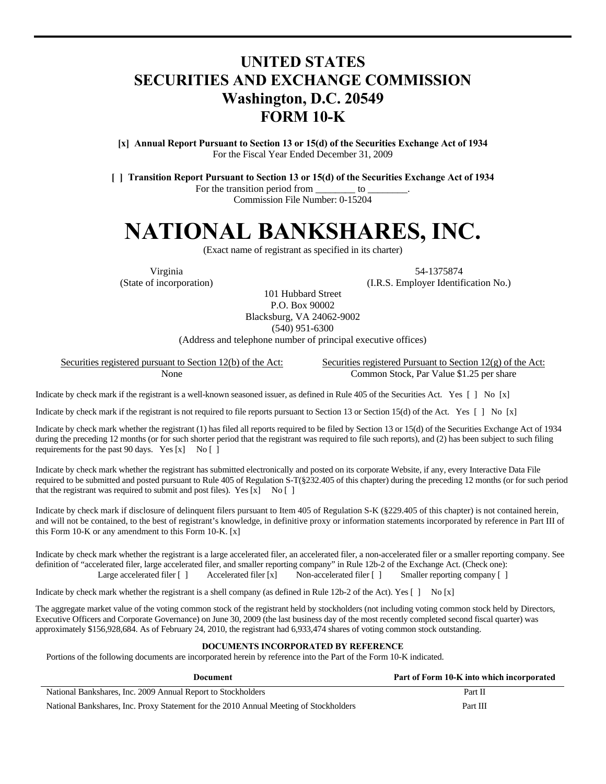# **UNITED STATES SECURITIES AND EXCHANGE COMMISSION Washington, D.C. 20549 FORM 10-K**

**[x] Annual Report Pursuant to Section 13 or 15(d) of the Securities Exchange Act of 1934**  For the Fiscal Year Ended December 31, 2009

**[ ] Transition Report Pursuant to Section 13 or 15(d) of the Securities Exchange Act of 1934**  For the transition period from to Commission File Number: 0-15204

# **NATIONAL BANKSHARES, INC.**

(Exact name of registrant as specified in its charter)

Virginia (State of incorporation)

54-1375874 (I.R.S. Employer Identification No.)

101 Hubbard Street P.O. Box 90002 Blacksburg, VA 24062-9002 (540) 951-6300

(Address and telephone number of principal executive offices)

Securities registered pursuant to Section 12(b) of the Act: None

Securities registered Pursuant to Section 12(g) of the Act: Common Stock, Par Value \$1.25 per share

Indicate by check mark if the registrant is a well-known seasoned issuer, as defined in Rule 405 of the Securities Act. Yes [ ] No [x]

Indicate by check mark if the registrant is not required to file reports pursuant to Section 13 or Section 15(d) of the Act. Yes [ ] No [x]

Indicate by check mark whether the registrant (1) has filed all reports required to be filed by Section 13 or 15(d) of the Securities Exchange Act of 1934 during the preceding 12 months (or for such shorter period that the registrant was required to file such reports), and (2) has been subject to such filing requirements for the past 90 days. Yes [x] No []

Indicate by check mark whether the registrant has submitted electronically and posted on its corporate Website, if any, every Interactive Data File required to be submitted and posted pursuant to Rule 405 of Regulation S-T(§232.405 of this chapter) during the preceding 12 months (or for such period that the registrant was required to submit and post files). Yes [x] No []

Indicate by check mark if disclosure of delinquent filers pursuant to Item 405 of Regulation S-K (§229.405 of this chapter) is not contained herein, and will not be contained, to the best of registrant's knowledge, in definitive proxy or information statements incorporated by reference in Part III of this Form 10-K or any amendment to this Form 10-K. [x]

Indicate by check mark whether the registrant is a large accelerated filer, an accelerated filer, a non-accelerated filer or a smaller reporting company. See definition of "accelerated filer, large accelerated filer, and smaller reporting company" in Rule 12b-2 of the Exchange Act. (Check one): Large accelerated filer  $\lceil \cdot \rceil$  Accelerated filer  $\lceil x \rceil$  Non-accelerated filer  $\lceil \cdot \rceil$  Smaller reporting company  $\lceil \cdot \rceil$ 

Indicate by check mark whether the registrant is a shell company (as defined in Rule 12b-2 of the Act). Yes  $[ ]$  No  $[x]$ 

The aggregate market value of the voting common stock of the registrant held by stockholders (not including voting common stock held by Directors, Executive Officers and Corporate Governance) on June 30, 2009 (the last business day of the most recently completed second fiscal quarter) was approximately \$156,928,684. As of February 24, 2010, the registrant had 6,933,474 shares of voting common stock outstanding.

### **DOCUMENTS INCORPORATED BY REFERENCE**

Portions of the following documents are incorporated herein by reference into the Part of the Form 10-K indicated.

| Document                                                                              | Part of Form 10-K into which incorporated |
|---------------------------------------------------------------------------------------|-------------------------------------------|
| National Bankshares, Inc. 2009 Annual Report to Stockholders                          | Part II                                   |
| National Bankshares, Inc. Proxy Statement for the 2010 Annual Meeting of Stockholders | Part III                                  |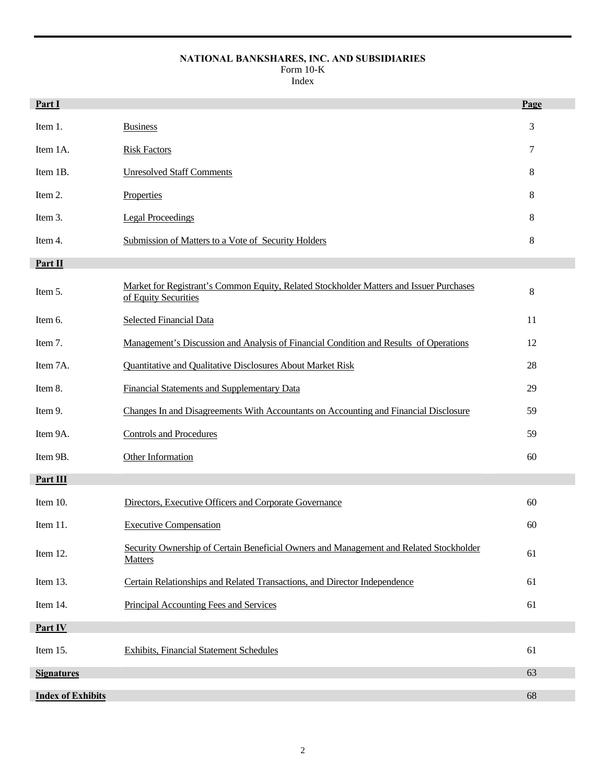# **NATIONAL BANKSHARES, INC. AND SUBSIDIARIES**

# Form 10-K Index

| Part I                   |                                                                                                                 | Page |
|--------------------------|-----------------------------------------------------------------------------------------------------------------|------|
| Item 1.                  | <b>Business</b>                                                                                                 | 3    |
| Item 1A.                 | <b>Risk Factors</b>                                                                                             | 7    |
| Item 1B.                 | <b>Unresolved Staff Comments</b>                                                                                | 8    |
| Item 2.                  | Properties                                                                                                      | 8    |
| Item 3.                  | <b>Legal Proceedings</b>                                                                                        | 8    |
| Item 4.                  | Submission of Matters to a Vote of Security Holders                                                             | 8    |
| Part II                  |                                                                                                                 |      |
| Item 5.                  | Market for Registrant's Common Equity, Related Stockholder Matters and Issuer Purchases<br>of Equity Securities | 8    |
| Item 6.                  | <b>Selected Financial Data</b>                                                                                  | 11   |
| Item 7.                  | Management's Discussion and Analysis of Financial Condition and Results of Operations                           | 12   |
| Item 7A.                 | Quantitative and Qualitative Disclosures About Market Risk                                                      | 28   |
| Item 8.                  | Financial Statements and Supplementary Data                                                                     | 29   |
| Item 9.                  | Changes In and Disagreements With Accountants on Accounting and Financial Disclosure                            | 59   |
| Item 9A.                 | <b>Controls and Procedures</b>                                                                                  | 59   |
| Item 9B.                 | Other Information                                                                                               | 60   |
| Part III                 |                                                                                                                 |      |
| Item 10.                 | Directors, Executive Officers and Corporate Governance                                                          | 60   |
| Item 11.                 | <b>Executive Compensation</b>                                                                                   | 60   |
| Item 12.                 | Security Ownership of Certain Beneficial Owners and Management and Related Stockholder<br><b>Matters</b>        | 61   |
| Item 13.                 | Certain Relationships and Related Transactions, and Director Independence                                       | 61   |
| Item 14.                 | <b>Principal Accounting Fees and Services</b>                                                                   | 61   |
| Part IV                  |                                                                                                                 |      |
| Item 15.                 | Exhibits, Financial Statement Schedules                                                                         | 61   |
| <b>Signatures</b>        |                                                                                                                 | 63   |
| <b>Index of Exhibits</b> |                                                                                                                 | 68   |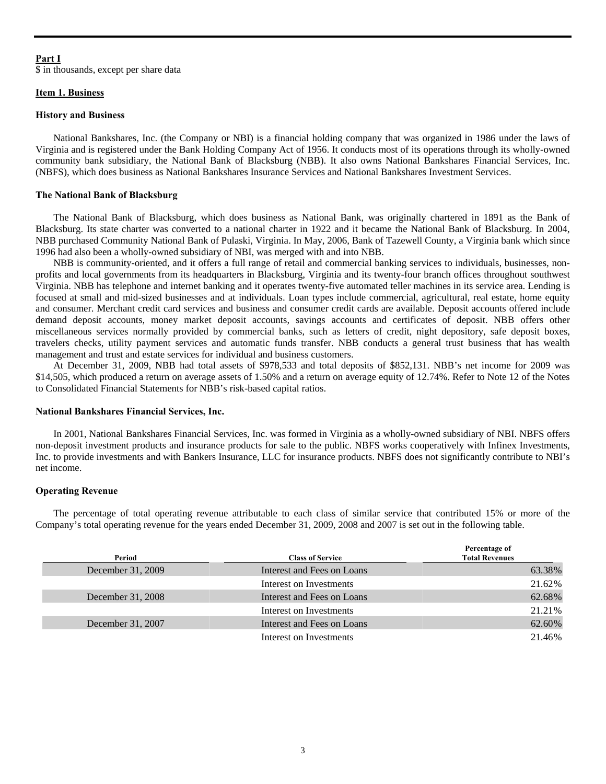### **Part I**

\$ in thousands, except per share data

### **Item 1. Business**

### **History and Business**

 National Bankshares, Inc. (the Company or NBI) is a financial holding company that was organized in 1986 under the laws of Virginia and is registered under the Bank Holding Company Act of 1956. It conducts most of its operations through its wholly-owned community bank subsidiary, the National Bank of Blacksburg (NBB). It also owns National Bankshares Financial Services, Inc. (NBFS), which does business as National Bankshares Insurance Services and National Bankshares Investment Services.

### **The National Bank of Blacksburg**

 The National Bank of Blacksburg, which does business as National Bank, was originally chartered in 1891 as the Bank of Blacksburg. Its state charter was converted to a national charter in 1922 and it became the National Bank of Blacksburg. In 2004, NBB purchased Community National Bank of Pulaski, Virginia. In May, 2006, Bank of Tazewell County, a Virginia bank which since 1996 had also been a wholly-owned subsidiary of NBI, was merged with and into NBB.

 NBB is community-oriented, and it offers a full range of retail and commercial banking services to individuals, businesses, nonprofits and local governments from its headquarters in Blacksburg, Virginia and its twenty-four branch offices throughout southwest Virginia. NBB has telephone and internet banking and it operates twenty-five automated teller machines in its service area. Lending is focused at small and mid-sized businesses and at individuals. Loan types include commercial, agricultural, real estate, home equity and consumer. Merchant credit card services and business and consumer credit cards are available. Deposit accounts offered include demand deposit accounts, money market deposit accounts, savings accounts and certificates of deposit. NBB offers other miscellaneous services normally provided by commercial banks, such as letters of credit, night depository, safe deposit boxes, travelers checks, utility payment services and automatic funds transfer. NBB conducts a general trust business that has wealth management and trust and estate services for individual and business customers.

 At December 31, 2009, NBB had total assets of \$978,533 and total deposits of \$852,131. NBB's net income for 2009 was \$14,505, which produced a return on average assets of 1.50% and a return on average equity of 12.74%. Refer to Note 12 of the Notes to Consolidated Financial Statements for NBB's risk-based capital ratios.

### **National Bankshares Financial Services, Inc.**

 In 2001, National Bankshares Financial Services, Inc. was formed in Virginia as a wholly-owned subsidiary of NBI. NBFS offers non-deposit investment products and insurance products for sale to the public. NBFS works cooperatively with Infinex Investments, Inc. to provide investments and with Bankers Insurance, LLC for insurance products. NBFS does not significantly contribute to NBI's net income.

### **Operating Revenue**

 The percentage of total operating revenue attributable to each class of similar service that contributed 15% or more of the Company's total operating revenue for the years ended December 31, 2009, 2008 and 2007 is set out in the following table.

| Period            | <b>Class of Service</b>    | Percentage of<br><b>Total Revenues</b> |
|-------------------|----------------------------|----------------------------------------|
| December 31, 2009 | Interest and Fees on Loans | 63.38%                                 |
|                   | Interest on Investments    | 21.62%                                 |
| December 31, 2008 | Interest and Fees on Loans | 62.68%                                 |
|                   | Interest on Investments    | 21.21\%                                |
| December 31, 2007 | Interest and Fees on Loans | 62.60%                                 |
|                   | Interest on Investments    | 21.46%                                 |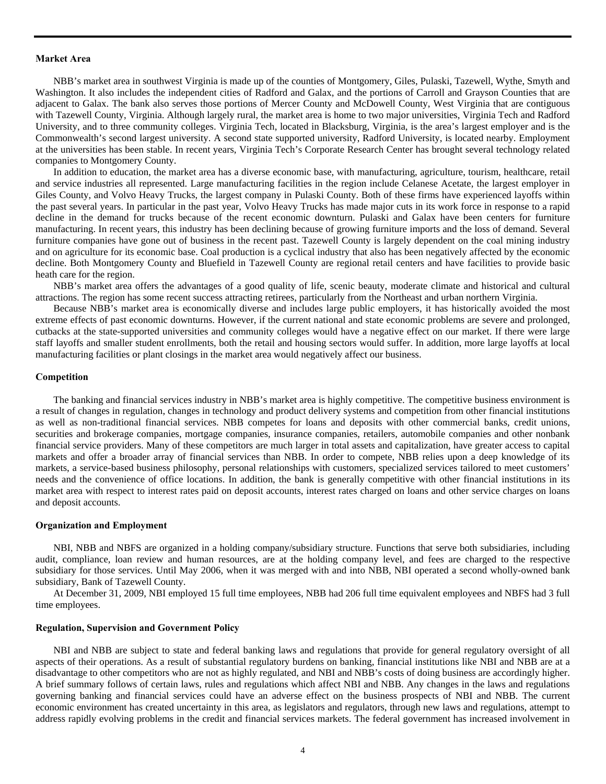#### **Market Area**

 NBB's market area in southwest Virginia is made up of the counties of Montgomery, Giles, Pulaski, Tazewell, Wythe, Smyth and Washington. It also includes the independent cities of Radford and Galax, and the portions of Carroll and Grayson Counties that are adjacent to Galax. The bank also serves those portions of Mercer County and McDowell County, West Virginia that are contiguous with Tazewell County, Virginia. Although largely rural, the market area is home to two major universities, Virginia Tech and Radford University, and to three community colleges. Virginia Tech, located in Blacksburg, Virginia, is the area's largest employer and is the Commonwealth's second largest university. A second state supported university, Radford University, is located nearby. Employment at the universities has been stable. In recent years, Virginia Tech's Corporate Research Center has brought several technology related companies to Montgomery County.

In addition to education, the market area has a diverse economic base, with manufacturing, agriculture, tourism, healthcare, retail and service industries all represented. Large manufacturing facilities in the region include Celanese Acetate, the largest employer in Giles County, and Volvo Heavy Trucks, the largest company in Pulaski County. Both of these firms have experienced layoffs within the past several years. In particular in the past year, Volvo Heavy Trucks has made major cuts in its work force in response to a rapid decline in the demand for trucks because of the recent economic downturn. Pulaski and Galax have been centers for furniture manufacturing. In recent years, this industry has been declining because of growing furniture imports and the loss of demand. Several furniture companies have gone out of business in the recent past. Tazewell County is largely dependent on the coal mining industry and on agriculture for its economic base. Coal production is a cyclical industry that also has been negatively affected by the economic decline. Both Montgomery County and Bluefield in Tazewell County are regional retail centers and have facilities to provide basic heath care for the region.

NBB's market area offers the advantages of a good quality of life, scenic beauty, moderate climate and historical and cultural attractions. The region has some recent success attracting retirees, particularly from the Northeast and urban northern Virginia.

 Because NBB's market area is economically diverse and includes large public employers, it has historically avoided the most extreme effects of past economic downturns. However, if the current national and state economic problems are severe and prolonged, cutbacks at the state-supported universities and community colleges would have a negative effect on our market. If there were large staff layoffs and smaller student enrollments, both the retail and housing sectors would suffer. In addition, more large layoffs at local manufacturing facilities or plant closings in the market area would negatively affect our business.

#### **Competition**

 The banking and financial services industry in NBB's market area is highly competitive. The competitive business environment is a result of changes in regulation, changes in technology and product delivery systems and competition from other financial institutions as well as non-traditional financial services. NBB competes for loans and deposits with other commercial banks, credit unions, securities and brokerage companies, mortgage companies, insurance companies, retailers, automobile companies and other nonbank financial service providers. Many of these competitors are much larger in total assets and capitalization, have greater access to capital markets and offer a broader array of financial services than NBB. In order to compete, NBB relies upon a deep knowledge of its markets, a service-based business philosophy, personal relationships with customers, specialized services tailored to meet customers' needs and the convenience of office locations. In addition, the bank is generally competitive with other financial institutions in its market area with respect to interest rates paid on deposit accounts, interest rates charged on loans and other service charges on loans and deposit accounts.

#### **Organization and Employment**

NBI, NBB and NBFS are organized in a holding company/subsidiary structure. Functions that serve both subsidiaries, including audit, compliance, loan review and human resources, are at the holding company level, and fees are charged to the respective subsidiary for those services. Until May 2006, when it was merged with and into NBB, NBI operated a second wholly-owned bank subsidiary, Bank of Tazewell County.

 At December 31, 2009, NBI employed 15 full time employees, NBB had 206 full time equivalent employees and NBFS had 3 full time employees.

#### **Regulation, Supervision and Government Policy**

NBI and NBB are subject to state and federal banking laws and regulations that provide for general regulatory oversight of all aspects of their operations. As a result of substantial regulatory burdens on banking, financial institutions like NBI and NBB are at a disadvantage to other competitors who are not as highly regulated, and NBI and NBB's costs of doing business are accordingly higher. A brief summary follows of certain laws, rules and regulations which affect NBI and NBB. Any changes in the laws and regulations governing banking and financial services could have an adverse effect on the business prospects of NBI and NBB. The current economic environment has created uncertainty in this area, as legislators and regulators, through new laws and regulations, attempt to address rapidly evolving problems in the credit and financial services markets. The federal government has increased involvement in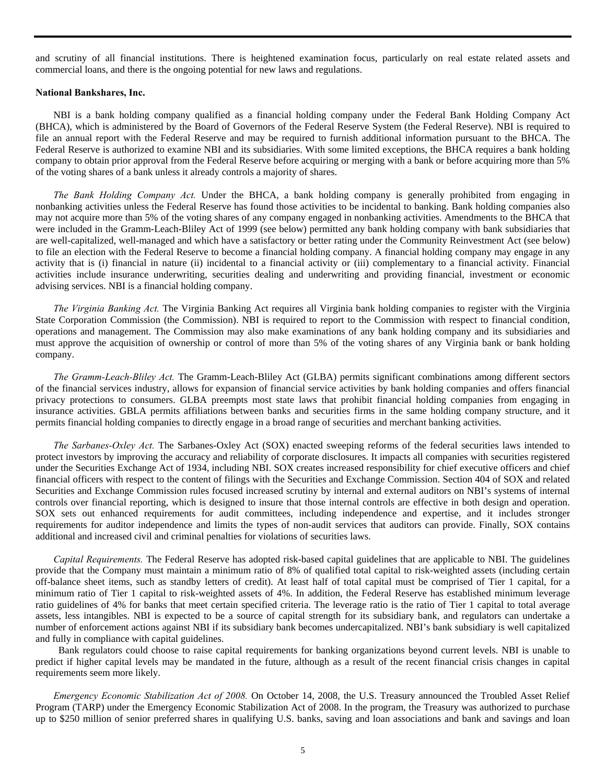and scrutiny of all financial institutions. There is heightened examination focus, particularly on real estate related assets and commercial loans, and there is the ongoing potential for new laws and regulations.

#### **National Bankshares, Inc.**

NBI is a bank holding company qualified as a financial holding company under the Federal Bank Holding Company Act (BHCA), which is administered by the Board of Governors of the Federal Reserve System (the Federal Reserve). NBI is required to file an annual report with the Federal Reserve and may be required to furnish additional information pursuant to the BHCA. The Federal Reserve is authorized to examine NBI and its subsidiaries. With some limited exceptions, the BHCA requires a bank holding company to obtain prior approval from the Federal Reserve before acquiring or merging with a bank or before acquiring more than 5% of the voting shares of a bank unless it already controls a majority of shares.

*The Bank Holding Company Act.* Under the BHCA, a bank holding company is generally prohibited from engaging in nonbanking activities unless the Federal Reserve has found those activities to be incidental to banking. Bank holding companies also may not acquire more than 5% of the voting shares of any company engaged in nonbanking activities. Amendments to the BHCA that were included in the Gramm-Leach-Bliley Act of 1999 (see below) permitted any bank holding company with bank subsidiaries that are well-capitalized, well-managed and which have a satisfactory or better rating under the Community Reinvestment Act (see below) to file an election with the Federal Reserve to become a financial holding company. A financial holding company may engage in any activity that is (i) financial in nature (ii) incidental to a financial activity or (iii) complementary to a financial activity. Financial activities include insurance underwriting, securities dealing and underwriting and providing financial, investment or economic advising services. NBI is a financial holding company.

*The Virginia Banking Act.* The Virginia Banking Act requires all Virginia bank holding companies to register with the Virginia State Corporation Commission (the Commission). NBI is required to report to the Commission with respect to financial condition, operations and management. The Commission may also make examinations of any bank holding company and its subsidiaries and must approve the acquisition of ownership or control of more than 5% of the voting shares of any Virginia bank or bank holding company.

*The Gramm-Leach-Bliley Act.* The Gramm-Leach-Bliley Act (GLBA) permits significant combinations among different sectors of the financial services industry, allows for expansion of financial service activities by bank holding companies and offers financial privacy protections to consumers. GLBA preempts most state laws that prohibit financial holding companies from engaging in insurance activities. GBLA permits affiliations between banks and securities firms in the same holding company structure, and it permits financial holding companies to directly engage in a broad range of securities and merchant banking activities.

*The Sarbanes-Oxley Act.* The Sarbanes-Oxley Act (SOX) enacted sweeping reforms of the federal securities laws intended to protect investors by improving the accuracy and reliability of corporate disclosures. It impacts all companies with securities registered under the Securities Exchange Act of 1934, including NBI. SOX creates increased responsibility for chief executive officers and chief financial officers with respect to the content of filings with the Securities and Exchange Commission. Section 404 of SOX and related Securities and Exchange Commission rules focused increased scrutiny by internal and external auditors on NBI's systems of internal controls over financial reporting, which is designed to insure that those internal controls are effective in both design and operation. SOX sets out enhanced requirements for audit committees, including independence and expertise, and it includes stronger requirements for auditor independence and limits the types of non-audit services that auditors can provide. Finally, SOX contains additional and increased civil and criminal penalties for violations of securities laws.

*Capital Requirements.* The Federal Reserve has adopted risk-based capital guidelines that are applicable to NBI. The guidelines provide that the Company must maintain a minimum ratio of 8% of qualified total capital to risk-weighted assets (including certain off-balance sheet items, such as standby letters of credit). At least half of total capital must be comprised of Tier 1 capital, for a minimum ratio of Tier 1 capital to risk-weighted assets of 4%. In addition, the Federal Reserve has established minimum leverage ratio guidelines of 4% for banks that meet certain specified criteria. The leverage ratio is the ratio of Tier 1 capital to total average assets, less intangibles. NBI is expected to be a source of capital strength for its subsidiary bank, and regulators can undertake a number of enforcement actions against NBI if its subsidiary bank becomes undercapitalized. NBI's bank subsidiary is well capitalized and fully in compliance with capital guidelines.

 Bank regulators could choose to raise capital requirements for banking organizations beyond current levels. NBI is unable to predict if higher capital levels may be mandated in the future, although as a result of the recent financial crisis changes in capital requirements seem more likely.

*Emergency Economic Stabilization Act of 2008.* On October 14, 2008, the U.S. Treasury announced the Troubled Asset Relief Program (TARP) under the Emergency Economic Stabilization Act of 2008. In the program, the Treasury was authorized to purchase up to \$250 million of senior preferred shares in qualifying U.S. banks, saving and loan associations and bank and savings and loan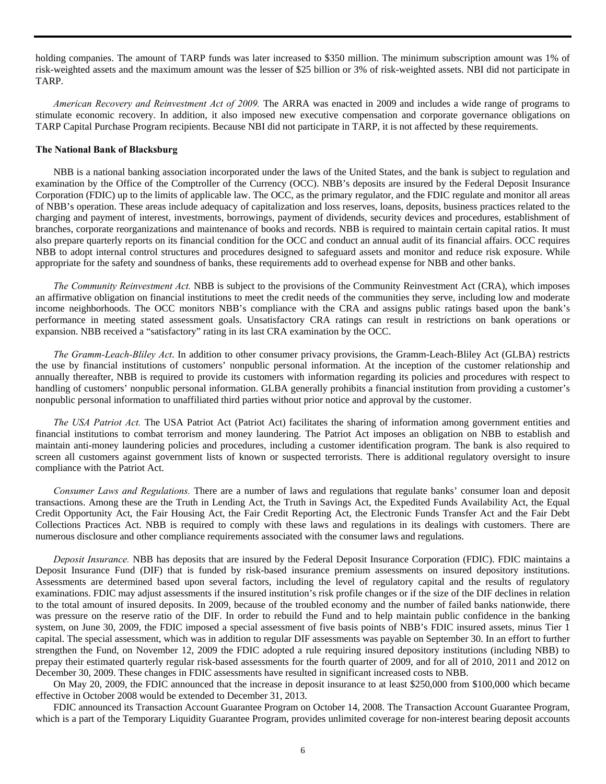holding companies. The amount of TARP funds was later increased to \$350 million. The minimum subscription amount was 1% of risk-weighted assets and the maximum amount was the lesser of \$25 billion or 3% of risk-weighted assets. NBI did not participate in TARP.

*American Recovery and Reinvestment Act of 2009.* The ARRA was enacted in 2009 and includes a wide range of programs to stimulate economic recovery. In addition, it also imposed new executive compensation and corporate governance obligations on TARP Capital Purchase Program recipients. Because NBI did not participate in TARP, it is not affected by these requirements.

#### **The National Bank of Blacksburg**

 NBB is a national banking association incorporated under the laws of the United States, and the bank is subject to regulation and examination by the Office of the Comptroller of the Currency (OCC). NBB's deposits are insured by the Federal Deposit Insurance Corporation (FDIC) up to the limits of applicable law. The OCC, as the primary regulator, and the FDIC regulate and monitor all areas of NBB's operation. These areas include adequacy of capitalization and loss reserves, loans, deposits, business practices related to the charging and payment of interest, investments, borrowings, payment of dividends, security devices and procedures, establishment of branches, corporate reorganizations and maintenance of books and records. NBB is required to maintain certain capital ratios. It must also prepare quarterly reports on its financial condition for the OCC and conduct an annual audit of its financial affairs. OCC requires NBB to adopt internal control structures and procedures designed to safeguard assets and monitor and reduce risk exposure. While appropriate for the safety and soundness of banks, these requirements add to overhead expense for NBB and other banks.

*The Community Reinvestment Act.* NBB is subject to the provisions of the Community Reinvestment Act (CRA), which imposes an affirmative obligation on financial institutions to meet the credit needs of the communities they serve, including low and moderate income neighborhoods. The OCC monitors NBB's compliance with the CRA and assigns public ratings based upon the bank's performance in meeting stated assessment goals. Unsatisfactory CRA ratings can result in restrictions on bank operations or expansion. NBB received a "satisfactory" rating in its last CRA examination by the OCC.

*The Gramm-Leach-Bliley Act*. In addition to other consumer privacy provisions, the Gramm-Leach-Bliley Act (GLBA) restricts the use by financial institutions of customers' nonpublic personal information. At the inception of the customer relationship and annually thereafter, NBB is required to provide its customers with information regarding its policies and procedures with respect to handling of customers' nonpublic personal information. GLBA generally prohibits a financial institution from providing a customer's nonpublic personal information to unaffiliated third parties without prior notice and approval by the customer.

*The USA Patriot Act.* The USA Patriot Act (Patriot Act) facilitates the sharing of information among government entities and financial institutions to combat terrorism and money laundering. The Patriot Act imposes an obligation on NBB to establish and maintain anti-money laundering policies and procedures, including a customer identification program. The bank is also required to screen all customers against government lists of known or suspected terrorists. There is additional regulatory oversight to insure compliance with the Patriot Act.

*Consumer Laws and Regulations.* There are a number of laws and regulations that regulate banks' consumer loan and deposit transactions. Among these are the Truth in Lending Act, the Truth in Savings Act, the Expedited Funds Availability Act, the Equal Credit Opportunity Act, the Fair Housing Act, the Fair Credit Reporting Act, the Electronic Funds Transfer Act and the Fair Debt Collections Practices Act. NBB is required to comply with these laws and regulations in its dealings with customers. There are numerous disclosure and other compliance requirements associated with the consumer laws and regulations.

*Deposit Insurance.* NBB has deposits that are insured by the Federal Deposit Insurance Corporation (FDIC). FDIC maintains a Deposit Insurance Fund (DIF) that is funded by risk-based insurance premium assessments on insured depository institutions. Assessments are determined based upon several factors, including the level of regulatory capital and the results of regulatory examinations. FDIC may adjust assessments if the insured institution's risk profile changes or if the size of the DIF declines in relation to the total amount of insured deposits. In 2009, because of the troubled economy and the number of failed banks nationwide, there was pressure on the reserve ratio of the DIF. In order to rebuild the Fund and to help maintain public confidence in the banking system, on June 30, 2009, the FDIC imposed a special assessment of five basis points of NBB's FDIC insured assets, minus Tier 1 capital. The special assessment, which was in addition to regular DIF assessments was payable on September 30. In an effort to further strengthen the Fund, on November 12, 2009 the FDIC adopted a rule requiring insured depository institutions (including NBB) to prepay their estimated quarterly regular risk-based assessments for the fourth quarter of 2009, and for all of 2010, 2011 and 2012 on December 30, 2009. These changes in FDIC assessments have resulted in significant increased costs to NBB.

 On May 20, 2009, the FDIC announced that the increase in deposit insurance to at least \$250,000 from \$100,000 which became effective in October 2008 would be extended to December 31, 2013.

 FDIC announced its Transaction Account Guarantee Program on October 14, 2008. The Transaction Account Guarantee Program, which is a part of the Temporary Liquidity Guarantee Program, provides unlimited coverage for non-interest bearing deposit accounts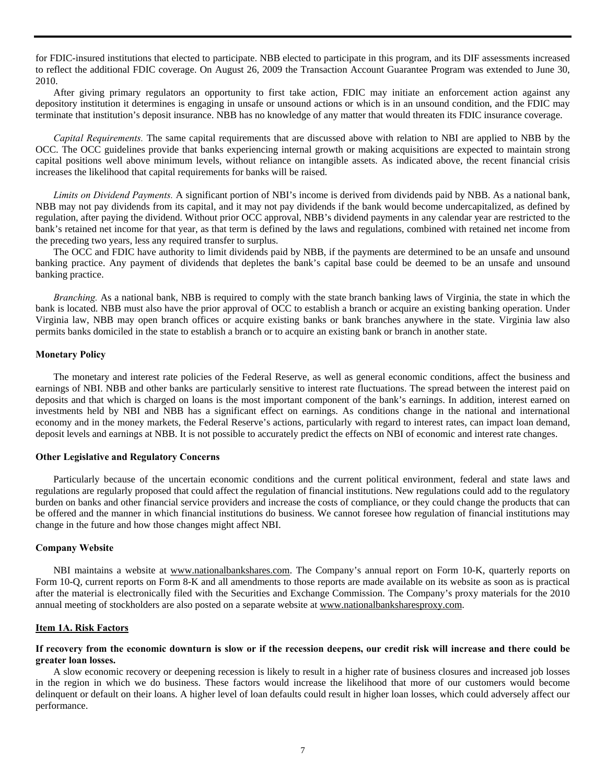for FDIC-insured institutions that elected to participate. NBB elected to participate in this program, and its DIF assessments increased to reflect the additional FDIC coverage. On August 26, 2009 the Transaction Account Guarantee Program was extended to June 30, 2010.

 After giving primary regulators an opportunity to first take action, FDIC may initiate an enforcement action against any depository institution it determines is engaging in unsafe or unsound actions or which is in an unsound condition, and the FDIC may terminate that institution's deposit insurance. NBB has no knowledge of any matter that would threaten its FDIC insurance coverage.

*Capital Requirements.* The same capital requirements that are discussed above with relation to NBI are applied to NBB by the OCC. The OCC guidelines provide that banks experiencing internal growth or making acquisitions are expected to maintain strong capital positions well above minimum levels, without reliance on intangible assets. As indicated above, the recent financial crisis increases the likelihood that capital requirements for banks will be raised.

*Limits on Dividend Payments.* A significant portion of NBI's income is derived from dividends paid by NBB. As a national bank, NBB may not pay dividends from its capital, and it may not pay dividends if the bank would become undercapitalized, as defined by regulation, after paying the dividend. Without prior OCC approval, NBB's dividend payments in any calendar year are restricted to the bank's retained net income for that year, as that term is defined by the laws and regulations, combined with retained net income from the preceding two years, less any required transfer to surplus.

 The OCC and FDIC have authority to limit dividends paid by NBB, if the payments are determined to be an unsafe and unsound banking practice. Any payment of dividends that depletes the bank's capital base could be deemed to be an unsafe and unsound banking practice.

*Branching.* As a national bank, NBB is required to comply with the state branch banking laws of Virginia, the state in which the bank is located. NBB must also have the prior approval of OCC to establish a branch or acquire an existing banking operation. Under Virginia law, NBB may open branch offices or acquire existing banks or bank branches anywhere in the state. Virginia law also permits banks domiciled in the state to establish a branch or to acquire an existing bank or branch in another state.

#### **Monetary Policy**

The monetary and interest rate policies of the Federal Reserve, as well as general economic conditions, affect the business and earnings of NBI. NBB and other banks are particularly sensitive to interest rate fluctuations. The spread between the interest paid on deposits and that which is charged on loans is the most important component of the bank's earnings. In addition, interest earned on investments held by NBI and NBB has a significant effect on earnings. As conditions change in the national and international economy and in the money markets, the Federal Reserve's actions, particularly with regard to interest rates, can impact loan demand, deposit levels and earnings at NBB. It is not possible to accurately predict the effects on NBI of economic and interest rate changes.

### **Other Legislative and Regulatory Concerns**

 Particularly because of the uncertain economic conditions and the current political environment, federal and state laws and regulations are regularly proposed that could affect the regulation of financial institutions. New regulations could add to the regulatory burden on banks and other financial service providers and increase the costs of compliance, or they could change the products that can be offered and the manner in which financial institutions do business. We cannot foresee how regulation of financial institutions may change in the future and how those changes might affect NBI.

#### **Company Website**

NBI maintains a website at www.nationalbankshares.com. The Company's annual report on Form 10-K, quarterly reports on Form 10-Q, current reports on Form 8-K and all amendments to those reports are made available on its website as soon as is practical after the material is electronically filed with the Securities and Exchange Commission. The Company's proxy materials for the 2010 annual meeting of stockholders are also posted on a separate website at www.nationalbanksharesproxy.com.

#### **Item 1A. Risk Factors**

### **If recovery from the economic downturn is slow or if the recession deepens, our credit risk will increase and there could be greater loan losses.**

A slow economic recovery or deepening recession is likely to result in a higher rate of business closures and increased job losses in the region in which we do business. These factors would increase the likelihood that more of our customers would become delinquent or default on their loans. A higher level of loan defaults could result in higher loan losses, which could adversely affect our performance.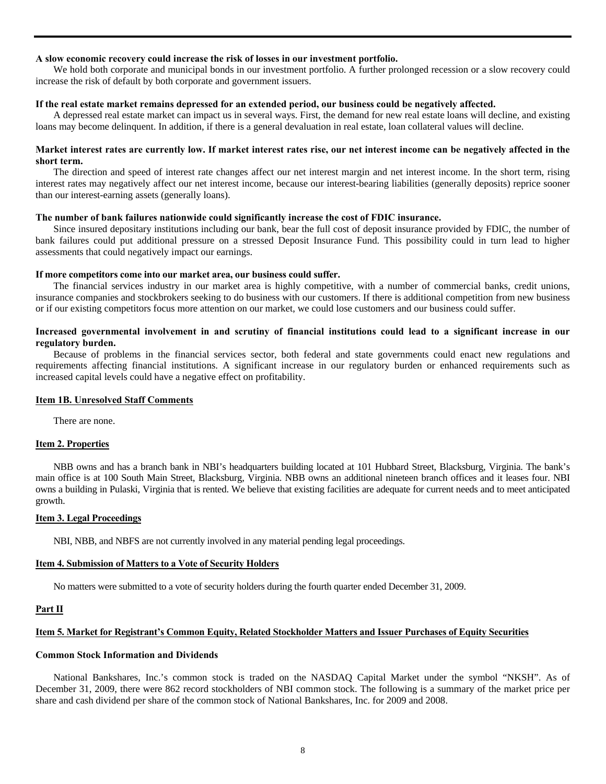### **A slow economic recovery could increase the risk of losses in our investment portfolio.**

We hold both corporate and municipal bonds in our investment portfolio. A further prolonged recession or a slow recovery could increase the risk of default by both corporate and government issuers.

### **If the real estate market remains depressed for an extended period, our business could be negatively affected.**

A depressed real estate market can impact us in several ways. First, the demand for new real estate loans will decline, and existing loans may become delinquent. In addition, if there is a general devaluation in real estate, loan collateral values will decline.

### **Market interest rates are currently low. If market interest rates rise, our net interest income can be negatively affected in the short term.**

The direction and speed of interest rate changes affect our net interest margin and net interest income. In the short term, rising interest rates may negatively affect our net interest income, because our interest-bearing liabilities (generally deposits) reprice sooner than our interest-earning assets (generally loans).

### **The number of bank failures nationwide could significantly increase the cost of FDIC insurance.**

Since insured depositary institutions including our bank, bear the full cost of deposit insurance provided by FDIC, the number of bank failures could put additional pressure on a stressed Deposit Insurance Fund. This possibility could in turn lead to higher assessments that could negatively impact our earnings.

#### **If more competitors come into our market area, our business could suffer.**

 The financial services industry in our market area is highly competitive, with a number of commercial banks, credit unions, insurance companies and stockbrokers seeking to do business with our customers. If there is additional competition from new business or if our existing competitors focus more attention on our market, we could lose customers and our business could suffer.

### **Increased governmental involvement in and scrutiny of financial institutions could lead to a significant increase in our regulatory burden.**

Because of problems in the financial services sector, both federal and state governments could enact new regulations and requirements affecting financial institutions. A significant increase in our regulatory burden or enhanced requirements such as increased capital levels could have a negative effect on profitability.

### **Item 1B. Unresolved Staff Comments**

There are none.

### **Item 2. Properties**

 NBB owns and has a branch bank in NBI's headquarters building located at 101 Hubbard Street, Blacksburg, Virginia. The bank's main office is at 100 South Main Street, Blacksburg, Virginia. NBB owns an additional nineteen branch offices and it leases four. NBI owns a building in Pulaski, Virginia that is rented. We believe that existing facilities are adequate for current needs and to meet anticipated growth.

#### **Item 3. Legal Proceedings**

NBI, NBB, and NBFS are not currently involved in any material pending legal proceedings.

#### **Item 4. Submission of Matters to a Vote of Security Holders**

No matters were submitted to a vote of security holders during the fourth quarter ended December 31, 2009.

### **Part II**

### **Item 5. Market for Registrant's Common Equity, Related Stockholder Matters and Issuer Purchases of Equity Securities**

#### **Common Stock Information and Dividends**

 National Bankshares, Inc.'s common stock is traded on the NASDAQ Capital Market under the symbol "NKSH". As of December 31, 2009, there were 862 record stockholders of NBI common stock. The following is a summary of the market price per share and cash dividend per share of the common stock of National Bankshares, Inc. for 2009 and 2008.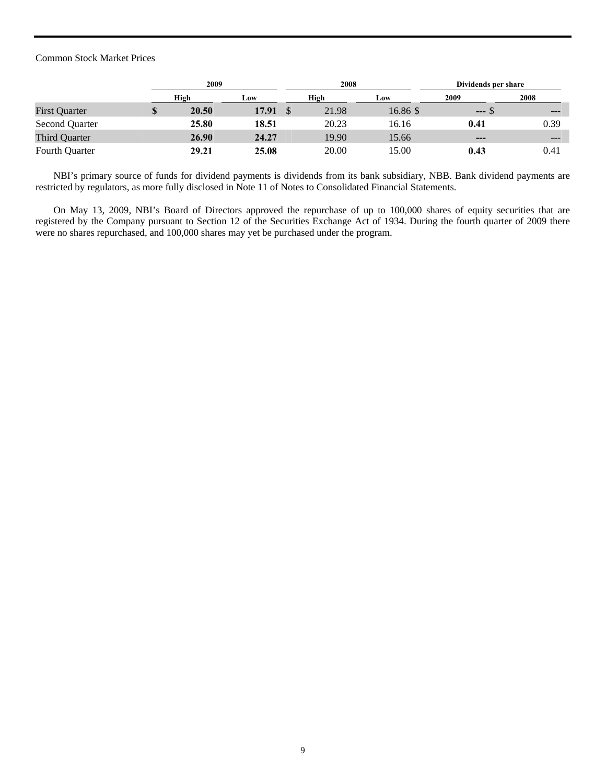Common Stock Market Prices

|                       |          | 2009  |       | 2008  |          | Dividends per share |       |  |  |
|-----------------------|----------|-------|-------|-------|----------|---------------------|-------|--|--|
|                       |          | High  | Low   | High  | Low      | 2009                | 2008  |  |  |
| <b>First Quarter</b>  | <b>D</b> | 20.50 | 17.91 | 21.98 | 16.86 \$ | $---$               | $---$ |  |  |
| <b>Second Quarter</b> |          | 25.80 | 18.51 | 20.23 | 16.16    | 0.41                | 0.39  |  |  |
| <b>Third Quarter</b>  |          | 26.90 | 24.27 | 19.90 | 15.66    | $---$               | $---$ |  |  |
| Fourth Quarter        |          | 29.21 | 25.08 | 20.00 | 15.00    | 0.43                | 0.41  |  |  |

NBI's primary source of funds for dividend payments is dividends from its bank subsidiary, NBB. Bank dividend payments are restricted by regulators, as more fully disclosed in Note 11 of Notes to Consolidated Financial Statements.

 On May 13, 2009, NBI's Board of Directors approved the repurchase of up to 100,000 shares of equity securities that are registered by the Company pursuant to Section 12 of the Securities Exchange Act of 1934. During the fourth quarter of 2009 there were no shares repurchased, and 100,000 shares may yet be purchased under the program.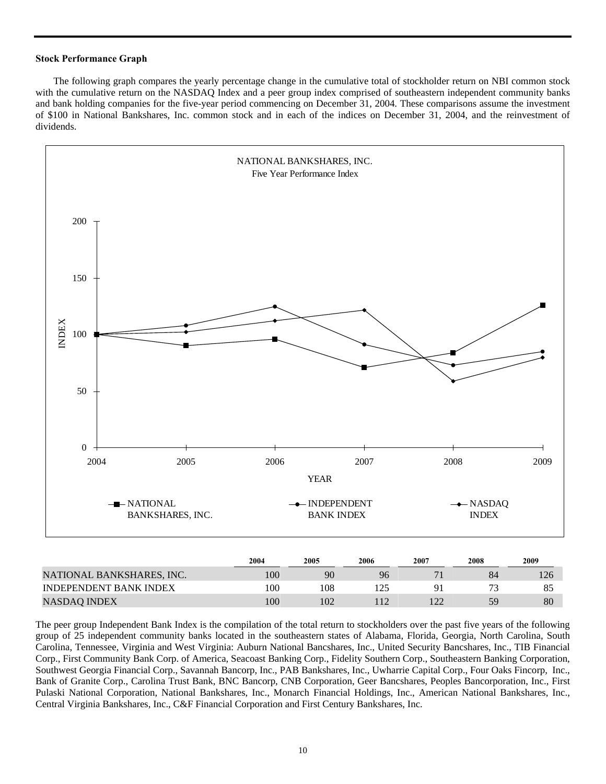### **Stock Performance Graph**

 The following graph compares the yearly percentage change in the cumulative total of stockholder return on NBI common stock with the cumulative return on the NASDAQ Index and a peer group index comprised of southeastern independent community banks and bank holding companies for the five-year period commencing on December 31, 2004. These comparisons assume the investment of \$100 in National Bankshares, Inc. common stock and in each of the indices on December 31, 2004, and the reinvestment of dividends.



|                               | 2004 | 2005 | 2006 | 2007 | 2008                     | 2009 |
|-------------------------------|------|------|------|------|--------------------------|------|
| NATIONAL BANKSHARES, INC.     | 100  | 90   | 96   |      | 84                       | 126  |
| <b>INDEPENDENT BANK INDEX</b> | 100  | 108  |      |      | $\overline{\phantom{a}}$ | 85   |
| NASDAQ INDEX                  | 100  | 102  |      |      | 59                       | 80   |

The peer group Independent Bank Index is the compilation of the total return to stockholders over the past five years of the following group of 25 independent community banks located in the southeastern states of Alabama, Florida, Georgia, North Carolina, South Carolina, Tennessee, Virginia and West Virginia: Auburn National Bancshares, Inc., United Security Bancshares, Inc., TIB Financial Corp., First Community Bank Corp. of America, Seacoast Banking Corp., Fidelity Southern Corp., Southeastern Banking Corporation, Southwest Georgia Financial Corp., Savannah Bancorp, Inc., PAB Bankshares, Inc., Uwharrie Capital Corp., Four Oaks Fincorp, Inc., Bank of Granite Corp., Carolina Trust Bank, BNC Bancorp, CNB Corporation, Geer Bancshares, Peoples Bancorporation, Inc., First Pulaski National Corporation, National Bankshares, Inc., Monarch Financial Holdings, Inc., American National Bankshares, Inc., Central Virginia Bankshares, Inc., C&F Financial Corporation and First Century Bankshares, Inc.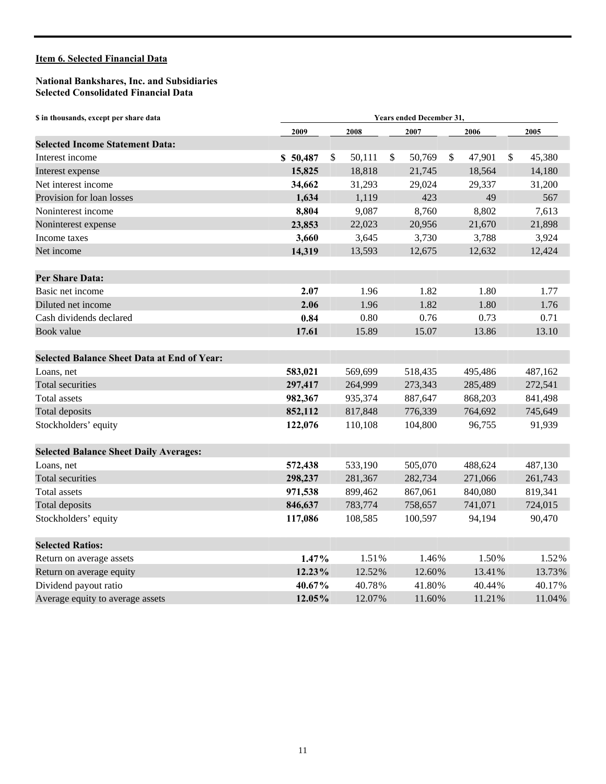# **Item 6. Selected Financial Data**

# **National Bankshares, Inc. and Subsidiaries Selected Consolidated Financial Data**

| \$ in thousands, except per share data             | <b>Years ended December 31,</b> |                        |              |                        |                       |
|----------------------------------------------------|---------------------------------|------------------------|--------------|------------------------|-----------------------|
|                                                    | 2009                            | 2008                   | 2007         | 2006                   | 2005                  |
| <b>Selected Income Statement Data:</b>             |                                 |                        |              |                        |                       |
| Interest income                                    | \$50,487                        | $\mathbb{S}$<br>50,111 | \$<br>50,769 | $\mathbb{S}$<br>47,901 | $\sqrt{\ }$<br>45,380 |
| Interest expense                                   | 15,825                          | 18,818                 | 21,745       | 18,564                 | 14,180                |
| Net interest income                                | 34,662                          | 31,293                 | 29,024       | 29,337                 | 31,200                |
| Provision for loan losses                          | 1,634                           | 1,119                  | 423          | 49                     | 567                   |
| Noninterest income                                 | 8,804                           | 9,087                  | 8,760        | 8,802                  | 7,613                 |
| Noninterest expense                                | 23,853                          | 22,023                 | 20,956       | 21,670                 | 21,898                |
| Income taxes                                       | 3,660                           | 3,645                  | 3,730        | 3,788                  | 3,924                 |
| Net income                                         | 14,319                          | 13,593                 | 12,675       | 12,632                 | 12,424                |
| <b>Per Share Data:</b>                             |                                 |                        |              |                        |                       |
| Basic net income                                   | 2.07                            | 1.96                   | 1.82         | 1.80                   | 1.77                  |
| Diluted net income                                 | 2.06                            | 1.96                   | 1.82         | 1.80                   | 1.76                  |
| Cash dividends declared                            | 0.84                            | 0.80                   | 0.76         | 0.73                   | 0.71                  |
| Book value                                         | 17.61                           | 15.89                  | 15.07        | 13.86                  | 13.10                 |
|                                                    |                                 |                        |              |                        |                       |
| <b>Selected Balance Sheet Data at End of Year:</b> |                                 |                        |              |                        |                       |
| Loans, net                                         | 583,021                         | 569,699                | 518,435      | 495,486                | 487,162               |
| <b>Total securities</b>                            | 297,417                         | 264,999                | 273,343      | 285,489                | 272,541               |
| Total assets                                       | 982,367                         | 935,374                | 887,647      | 868,203                | 841,498               |
| Total deposits                                     | 852,112                         | 817,848                | 776,339      | 764,692                | 745,649               |
| Stockholders' equity                               | 122,076                         | 110,108                | 104,800      | 96,755                 | 91,939                |
| <b>Selected Balance Sheet Daily Averages:</b>      |                                 |                        |              |                        |                       |
| Loans, net                                         | 572,438                         | 533,190                | 505,070      | 488,624                | 487,130               |
| <b>Total securities</b>                            | 298,237                         | 281,367                | 282,734      | 271,066                | 261,743               |
| Total assets                                       | 971,538                         | 899,462                | 867,061      | 840,080                | 819,341               |
| Total deposits                                     | 846,637                         | 783,774                | 758,657      | 741,071                | 724,015               |
| Stockholders' equity                               | 117,086                         | 108,585                | 100,597      | 94,194                 | 90,470                |
| <b>Selected Ratios:</b>                            |                                 |                        |              |                        |                       |
| Return on average assets                           | 1.47%                           | 1.51%                  | 1.46%        | 1.50%                  | 1.52%                 |
| Return on average equity                           | 12.23%                          | 12.52%                 | 12.60%       | 13.41%                 | 13.73%                |
| Dividend payout ratio                              | 40.67%                          | 40.78%                 | 41.80%       | 40.44%                 | 40.17%                |
| Average equity to average assets                   | 12.05%                          | 12.07%                 | 11.60%       | 11.21%                 | 11.04%                |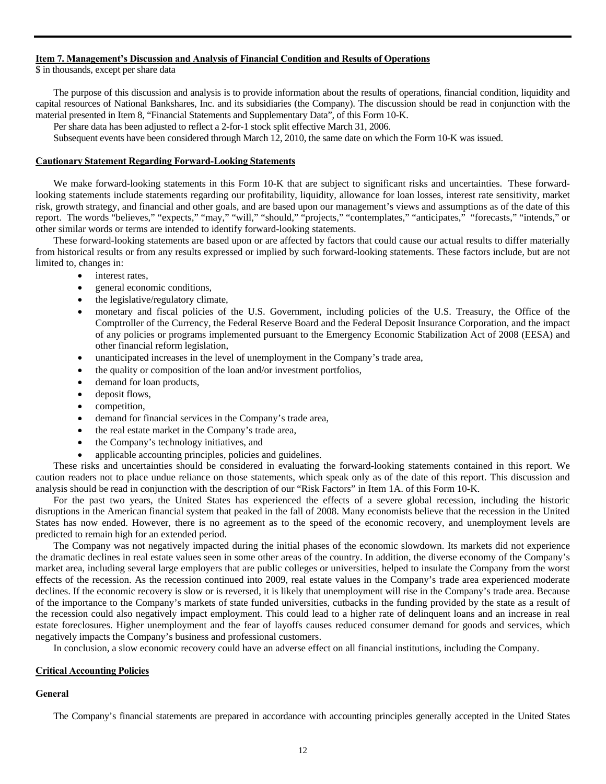#### **Item 7. Management's Discussion and Analysis of Financial Condition and Results of Operations**

\$ in thousands, except per share data

 The purpose of this discussion and analysis is to provide information about the results of operations, financial condition, liquidity and capital resources of National Bankshares, Inc. and its subsidiaries (the Company). The discussion should be read in conjunction with the material presented in Item 8, "Financial Statements and Supplementary Data", of this Form 10-K.

Per share data has been adjusted to reflect a 2-for-1 stock split effective March 31, 2006.

Subsequent events have been considered through March 12, 2010, the same date on which the Form 10-K was issued.

# **Cautionary Statement Regarding Forward-Looking Statements**

 We make forward-looking statements in this Form 10-K that are subject to significant risks and uncertainties. These forwardlooking statements include statements regarding our profitability, liquidity, allowance for loan losses, interest rate sensitivity, market risk, growth strategy, and financial and other goals, and are based upon our management's views and assumptions as of the date of this report. The words "believes," "expects," "may," "will," "should," "projects," "contemplates," "anticipates," "forecasts," "intends," or other similar words or terms are intended to identify forward-looking statements.

 These forward-looking statements are based upon or are affected by factors that could cause our actual results to differ materially from historical results or from any results expressed or implied by such forward-looking statements. These factors include, but are not limited to, changes in:

- interest rates,
- general economic conditions,
- the legislative/regulatory climate,
- monetary and fiscal policies of the U.S. Government, including policies of the U.S. Treasury, the Office of the Comptroller of the Currency, the Federal Reserve Board and the Federal Deposit Insurance Corporation, and the impact of any policies or programs implemented pursuant to the Emergency Economic Stabilization Act of 2008 (EESA) and other financial reform legislation,
- unanticipated increases in the level of unemployment in the Company's trade area,
- the quality or composition of the loan and/or investment portfolios,
- demand for loan products,
- deposit flows.
- competition,
- demand for financial services in the Company's trade area,
- the real estate market in the Company's trade area,
- the Company's technology initiatives, and
- applicable accounting principles, policies and guidelines.

 These risks and uncertainties should be considered in evaluating the forward-looking statements contained in this report. We caution readers not to place undue reliance on those statements, which speak only as of the date of this report. This discussion and analysis should be read in conjunction with the description of our "Risk Factors" in Item 1A. of this Form 10-K.

 For the past two years, the United States has experienced the effects of a severe global recession, including the historic disruptions in the American financial system that peaked in the fall of 2008. Many economists believe that the recession in the United States has now ended. However, there is no agreement as to the speed of the economic recovery, and unemployment levels are predicted to remain high for an extended period.

 The Company was not negatively impacted during the initial phases of the economic slowdown. Its markets did not experience the dramatic declines in real estate values seen in some other areas of the country. In addition, the diverse economy of the Company's market area, including several large employers that are public colleges or universities, helped to insulate the Company from the worst effects of the recession. As the recession continued into 2009, real estate values in the Company's trade area experienced moderate declines. If the economic recovery is slow or is reversed, it is likely that unemployment will rise in the Company's trade area. Because of the importance to the Company's markets of state funded universities, cutbacks in the funding provided by the state as a result of the recession could also negatively impact employment. This could lead to a higher rate of delinquent loans and an increase in real estate foreclosures. Higher unemployment and the fear of layoffs causes reduced consumer demand for goods and services, which negatively impacts the Company's business and professional customers.

In conclusion, a slow economic recovery could have an adverse effect on all financial institutions, including the Company.

#### **Critical Accounting Policies**

#### **General**

The Company's financial statements are prepared in accordance with accounting principles generally accepted in the United States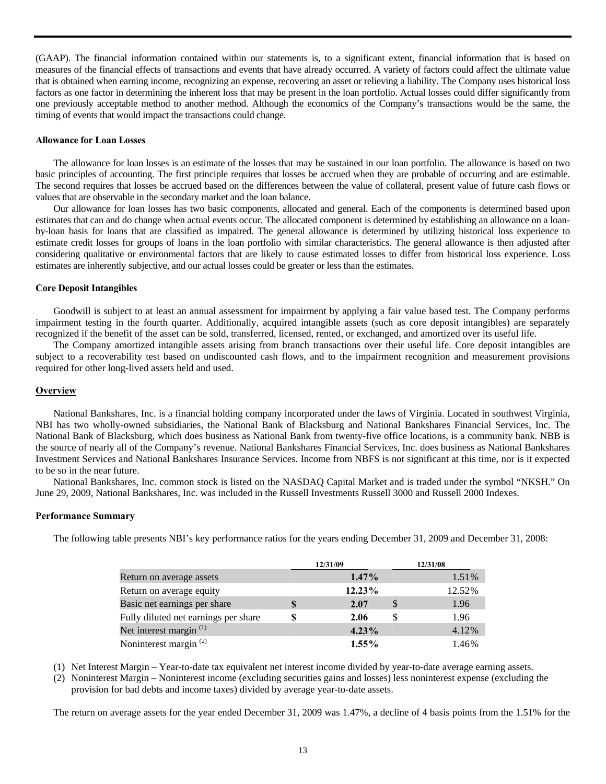(GAAP). The financial information contained within our statements is, to a significant extent, financial information that is based on measures of the financial effects of transactions and events that have already occurred. A variety of factors could affect the ultimate value that is obtained when earning income, recognizing an expense, recovering an asset or relieving a liability. The Company uses historical loss factors as one factor in determining the inherent loss that may be present in the loan portfolio. Actual losses could differ significantly from one previously acceptable method to another method. Although the economics of the Company's transactions would be the same, the timing of events that would impact the transactions could change.

#### **Allowance for Loan Losses**

 The allowance for loan losses is an estimate of the losses that may be sustained in our loan portfolio. The allowance is based on two basic principles of accounting. The first principle requires that losses be accrued when they are probable of occurring and are estimable. The second requires that losses be accrued based on the differences between the value of collateral, present value of future cash flows or values that are observable in the secondary market and the loan balance.

 Our allowance for loan losses has two basic components, allocated and general. Each of the components is determined based upon estimates that can and do change when actual events occur. The allocated component is determined by establishing an allowance on a loanby-loan basis for loans that are classified as impaired. The general allowance is determined by utilizing historical loss experience to estimate credit losses for groups of loans in the loan portfolio with similar characteristics. The general allowance is then adjusted after considering qualitative or environmental factors that are likely to cause estimated losses to differ from historical loss experience. Loss estimates are inherently subjective, and our actual losses could be greater or less than the estimates.

### **Core Deposit Intangibles**

 Goodwill is subject to at least an annual assessment for impairment by applying a fair value based test. The Company performs impairment testing in the fourth quarter. Additionally, acquired intangible assets (such as core deposit intangibles) are separately recognized if the benefit of the asset can be sold, transferred, licensed, rented, or exchanged, and amortized over its useful life.

 The Company amortized intangible assets arising from branch transactions over their useful life. Core deposit intangibles are subject to a recoverability test based on undiscounted cash flows, and to the impairment recognition and measurement provisions required for other long-lived assets held and used.

#### **Overview**

 National Bankshares, Inc. is a financial holding company incorporated under the laws of Virginia. Located in southwest Virginia, NBI has two wholly-owned subsidiaries, the National Bank of Blacksburg and National Bankshares Financial Services, Inc. The National Bank of Blacksburg, which does business as National Bank from twenty-five office locations, is a community bank. NBB is the source of nearly all of the Company's revenue. National Bankshares Financial Services, Inc. does business as National Bankshares Investment Services and National Bankshares Insurance Services. Income from NBFS is not significant at this time, nor is it expected to be so in the near future.

 National Bankshares, Inc. common stock is listed on the NASDAQ Capital Market and is traded under the symbol "NKSH." On June 29, 2009, National Bankshares, Inc. was included in the Russell Investments Russell 3000 and Russell 2000 Indexes.

#### **Performance Summary**

The following table presents NBI's key performance ratios for the years ending December 31, 2009 and December 31, 2008:

|                                      | 12/31/09 | 12/31/08 |
|--------------------------------------|----------|----------|
| Return on average assets             | $1.47\%$ | 1.51%    |
| Return on average equity             | 12.23%   | 12.52%   |
| Basic net earnings per share         | 2.07     | 1.96     |
| Fully diluted net earnings per share | 2.06     | 1.96     |
| Net interest margin <sup>(1)</sup>   | $4.23\%$ | 4.12%    |
| Noninterest margin <sup>(2)</sup>    | $1.55\%$ | 1.46%    |

(1) Net Interest Margin – Year-to-date tax equivalent net interest income divided by year-to-date average earning assets.

(2) Noninterest Margin – Noninterest income (excluding securities gains and losses) less noninterest expense (excluding the provision for bad debts and income taxes) divided by average year-to-date assets.

The return on average assets for the year ended December 31, 2009 was 1.47%, a decline of 4 basis points from the 1.51% for the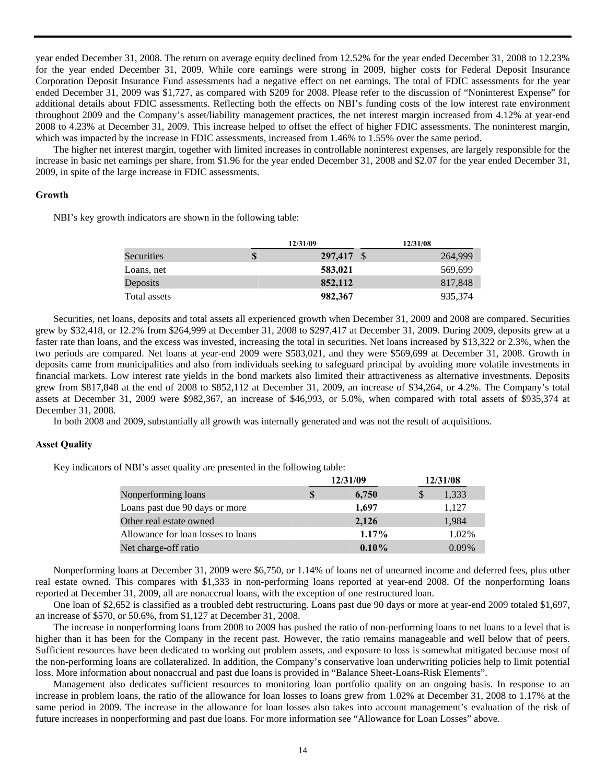year ended December 31, 2008. The return on average equity declined from 12.52% for the year ended December 31, 2008 to 12.23% for the year ended December 31, 2009. While core earnings were strong in 2009, higher costs for Federal Deposit Insurance Corporation Deposit Insurance Fund assessments had a negative effect on net earnings. The total of FDIC assessments for the year ended December 31, 2009 was \$1,727, as compared with \$209 for 2008. Please refer to the discussion of "Noninterest Expense" for additional details about FDIC assessments. Reflecting both the effects on NBI's funding costs of the low interest rate environment throughout 2009 and the Company's asset/liability management practices, the net interest margin increased from 4.12% at year-end 2008 to 4.23% at December 31, 2009. This increase helped to offset the effect of higher FDIC assessments. The noninterest margin, which was impacted by the increase in FDIC assessments, increased from 1.46% to 1.55% over the same period.

 The higher net interest margin, together with limited increases in controllable noninterest expenses, are largely responsible for the increase in basic net earnings per share, from \$1.96 for the year ended December 31, 2008 and \$2.07 for the year ended December 31, 2009, in spite of the large increase in FDIC assessments.

#### **Growth**

NBI's key growth indicators are shown in the following table:

|                   |   | 12/31/09   | 12/31/08 |  |  |  |  |
|-------------------|---|------------|----------|--|--|--|--|
| <b>Securities</b> | S | 297,417 \$ | 264,999  |  |  |  |  |
| Loans, net        |   | 583,021    | 569,699  |  |  |  |  |
| Deposits          |   | 852,112    | 817,848  |  |  |  |  |
| Total assets      |   | 982,367    | 935.374  |  |  |  |  |

Securities, net loans, deposits and total assets all experienced growth when December 31, 2009 and 2008 are compared. Securities grew by \$32,418, or 12.2% from \$264,999 at December 31, 2008 to \$297,417 at December 31, 2009. During 2009, deposits grew at a faster rate than loans, and the excess was invested, increasing the total in securities. Net loans increased by \$13,322 or 2.3%, when the two periods are compared. Net loans at year-end 2009 were \$583,021, and they were \$569,699 at December 31, 2008. Growth in deposits came from municipalities and also from individuals seeking to safeguard principal by avoiding more volatile investments in financial markets. Low interest rate yields in the bond markets also limited their attractiveness as alternative investments. Deposits grew from \$817,848 at the end of 2008 to \$852,112 at December 31, 2009, an increase of \$34,264, or 4.2%. The Company's total assets at December 31, 2009 were \$982,367, an increase of \$46,993, or 5.0%, when compared with total assets of \$935,374 at December 31, 2008.

In both 2008 and 2009, substantially all growth was internally generated and was not the result of acquisitions.

# **Asset Quality**

Key indicators of NBI's asset quality are presented in the following table:

|                                    |   | 12/31/09 | 12/31/08    |
|------------------------------------|---|----------|-------------|
| Nonperforming loans                | S | 6,750    | \$<br>1,333 |
| Loans past due 90 days or more     |   | 1,697    | 1,127       |
| Other real estate owned            |   | 2,126    | 1,984       |
| Allowance for loan losses to loans |   | $1.17\%$ | 1.02%       |
| Net charge-off ratio               |   | $0.10\%$ | 0.09%       |

 Nonperforming loans at December 31, 2009 were \$6,750, or 1.14% of loans net of unearned income and deferred fees, plus other real estate owned. This compares with \$1,333 in non-performing loans reported at year-end 2008. Of the nonperforming loans reported at December 31, 2009, all are nonaccrual loans, with the exception of one restructured loan.

 One loan of \$2,652 is classified as a troubled debt restructuring. Loans past due 90 days or more at year-end 2009 totaled \$1,697, an increase of \$570, or 50.6%, from \$1,127 at December 31, 2008.

 The increase in nonperforming loans from 2008 to 2009 has pushed the ratio of non-performing loans to net loans to a level that is higher than it has been for the Company in the recent past. However, the ratio remains manageable and well below that of peers. Sufficient resources have been dedicated to working out problem assets, and exposure to loss is somewhat mitigated because most of the non-performing loans are collateralized. In addition, the Company's conservative loan underwriting policies help to limit potential loss. More information about nonaccrual and past due loans is provided in "Balance Sheet-Loans-Risk Elements".

 Management also dedicates sufficient resources to monitoring loan portfolio quality on an ongoing basis. In response to an increase in problem loans, the ratio of the allowance for loan losses to loans grew from 1.02% at December 31, 2008 to 1.17% at the same period in 2009. The increase in the allowance for loan losses also takes into account management's evaluation of the risk of future increases in nonperforming and past due loans. For more information see "Allowance for Loan Losses" above.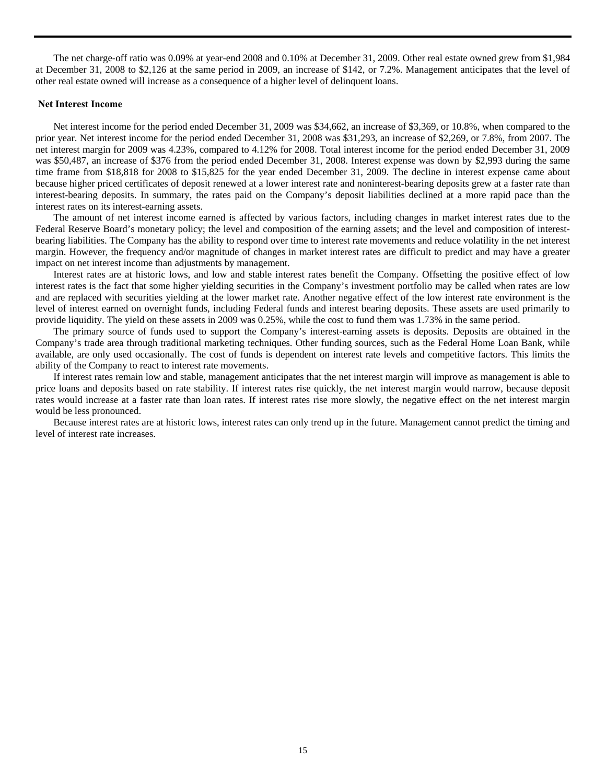The net charge-off ratio was 0.09% at year-end 2008 and 0.10% at December 31, 2009. Other real estate owned grew from \$1,984 at December 31, 2008 to \$2,126 at the same period in 2009, an increase of \$142, or 7.2%. Management anticipates that the level of other real estate owned will increase as a consequence of a higher level of delinquent loans.

#### **Net Interest Income**

 Net interest income for the period ended December 31, 2009 was \$34,662, an increase of \$3,369, or 10.8%, when compared to the prior year. Net interest income for the period ended December 31, 2008 was \$31,293, an increase of \$2,269, or 7.8%, from 2007. The net interest margin for 2009 was 4.23%, compared to 4.12% for 2008. Total interest income for the period ended December 31, 2009 was \$50,487, an increase of \$376 from the period ended December 31, 2008. Interest expense was down by \$2,993 during the same time frame from \$18,818 for 2008 to \$15,825 for the year ended December 31, 2009. The decline in interest expense came about because higher priced certificates of deposit renewed at a lower interest rate and noninterest-bearing deposits grew at a faster rate than interest-bearing deposits. In summary, the rates paid on the Company's deposit liabilities declined at a more rapid pace than the interest rates on its interest-earning assets.

 The amount of net interest income earned is affected by various factors, including changes in market interest rates due to the Federal Reserve Board's monetary policy; the level and composition of the earning assets; and the level and composition of interestbearing liabilities. The Company has the ability to respond over time to interest rate movements and reduce volatility in the net interest margin. However, the frequency and/or magnitude of changes in market interest rates are difficult to predict and may have a greater impact on net interest income than adjustments by management.

 Interest rates are at historic lows, and low and stable interest rates benefit the Company. Offsetting the positive effect of low interest rates is the fact that some higher yielding securities in the Company's investment portfolio may be called when rates are low and are replaced with securities yielding at the lower market rate. Another negative effect of the low interest rate environment is the level of interest earned on overnight funds, including Federal funds and interest bearing deposits. These assets are used primarily to provide liquidity. The yield on these assets in 2009 was 0.25%, while the cost to fund them was 1.73% in the same period.

 The primary source of funds used to support the Company's interest-earning assets is deposits. Deposits are obtained in the Company's trade area through traditional marketing techniques. Other funding sources, such as the Federal Home Loan Bank, while available, are only used occasionally. The cost of funds is dependent on interest rate levels and competitive factors. This limits the ability of the Company to react to interest rate movements.

 If interest rates remain low and stable, management anticipates that the net interest margin will improve as management is able to price loans and deposits based on rate stability. If interest rates rise quickly, the net interest margin would narrow, because deposit rates would increase at a faster rate than loan rates. If interest rates rise more slowly, the negative effect on the net interest margin would be less pronounced.

 Because interest rates are at historic lows, interest rates can only trend up in the future. Management cannot predict the timing and level of interest rate increases.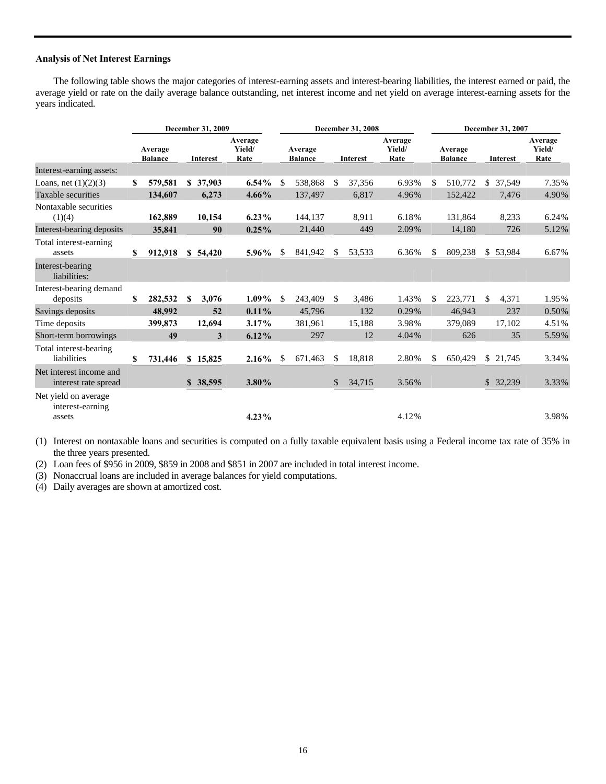### **Analysis of Net Interest Earnings**

 The following table shows the major categories of interest-earning assets and interest-bearing liabilities, the interest earned or paid, the average yield or rate on the daily average balance outstanding, net interest income and net yield on average interest-earning assets for the years indicated.

|                                                 |              |                           |    | December 31, 2009 |                           | <b>December 31, 2008</b> |                           |    |                 |                           | <b>December 31, 2007</b> |                           |    |                 |                           |
|-------------------------------------------------|--------------|---------------------------|----|-------------------|---------------------------|--------------------------|---------------------------|----|-----------------|---------------------------|--------------------------|---------------------------|----|-----------------|---------------------------|
|                                                 |              | Average<br><b>Balance</b> |    | <b>Interest</b>   | Average<br>Yield/<br>Rate |                          | Average<br><b>Balance</b> |    | <b>Interest</b> | Average<br>Yield/<br>Rate |                          | Average<br><b>Balance</b> |    | <b>Interest</b> | Average<br>Yield/<br>Rate |
| Interest-earning assets:                        |              |                           |    |                   |                           |                          |                           |    |                 |                           |                          |                           |    |                 |                           |
| Loans, net $(1)(2)(3)$                          | \$           | 579,581                   | S. | 37,903            | $6.54\%$                  | -\$                      | 538,868                   | \$ | 37,356          | 6.93%                     | \$.                      | 510,772                   | \$ | 37,549          | 7.35%                     |
| <b>Taxable securities</b>                       |              | 134,607                   |    | 6,273             | 4.66%                     |                          | 137,497                   |    | 6,817           | 4.96%                     |                          | 152,422                   |    | 7,476           | 4.90%                     |
| Nontaxable securities<br>(1)(4)                 |              | 162,889                   |    | 10,154            | $6.23\%$                  |                          | 144,137                   |    | 8,911           | 6.18%                     |                          | 131,864                   |    | 8,233           | 6.24%                     |
| Interest-bearing deposits                       |              | 35,841                    |    | 90                | $0.25\%$                  |                          | 21,440                    |    | 449             | 2.09%                     |                          | 14,180                    |    | 726             | 5.12%                     |
| Total interest-earning<br>assets                | S            | 912,918                   |    | \$54,420          | 5.96%                     | S.                       | 841,942                   | S. | 53,533          | 6.36%                     | \$.                      | 809,238                   |    | \$ 53,984       | 6.67%                     |
| Interest-bearing<br>liabilities:                |              |                           |    |                   |                           |                          |                           |    |                 |                           |                          |                           |    |                 |                           |
| Interest-bearing demand<br>deposits             | $\mathbf{s}$ | 282,532                   | S  | 3,076             | $1.09\%$                  | -S                       | 243,409                   | \$ | 3,486           | 1.43%                     | S.                       | 223,771                   | \$ | 4,371           | 1.95%                     |
| Savings deposits                                |              | 48.992                    |    | 52                | $0.11\%$                  |                          | 45,796                    |    | 132             | 0.29%                     |                          | 46,943                    |    | 237             | 0.50%                     |
| Time deposits                                   |              | 399,873                   |    | 12,694            | 3.17%                     |                          | 381,961                   |    | 15,188          | 3.98%                     |                          | 379,089                   |    | 17,102          | 4.51%                     |
| Short-term borrowings                           |              | 49                        |    | 3                 | 6.12%                     |                          | 297                       |    | 12              | 4.04%                     |                          | 626                       |    | 35              | 5.59%                     |
| Total interest-bearing<br>liabilities           | \$           | 731,446                   |    | \$15,825          | $2.16\%$                  | \$                       | 671,463                   | \$ | 18,818          | 2.80%                     | \$                       | 650,429                   |    | \$21,745        | 3.34%                     |
| Net interest income and<br>interest rate spread |              |                           |    | \$38,595          | $3.80\%$                  |                          |                           | \$ | 34,715          | 3.56%                     |                          |                           |    | \$32,239        | 3.33%                     |
| Net yield on average<br>interest-earning        |              |                           |    |                   |                           |                          |                           |    |                 |                           |                          |                           |    |                 |                           |
| assets                                          |              |                           |    |                   | 4.23%                     |                          |                           |    |                 | 4.12%                     |                          |                           |    |                 | 3.98%                     |

(1) Interest on nontaxable loans and securities is computed on a fully taxable equivalent basis using a Federal income tax rate of 35% in the three years presented.

(2) Loan fees of \$956 in 2009, \$859 in 2008 and \$851 in 2007 are included in total interest income.

(3) Nonaccrual loans are included in average balances for yield computations.

(4) Daily averages are shown at amortized cost.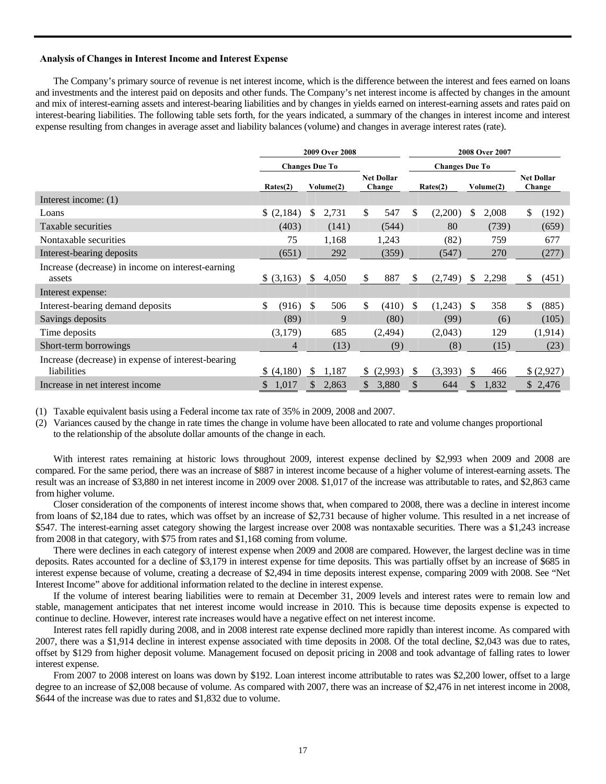#### **Analysis of Changes in Interest Income and Interest Expense**

 The Company's primary source of revenue is net interest income, which is the difference between the interest and fees earned on loans and investments and the interest paid on deposits and other funds. The Company's net interest income is affected by changes in the amount and mix of interest-earning assets and interest-bearing liabilities and by changes in yields earned on interest-earning assets and rates paid on interest-bearing liabilities. The following table sets forth, for the years indicated, a summary of the changes in interest income and interest expense resulting from changes in average asset and liability balances (volume) and changes in average interest rates (rate).

|                                                                   | 2009 Over 2008                  |    |       |    |                             |                       | 2008 Over 2007     |     |           |    |                             |  |
|-------------------------------------------------------------------|---------------------------------|----|-------|----|-----------------------------|-----------------------|--------------------|-----|-----------|----|-----------------------------|--|
|                                                                   | <b>Changes Due To</b>           |    |       |    |                             | <b>Changes Due To</b> |                    |     |           |    |                             |  |
|                                                                   | $\text{ Rates}(2)$<br>Volume(2) |    |       |    | <b>Net Dollar</b><br>Change |                       | $\text{ Rates}(2)$ |     | Volume(2) |    | <b>Net Dollar</b><br>Change |  |
| Interest income: $(1)$                                            |                                 |    |       |    |                             |                       |                    |     |           |    |                             |  |
| Loans                                                             | (2,184)                         | \$ | 2,731 | \$ | 547                         | \$                    | (2,200)            | \$  | 2,008     | \$ | (192)                       |  |
| Taxable securities                                                | (403)                           |    | (141) |    | (544)                       |                       | 80                 |     | (739)     |    | (659)                       |  |
| Nontaxable securities                                             | 75                              |    | 1,168 |    | 1,243                       |                       | (82)               |     | 759       |    | 677                         |  |
| Interest-bearing deposits                                         | (651)                           |    | 292   |    | (359)                       |                       | (547)              |     | 270       |    | (277)                       |  |
| Increase (decrease) in income on interest-earning<br>assets       | \$ (3,163)                      | S  | 4,050 | \$ | 887                         | S                     | (2,749)            | \$  | 2,298     | \$ | (451)                       |  |
| Interest expense:                                                 |                                 |    |       |    |                             |                       |                    |     |           |    |                             |  |
| Interest-bearing demand deposits                                  | \$<br>(916)                     | S  | 506   | \$ | (410)                       | S                     | (1,243)            | \$  | 358       | \$ | (885)                       |  |
| Savings deposits                                                  | (89)                            |    | 9     |    | (80)                        |                       | (99)               |     | (6)       |    | (105)                       |  |
| Time deposits                                                     | (3,179)                         |    | 685   |    | (2,494)                     |                       | (2,043)            |     | 129       |    | (1,914)                     |  |
| Short-term borrowings                                             | 4                               |    | (13)  |    | (9)                         |                       | (8)                |     | (15)      |    | (23)                        |  |
| Increase (decrease) in expense of interest-bearing<br>liabilities | (4,180)                         | S. | 1,187 | S. | (2,993)                     | <sup>\$</sup>         | (3,393)            | \$. | 466       |    | \$(2,927)                   |  |
| Increase in net interest income                                   | 1,017                           | \$ | 2,863 | \$ | 3,880                       | <b>S</b>              | 644                | \$  | 1,832     |    | \$2,476                     |  |

(1) Taxable equivalent basis using a Federal income tax rate of 35% in 2009, 2008 and 2007.

(2) Variances caused by the change in rate times the change in volume have been allocated to rate and volume changes proportional to the relationship of the absolute dollar amounts of the change in each.

With interest rates remaining at historic lows throughout 2009, interest expense declined by \$2,993 when 2009 and 2008 are compared. For the same period, there was an increase of \$887 in interest income because of a higher volume of interest-earning assets. The result was an increase of \$3,880 in net interest income in 2009 over 2008. \$1,017 of the increase was attributable to rates, and \$2,863 came from higher volume.

 Closer consideration of the components of interest income shows that, when compared to 2008, there was a decline in interest income from loans of \$2,184 due to rates, which was offset by an increase of \$2,731 because of higher volume. This resulted in a net increase of \$547. The interest-earning asset category showing the largest increase over 2008 was nontaxable securities. There was a \$1,243 increase from 2008 in that category, with \$75 from rates and \$1,168 coming from volume.

 There were declines in each category of interest expense when 2009 and 2008 are compared. However, the largest decline was in time deposits. Rates accounted for a decline of \$3,179 in interest expense for time deposits. This was partially offset by an increase of \$685 in interest expense because of volume, creating a decrease of \$2,494 in time deposits interest expense, comparing 2009 with 2008. See "Net Interest Income" above for additional information related to the decline in interest expense.

 If the volume of interest bearing liabilities were to remain at December 31, 2009 levels and interest rates were to remain low and stable, management anticipates that net interest income would increase in 2010. This is because time deposits expense is expected to continue to decline. However, interest rate increases would have a negative effect on net interest income.

 Interest rates fell rapidly during 2008, and in 2008 interest rate expense declined more rapidly than interest income. As compared with 2007, there was a \$1,914 decline in interest expense associated with time deposits in 2008. Of the total decline, \$2,043 was due to rates, offset by \$129 from higher deposit volume. Management focused on deposit pricing in 2008 and took advantage of falling rates to lower interest expense.

 From 2007 to 2008 interest on loans was down by \$192. Loan interest income attributable to rates was \$2,200 lower, offset to a large degree to an increase of \$2,008 because of volume. As compared with 2007, there was an increase of \$2,476 in net interest income in 2008, \$644 of the increase was due to rates and \$1,832 due to volume.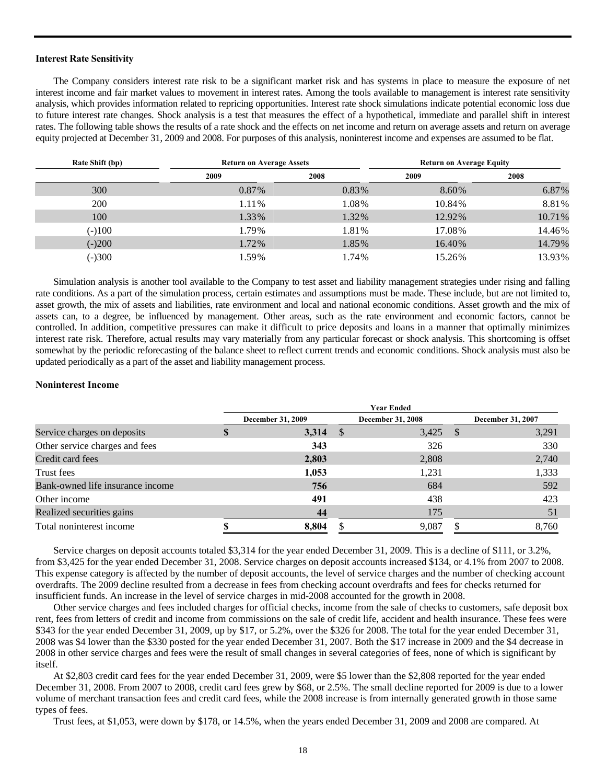#### **Interest Rate Sensitivity**

 The Company considers interest rate risk to be a significant market risk and has systems in place to measure the exposure of net interest income and fair market values to movement in interest rates. Among the tools available to management is interest rate sensitivity analysis, which provides information related to repricing opportunities. Interest rate shock simulations indicate potential economic loss due to future interest rate changes. Shock analysis is a test that measures the effect of a hypothetical, immediate and parallel shift in interest rates. The following table shows the results of a rate shock and the effects on net income and return on average assets and return on average equity projected at December 31, 2009 and 2008. For purposes of this analysis, noninterest income and expenses are assumed to be flat.

| Rate Shift (bp) | <b>Return on Average Assets</b> |          | <b>Return on Average Equity</b> |        |  |
|-----------------|---------------------------------|----------|---------------------------------|--------|--|
|                 | 2009                            | 2008     | 2009                            | 2008   |  |
| 300             | 0.87%                           | $0.83\%$ | 8.60%                           | 6.87%  |  |
| 200             | 1.11%                           | 1.08%    | 10.84%                          | 8.81%  |  |
| 100             | 1.33%                           | 1.32%    | 12.92%                          | 10.71% |  |
| $(-)100$        | 1.79%                           | 1.81%    | 17.08%                          | 14.46% |  |
| $(-)200$        | 1.72%                           | 1.85%    | 16.40%                          | 14.79% |  |
| $(-)300$        | 1.59%                           | 1.74%    | 15.26%                          | 13.93% |  |

 Simulation analysis is another tool available to the Company to test asset and liability management strategies under rising and falling rate conditions. As a part of the simulation process, certain estimates and assumptions must be made. These include, but are not limited to, asset growth, the mix of assets and liabilities, rate environment and local and national economic conditions. Asset growth and the mix of assets can, to a degree, be influenced by management. Other areas, such as the rate environment and economic factors, cannot be controlled. In addition, competitive pressures can make it difficult to price deposits and loans in a manner that optimally minimizes interest rate risk. Therefore, actual results may vary materially from any particular forecast or shock analysis. This shortcoming is offset somewhat by the periodic reforecasting of the balance sheet to reflect current trends and economic conditions. Shock analysis must also be updated periodically as a part of the asset and liability management process.

#### **Noninterest Income**

|                                  | <b>Year Ended</b> |                          |     |                          |      |                          |  |  |  |  |  |  |
|----------------------------------|-------------------|--------------------------|-----|--------------------------|------|--------------------------|--|--|--|--|--|--|
|                                  |                   | <b>December 31, 2009</b> |     | <b>December 31, 2008</b> |      | <b>December 31, 2007</b> |  |  |  |  |  |  |
| Service charges on deposits      |                   | 3,314                    | - S | 3,425                    | - \$ | 3,291                    |  |  |  |  |  |  |
| Other service charges and fees   |                   | 343                      |     | 326                      |      | 330                      |  |  |  |  |  |  |
| Credit card fees                 |                   | 2,803                    |     | 2,808                    |      | 2,740                    |  |  |  |  |  |  |
| Trust fees                       |                   | 1,053                    |     | 1,231                    |      | 1,333                    |  |  |  |  |  |  |
| Bank-owned life insurance income |                   | 756                      |     | 684                      |      | 592                      |  |  |  |  |  |  |
| Other income                     |                   | 491                      |     | 438                      |      | 423                      |  |  |  |  |  |  |
| Realized securities gains        |                   | 44                       |     | 175                      |      | 51                       |  |  |  |  |  |  |
| Total noninterest income         |                   | 8,804                    |     | 9,087                    |      | 8,760                    |  |  |  |  |  |  |

 Service charges on deposit accounts totaled \$3,314 for the year ended December 31, 2009. This is a decline of \$111, or 3.2%, from \$3,425 for the year ended December 31, 2008. Service charges on deposit accounts increased \$134, or 4.1% from 2007 to 2008. This expense category is affected by the number of deposit accounts, the level of service charges and the number of checking account overdrafts. The 2009 decline resulted from a decrease in fees from checking account overdrafts and fees for checks returned for insufficient funds. An increase in the level of service charges in mid-2008 accounted for the growth in 2008.

 Other service charges and fees included charges for official checks, income from the sale of checks to customers, safe deposit box rent, fees from letters of credit and income from commissions on the sale of credit life, accident and health insurance. These fees were \$343 for the year ended December 31, 2009, up by \$17, or 5.2%, over the \$326 for 2008. The total for the year ended December 31, 2008 was \$4 lower than the \$330 posted for the year ended December 31, 2007. Both the \$17 increase in 2009 and the \$4 decrease in 2008 in other service charges and fees were the result of small changes in several categories of fees, none of which is significant by itself.

 At \$2,803 credit card fees for the year ended December 31, 2009, were \$5 lower than the \$2,808 reported for the year ended December 31, 2008. From 2007 to 2008, credit card fees grew by \$68, or 2.5%. The small decline reported for 2009 is due to a lower volume of merchant transaction fees and credit card fees, while the 2008 increase is from internally generated growth in those same types of fees.

Trust fees, at \$1,053, were down by \$178, or 14.5%, when the years ended December 31, 2009 and 2008 are compared. At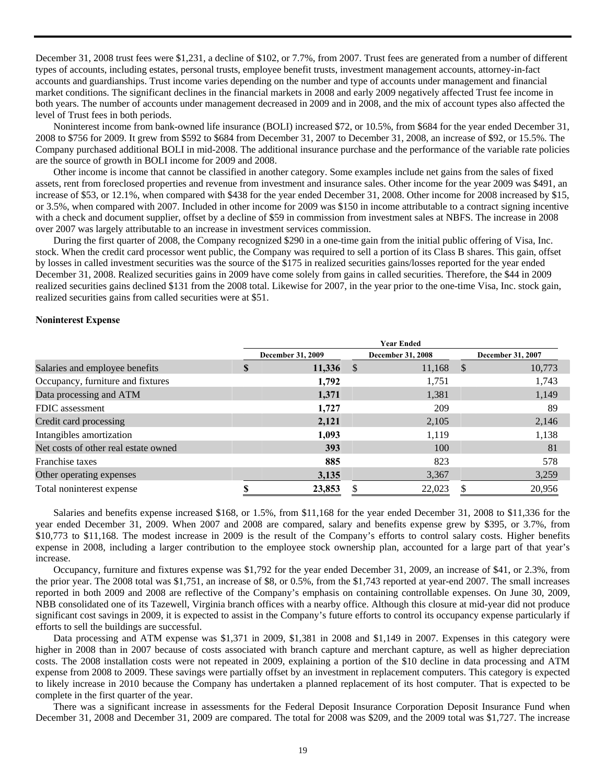December 31, 2008 trust fees were \$1,231, a decline of \$102, or 7.7%, from 2007. Trust fees are generated from a number of different types of accounts, including estates, personal trusts, employee benefit trusts, investment management accounts, attorney-in-fact accounts and guardianships. Trust income varies depending on the number and type of accounts under management and financial market conditions. The significant declines in the financial markets in 2008 and early 2009 negatively affected Trust fee income in both years. The number of accounts under management decreased in 2009 and in 2008, and the mix of account types also affected the level of Trust fees in both periods.

 Noninterest income from bank-owned life insurance (BOLI) increased \$72, or 10.5%, from \$684 for the year ended December 31, 2008 to \$756 for 2009. It grew from \$592 to \$684 from December 31, 2007 to December 31, 2008, an increase of \$92, or 15.5%. The Company purchased additional BOLI in mid-2008. The additional insurance purchase and the performance of the variable rate policies are the source of growth in BOLI income for 2009 and 2008.

 Other income is income that cannot be classified in another category. Some examples include net gains from the sales of fixed assets, rent from foreclosed properties and revenue from investment and insurance sales. Other income for the year 2009 was \$491, an increase of \$53, or 12.1%, when compared with \$438 for the year ended December 31, 2008. Other income for 2008 increased by \$15, or 3.5%, when compared with 2007. Included in other income for 2009 was \$150 in income attributable to a contract signing incentive with a check and document supplier, offset by a decline of \$59 in commission from investment sales at NBFS. The increase in 2008 over 2007 was largely attributable to an increase in investment services commission.

 During the first quarter of 2008, the Company recognized \$290 in a one-time gain from the initial public offering of Visa, Inc. stock. When the credit card processor went public, the Company was required to sell a portion of its Class B shares. This gain, offset by losses in called investment securities was the source of the \$175 in realized securities gains/losses reported for the year ended December 31, 2008. Realized securities gains in 2009 have come solely from gains in called securities. Therefore, the \$44 in 2009 realized securities gains declined \$131 from the 2008 total. Likewise for 2007, in the year prior to the one-time Visa, Inc. stock gain, realized securities gains from called securities were at \$51.

### **Noninterest Expense**

|                                      | <b>Year Ended</b> |                          |      |                          |                   |        |  |  |  |  |  |
|--------------------------------------|-------------------|--------------------------|------|--------------------------|-------------------|--------|--|--|--|--|--|
|                                      |                   | <b>December 31, 2009</b> |      | <b>December 31, 2008</b> | December 31, 2007 |        |  |  |  |  |  |
| Salaries and employee benefits       |                   | 11,336                   | - \$ | $11,168$ \$              |                   | 10,773 |  |  |  |  |  |
| Occupancy, furniture and fixtures    |                   | 1,792                    |      | 1,751                    |                   | 1,743  |  |  |  |  |  |
| Data processing and ATM              |                   | 1,371                    |      | 1,381                    |                   | 1,149  |  |  |  |  |  |
| FDIC assessment                      |                   | 1,727                    |      | 209                      |                   | 89     |  |  |  |  |  |
| Credit card processing               |                   | 2,121                    |      | 2,105                    |                   | 2,146  |  |  |  |  |  |
| Intangibles amortization             |                   | 1,093                    |      | 1,119                    |                   | 1,138  |  |  |  |  |  |
| Net costs of other real estate owned |                   | 393                      |      | 100                      |                   | 81     |  |  |  |  |  |
| Franchise taxes                      |                   | 885                      |      | 823                      |                   | 578    |  |  |  |  |  |
| Other operating expenses             |                   | 3,135                    |      | 3,367                    |                   | 3,259  |  |  |  |  |  |
| Total noninterest expense            |                   | 23,853                   |      | 22,023                   |                   | 20,956 |  |  |  |  |  |

Salaries and benefits expense increased \$168, or 1.5%, from \$11,168 for the year ended December 31, 2008 to \$11,336 for the year ended December 31, 2009. When 2007 and 2008 are compared, salary and benefits expense grew by \$395, or 3.7%, from \$10,773 to \$11,168. The modest increase in 2009 is the result of the Company's efforts to control salary costs. Higher benefits expense in 2008, including a larger contribution to the employee stock ownership plan, accounted for a large part of that year's increase.

 Occupancy, furniture and fixtures expense was \$1,792 for the year ended December 31, 2009, an increase of \$41, or 2.3%, from the prior year. The 2008 total was \$1,751, an increase of \$8, or 0.5%, from the \$1,743 reported at year-end 2007. The small increases reported in both 2009 and 2008 are reflective of the Company's emphasis on containing controllable expenses. On June 30, 2009, NBB consolidated one of its Tazewell, Virginia branch offices with a nearby office. Although this closure at mid-year did not produce significant cost savings in 2009, it is expected to assist in the Company's future efforts to control its occupancy expense particularly if efforts to sell the buildings are successful.

 Data processing and ATM expense was \$1,371 in 2009, \$1,381 in 2008 and \$1,149 in 2007. Expenses in this category were higher in 2008 than in 2007 because of costs associated with branch capture and merchant capture, as well as higher depreciation costs. The 2008 installation costs were not repeated in 2009, explaining a portion of the \$10 decline in data processing and ATM expense from 2008 to 2009. These savings were partially offset by an investment in replacement computers. This category is expected to likely increase in 2010 because the Company has undertaken a planned replacement of its host computer. That is expected to be complete in the first quarter of the year.

 There was a significant increase in assessments for the Federal Deposit Insurance Corporation Deposit Insurance Fund when December 31, 2008 and December 31, 2009 are compared. The total for 2008 was \$209, and the 2009 total was \$1,727. The increase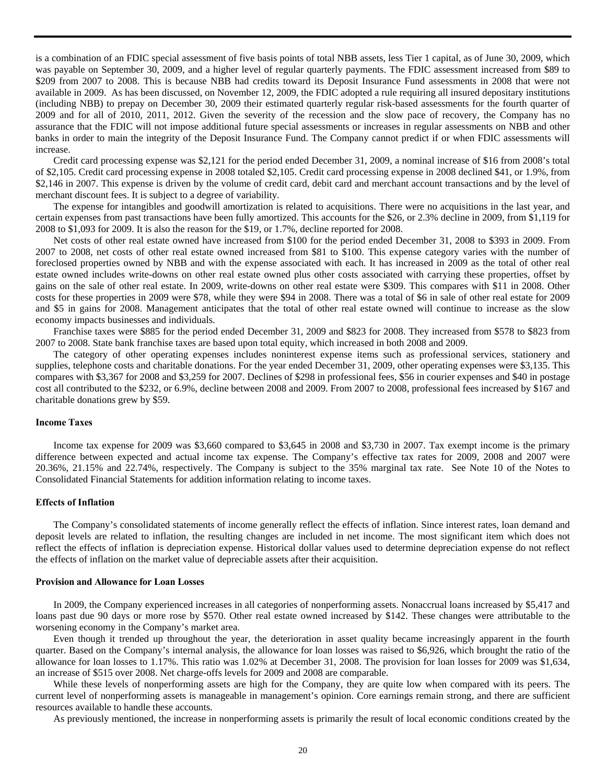is a combination of an FDIC special assessment of five basis points of total NBB assets, less Tier 1 capital, as of June 30, 2009, which was payable on September 30, 2009, and a higher level of regular quarterly payments. The FDIC assessment increased from \$89 to \$209 from 2007 to 2008. This is because NBB had credits toward its Deposit Insurance Fund assessments in 2008 that were not available in 2009. As has been discussed, on November 12, 2009, the FDIC adopted a rule requiring all insured depositary institutions (including NBB) to prepay on December 30, 2009 their estimated quarterly regular risk-based assessments for the fourth quarter of 2009 and for all of 2010, 2011, 2012. Given the severity of the recession and the slow pace of recovery, the Company has no assurance that the FDIC will not impose additional future special assessments or increases in regular assessments on NBB and other banks in order to main the integrity of the Deposit Insurance Fund. The Company cannot predict if or when FDIC assessments will increase.

 Credit card processing expense was \$2,121 for the period ended December 31, 2009, a nominal increase of \$16 from 2008's total of \$2,105. Credit card processing expense in 2008 totaled \$2,105. Credit card processing expense in 2008 declined \$41, or 1.9%, from \$2,146 in 2007. This expense is driven by the volume of credit card, debit card and merchant account transactions and by the level of merchant discount fees. It is subject to a degree of variability.

 The expense for intangibles and goodwill amortization is related to acquisitions. There were no acquisitions in the last year, and certain expenses from past transactions have been fully amortized. This accounts for the \$26, or 2.3% decline in 2009, from \$1,119 for 2008 to \$1,093 for 2009. It is also the reason for the \$19, or 1.7%, decline reported for 2008.

 Net costs of other real estate owned have increased from \$100 for the period ended December 31, 2008 to \$393 in 2009. From 2007 to 2008, net costs of other real estate owned increased from \$81 to \$100. This expense category varies with the number of foreclosed properties owned by NBB and with the expense associated with each. It has increased in 2009 as the total of other real estate owned includes write-downs on other real estate owned plus other costs associated with carrying these properties, offset by gains on the sale of other real estate. In 2009, write-downs on other real estate were \$309. This compares with \$11 in 2008. Other costs for these properties in 2009 were \$78, while they were \$94 in 2008. There was a total of \$6 in sale of other real estate for 2009 and \$5 in gains for 2008. Management anticipates that the total of other real estate owned will continue to increase as the slow economy impacts businesses and individuals.

 Franchise taxes were \$885 for the period ended December 31, 2009 and \$823 for 2008. They increased from \$578 to \$823 from 2007 to 2008. State bank franchise taxes are based upon total equity, which increased in both 2008 and 2009.

 The category of other operating expenses includes noninterest expense items such as professional services, stationery and supplies, telephone costs and charitable donations. For the year ended December 31, 2009, other operating expenses were \$3,135. This compares with \$3,367 for 2008 and \$3,259 for 2007. Declines of \$298 in professional fees, \$56 in courier expenses and \$40 in postage cost all contributed to the \$232, or 6.9%, decline between 2008 and 2009. From 2007 to 2008, professional fees increased by \$167 and charitable donations grew by \$59.

### **Income Taxes**

 Income tax expense for 2009 was \$3,660 compared to \$3,645 in 2008 and \$3,730 in 2007. Tax exempt income is the primary difference between expected and actual income tax expense. The Company's effective tax rates for 2009, 2008 and 2007 were 20.36%, 21.15% and 22.74%, respectively. The Company is subject to the 35% marginal tax rate. See Note 10 of the Notes to Consolidated Financial Statements for addition information relating to income taxes.

#### **Effects of Inflation**

 The Company's consolidated statements of income generally reflect the effects of inflation. Since interest rates, loan demand and deposit levels are related to inflation, the resulting changes are included in net income. The most significant item which does not reflect the effects of inflation is depreciation expense. Historical dollar values used to determine depreciation expense do not reflect the effects of inflation on the market value of depreciable assets after their acquisition.

#### **Provision and Allowance for Loan Losses**

 In 2009, the Company experienced increases in all categories of nonperforming assets. Nonaccrual loans increased by \$5,417 and loans past due 90 days or more rose by \$570. Other real estate owned increased by \$142. These changes were attributable to the worsening economy in the Company's market area.

 Even though it trended up throughout the year, the deterioration in asset quality became increasingly apparent in the fourth quarter. Based on the Company's internal analysis, the allowance for loan losses was raised to \$6,926, which brought the ratio of the allowance for loan losses to 1.17%. This ratio was 1.02% at December 31, 2008. The provision for loan losses for 2009 was \$1,634, an increase of \$515 over 2008. Net charge-offs levels for 2009 and 2008 are comparable.

 While these levels of nonperforming assets are high for the Company, they are quite low when compared with its peers. The current level of nonperforming assets is manageable in management's opinion. Core earnings remain strong, and there are sufficient resources available to handle these accounts.

As previously mentioned, the increase in nonperforming assets is primarily the result of local economic conditions created by the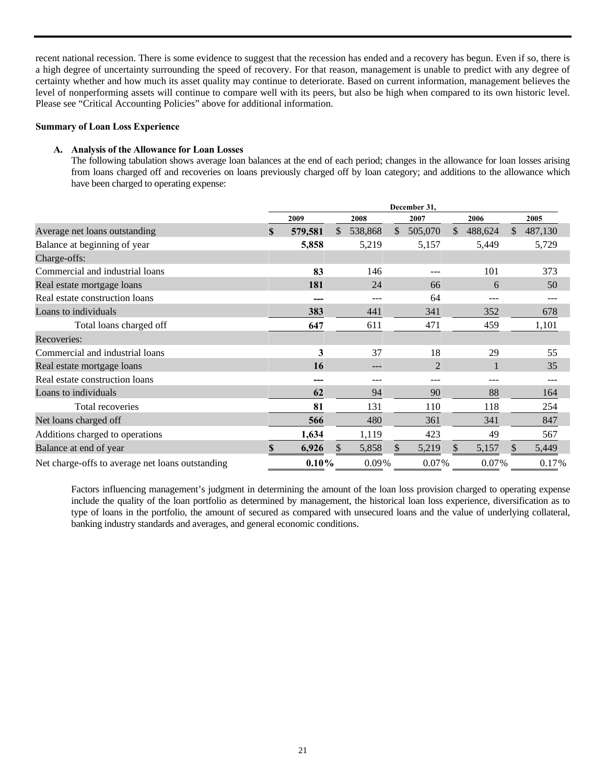recent national recession. There is some evidence to suggest that the recession has ended and a recovery has begun. Even if so, there is a high degree of uncertainty surrounding the speed of recovery. For that reason, management is unable to predict with any degree of certainty whether and how much its asset quality may continue to deteriorate. Based on current information, management believes the level of nonperforming assets will continue to compare well with its peers, but also be high when compared to its own historic level. Please see "Critical Accounting Policies" above for additional information.

### **Summary of Loan Loss Experience**

### **A. Analysis of the Allowance for Loan Losses**

 The following tabulation shows average loan balances at the end of each period; changes in the allowance for loan losses arising from loans charged off and recoveries on loans previously charged off by loan category; and additions to the allowance which have been charged to operating expense:

|                                                  | December 31, |          |               |         |    |         |              |         |              |         |
|--------------------------------------------------|--------------|----------|---------------|---------|----|---------|--------------|---------|--------------|---------|
|                                                  |              | 2009     |               | 2008    |    | 2007    |              | 2006    |              | 2005    |
| Average net loans outstanding                    | S.           | 579,581  | $\mathcal{S}$ | 538,868 | \$ | 505,070 | $\mathbb{S}$ | 488,624 | $\mathbb{S}$ | 487,130 |
| Balance at beginning of year                     |              | 5,858    |               | 5,219   |    | 5,157   |              | 5,449   |              | 5,729   |
| Charge-offs:                                     |              |          |               |         |    |         |              |         |              |         |
| Commercial and industrial loans                  |              | 83       |               | 146     |    |         |              | 101     |              | 373     |
| Real estate mortgage loans                       |              | 181      |               | 24      |    | 66      |              | 6       |              | 50      |
| Real estate construction loans                   |              |          |               |         |    | 64      |              | ---     |              |         |
| Loans to individuals                             |              | 383      |               | 441     |    | 341     |              | 352     |              | 678     |
| Total loans charged off                          |              | 647      |               | 611     |    | 471     |              | 459     |              | 1,101   |
| Recoveries:                                      |              |          |               |         |    |         |              |         |              |         |
| Commercial and industrial loans                  |              | 3        |               | 37      |    | 18      |              | 29      |              | 55      |
| Real estate mortgage loans                       |              | 16       |               |         |    | 2       |              |         |              | 35      |
| Real estate construction loans                   |              |          |               |         |    |         |              | ---     |              |         |
| Loans to individuals                             |              | 62       |               | 94      |    | 90      |              | 88      |              | 164     |
| Total recoveries                                 |              | 81       |               | 131     |    | 110     |              | 118     |              | 254     |
| Net loans charged off                            |              | 566      |               | 480     |    | 361     |              | 341     |              | 847     |
| Additions charged to operations                  |              | 1,634    |               | 1,119   |    | 423     |              | 49      |              | 567     |
| Balance at end of year                           | S            | 6,926    | \$            | 5,858   | S  | 5,219   |              | 5,157   | $\mathbb{S}$ | 5,449   |
| Net charge-offs to average net loans outstanding |              | $0.10\%$ |               | 0.09%   |    | 0.07%   |              | 0.07%   |              | 0.17%   |

 Factors influencing management's judgment in determining the amount of the loan loss provision charged to operating expense include the quality of the loan portfolio as determined by management, the historical loan loss experience, diversification as to type of loans in the portfolio, the amount of secured as compared with unsecured loans and the value of underlying collateral, banking industry standards and averages, and general economic conditions.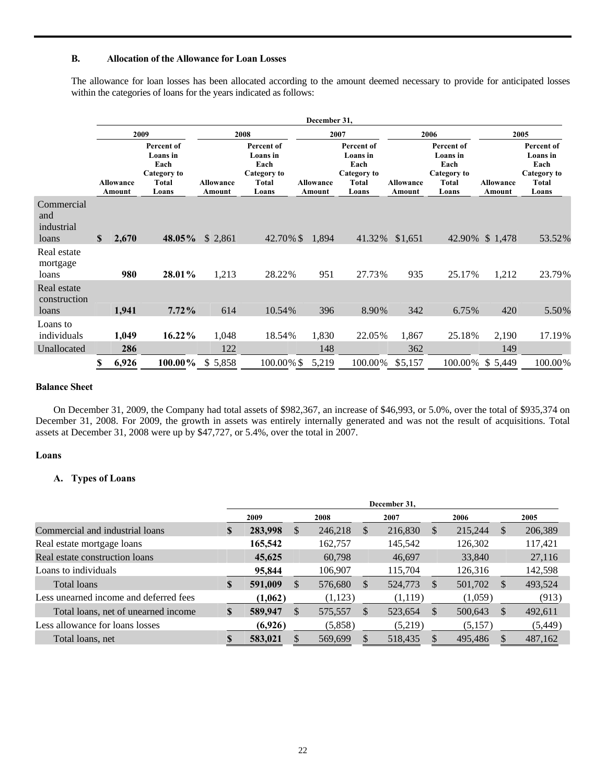### **B. Allocation of the Allowance for Loan Losses**

 The allowance for loan losses has been allocated according to the amount deemed necessary to provide for anticipated losses within the categories of loans for the years indicated as follows:

|                                          |              |                            |                                                                        |                            |                                                                        | December 31,               |                                                                 |                            |                                                                        |                            |                                                                 |  |
|------------------------------------------|--------------|----------------------------|------------------------------------------------------------------------|----------------------------|------------------------------------------------------------------------|----------------------------|-----------------------------------------------------------------|----------------------------|------------------------------------------------------------------------|----------------------------|-----------------------------------------------------------------|--|
|                                          |              |                            | 2009                                                                   |                            | 2008                                                                   |                            | 2007                                                            |                            | 2006                                                                   | 2005                       |                                                                 |  |
|                                          |              | <b>Allowance</b><br>Amount | Percent of<br>Loans in<br>Each<br>Category to<br><b>Total</b><br>Loans | <b>Allowance</b><br>Amount | Percent of<br>Loans in<br>Each<br>Category to<br><b>Total</b><br>Loans | <b>Allowance</b><br>Amount | Percent of<br>Loans in<br>Each<br>Category to<br>Total<br>Loans | <b>Allowance</b><br>Amount | Percent of<br>Loans in<br>Each<br>Category to<br><b>Total</b><br>Loans | <b>Allowance</b><br>Amount | Percent of<br>Loans in<br>Each<br>Category to<br>Total<br>Loans |  |
| Commercial<br>and<br>industrial<br>loans | $\mathbf{s}$ | 2,670                      | 48.05%                                                                 | \$ 2,861                   |                                                                        | 42.70% \$ 1,894            |                                                                 | 41.32% \$1,651             |                                                                        | 42.90% \$1,478             | 53.52%                                                          |  |
| Real estate<br>mortgage<br>loans         |              | 980                        | 28.01%                                                                 | 1,213                      | 28.22%                                                                 | 951                        | 27.73%                                                          | 935                        | 25.17%                                                                 | 1,212                      | 23.79%                                                          |  |
| Real estate<br>construction<br>loans     |              | 1,941                      | $7.72\%$                                                               | 614                        | 10.54%                                                                 | 396                        | 8.90%                                                           | 342                        | 6.75%                                                                  | 420                        | 5.50%                                                           |  |
| Loans to<br>individuals<br>Unallocated   |              | 1,049<br>286               | $16.22\%$                                                              | 1,048<br>122               | 18.54%                                                                 | 1,830<br>148               | 22.05%                                                          | 1,867<br>362               | 25.18%                                                                 | 2,190<br>149               | 17.19%                                                          |  |
|                                          | \$           | 6,926                      | 100.00%                                                                | \$5,858                    | 100.00% \$                                                             | 5,219                      | 100.00%                                                         | \$5,157                    | 100.00%                                                                | \$5,449                    | 100.00%                                                         |  |

### **Balance Sheet**

 On December 31, 2009, the Company had total assets of \$982,367, an increase of \$46,993, or 5.0%, over the total of \$935,374 on December 31, 2008. For 2009, the growth in assets was entirely internally generated and was not the result of acquisitions. Total assets at December 31, 2008 were up by \$47,727, or 5.4%, over the total in 2007.

### **Loans**

### **A. Types of Loans**

|                                        |    |         |               |         |     | December 31. |               |         |               |          |
|----------------------------------------|----|---------|---------------|---------|-----|--------------|---------------|---------|---------------|----------|
|                                        |    | 2009    |               | 2008    |     | 2007         |               | 2006    |               | 2005     |
| Commercial and industrial loans        | п. | 283,998 | <sup>\$</sup> | 246,218 | S   | 216,830      | \$.           | 215,244 | <sup>\$</sup> | 206,389  |
| Real estate mortgage loans             |    | 165,542 |               | 162,757 |     | 145,542      |               | 126,302 |               | 117,421  |
| Real estate construction loans         |    | 45,625  |               | 60,798  |     | 46,697       |               | 33,840  |               | 27,116   |
| Loans to individuals                   |    | 95,844  |               | 106,907 |     | 115,704      |               | 126,316 |               | 142,598  |
| Total loans                            | S  | 591,009 | \$.           | 576,680 | \$. | 524,773      | <sup>\$</sup> | 501,702 | <sup>\$</sup> | 493,524  |
| Less unearned income and deferred fees |    | (1,062) |               | (1,123) |     | (1,119)      |               | (1,059) |               | (913)    |
| Total loans, net of unearned income    | S  | 589,947 | <sup>\$</sup> | 575,557 | \$  | 523,654      | <sup>\$</sup> | 500,643 | S             | 492,611  |
| Less allowance for loans losses        |    | (6,926) |               | (5,858) |     | (5,219)      |               | (5,157) |               | (5, 449) |
| Total loans, net                       |    | 583,021 |               | 569,699 |     | 518,435      |               | 495,486 |               | 487.162  |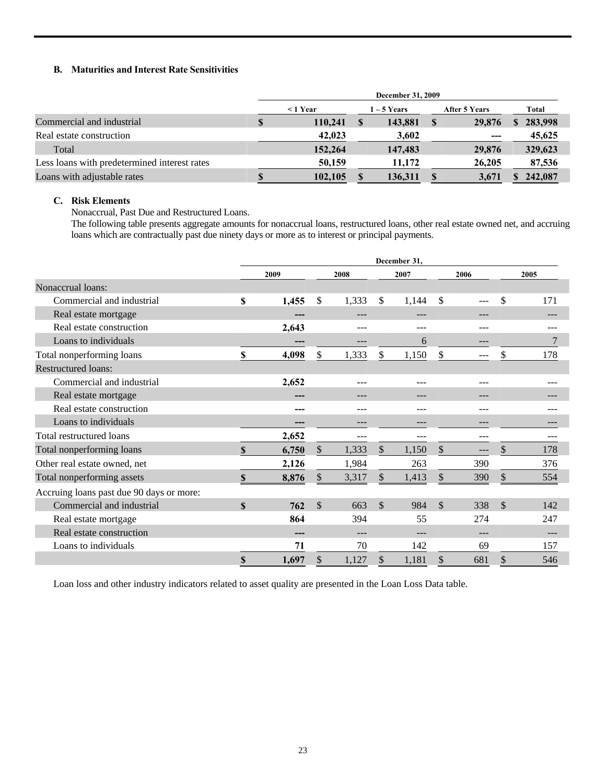### **B. Maturities and Interest Rate Sensitivities**

|                                              | <b>December 31, 2009</b> |               |              |               |  |               |              |  |  |  |  |  |
|----------------------------------------------|--------------------------|---------------|--------------|---------------|--|---------------|--------------|--|--|--|--|--|
|                                              |                          | $\leq$ 1 Year |              | $1 - 5$ Years |  | After 5 Years | Total        |  |  |  |  |  |
| Commercial and industrial                    |                          | 110,241       | <sup>S</sup> | 143,881       |  | 29,876        | 283,998<br>S |  |  |  |  |  |
| Real estate construction                     |                          | 42,023        |              | 3,602         |  | $---$         | 45,625       |  |  |  |  |  |
| Total                                        |                          | 152,264       |              | 147,483       |  | 29,876        | 329,623      |  |  |  |  |  |
| Less loans with predetermined interest rates |                          | 50,159        |              | 11,172        |  | 26,205        | 87,536       |  |  |  |  |  |
| Loans with adjustable rates                  |                          | 102,105       |              | 136,311       |  | 3,671         | 242,087      |  |  |  |  |  |

### **C. Risk Elements**

Nonaccrual, Past Due and Restructured Loans.

 The following table presents aggregate amounts for nonaccrual loans, restructured loans, other real estate owned net, and accruing loans which are contractually past due ninety days or more as to interest or principal payments.

|                                          | December 31, |       |               |         |               |       |               |       |               |      |
|------------------------------------------|--------------|-------|---------------|---------|---------------|-------|---------------|-------|---------------|------|
|                                          |              | 2009  |               | 2008    |               | 2007  | 2006          |       |               | 2005 |
| Nonaccrual loans:                        |              |       |               |         |               |       |               |       |               |      |
| Commercial and industrial                | \$           | 1,455 | \$            | 1,333   | \$            | 1,144 | \$            | $---$ | \$            | 171  |
| Real estate mortgage                     |              |       |               | $- - -$ |               | ---   |               |       |               | ---  |
| Real estate construction                 |              | 2,643 |               |         |               | ---   |               |       |               |      |
| Loans to individuals                     |              |       |               |         |               | 6     |               |       |               |      |
| Total nonperforming loans                | \$           | 4,098 | \$            | 1,333   | \$            | 1,150 | \$            | $---$ | \$            | 178  |
| <b>Restructured loans:</b>               |              |       |               |         |               |       |               |       |               |      |
| Commercial and industrial                |              | 2,652 |               |         |               |       |               |       |               |      |
| Real estate mortgage                     |              |       |               |         |               |       |               |       |               |      |
| Real estate construction                 |              |       |               |         |               | ---   |               |       |               |      |
| Loans to individuals                     |              | ---   |               | ---     |               | ---   |               | ---   |               |      |
| Total restructured loans                 |              | 2,652 |               | ---     |               | ---   |               | $---$ |               | ---  |
| Total nonperforming loans                | \$           | 6,750 | \$            | 1,333   | \$            | 1,150 | \$            |       | \$            | 178  |
| Other real estate owned, net             |              | 2,126 |               | 1,984   |               | 263   |               | 390   |               | 376  |
| Total nonperforming assets               | $\mathbf S$  | 8,876 | $\mathcal{S}$ | 3,317   | $\mathbb{S}$  | 1,413 | \$            | 390   | \$            | 554  |
| Accruing loans past due 90 days or more: |              |       |               |         |               |       |               |       |               |      |
| Commercial and industrial                | $\mathbf S$  | 762   | $\mathcal{S}$ | 663     | $\mathcal{S}$ | 984   | $\mathcal{S}$ | 338   | $\mathcal{S}$ | 142  |
| Real estate mortgage                     |              | 864   |               | 394     |               | 55    |               | 274   |               | 247  |
| Real estate construction                 |              |       |               |         |               | ---   |               | ---   |               |      |
| Loans to individuals                     |              | 71    |               | 70      |               | 142   |               | 69    |               | 157  |
|                                          | \$           | 1,697 | \$            | 1,127   | \$            | 1,181 | \$            | 681   | \$            | 546  |

Loan loss and other industry indicators related to asset quality are presented in the Loan Loss Data table.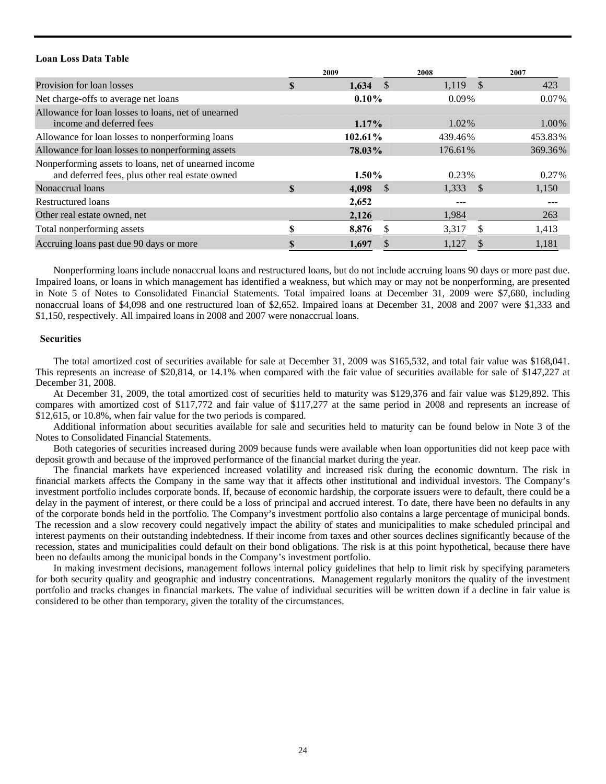#### **Loan Loss Data Table**

|                                                                                                          | 2009               | 2008       | 2007     |
|----------------------------------------------------------------------------------------------------------|--------------------|------------|----------|
| Provision for loan losses                                                                                | 1,634              | $1,119$ \$ | 423      |
| Net charge-offs to average net loans                                                                     | $0.10\%$           | 0.09%      | $0.07\%$ |
| Allowance for loan losses to loans, net of unearned<br>income and deferred fees                          | $1.17\%$           | 1.02%      | 1.00%    |
| Allowance for loan losses to nonperforming loans                                                         | 102.61%            | 439.46%    | 453.83%  |
| Allowance for loan losses to nonperforming assets                                                        | 78.03%             | 176.61%    | 369.36%  |
| Nonperforming assets to loans, net of unearned income<br>and deferred fees, plus other real estate owned | $1.50\%$           | 0.23%      | $0.27\%$ |
| Nonaccrual loans                                                                                         | \$<br>4,098<br>- S | $1,333$ \$ | 1,150    |
| Restructured loans                                                                                       | 2,652              |            |          |
| Other real estate owned, net                                                                             | 2,126              | 1,984      | 263      |
| Total nonperforming assets                                                                               | 8,876              | 3,317      | 1,413    |
| Accruing loans past due 90 days or more                                                                  | 1,697              | 1,127      | 1,181    |

 Nonperforming loans include nonaccrual loans and restructured loans, but do not include accruing loans 90 days or more past due. Impaired loans, or loans in which management has identified a weakness, but which may or may not be nonperforming, are presented in Note 5 of Notes to Consolidated Financial Statements. Total impaired loans at December 31, 2009 were \$7,680, including nonaccrual loans of \$4,098 and one restructured loan of \$2,652. Impaired loans at December 31, 2008 and 2007 were \$1,333 and \$1,150, respectively. All impaired loans in 2008 and 2007 were nonaccrual loans.

#### **Securities**

 The total amortized cost of securities available for sale at December 31, 2009 was \$165,532, and total fair value was \$168,041. This represents an increase of \$20,814, or 14.1% when compared with the fair value of securities available for sale of \$147,227 at December 31, 2008.

 At December 31, 2009, the total amortized cost of securities held to maturity was \$129,376 and fair value was \$129,892. This compares with amortized cost of \$117,772 and fair value of \$117,277 at the same period in 2008 and represents an increase of \$12,615, or 10.8%, when fair value for the two periods is compared.

 Additional information about securities available for sale and securities held to maturity can be found below in Note 3 of the Notes to Consolidated Financial Statements.

 Both categories of securities increased during 2009 because funds were available when loan opportunities did not keep pace with deposit growth and because of the improved performance of the financial market during the year.

 The financial markets have experienced increased volatility and increased risk during the economic downturn. The risk in financial markets affects the Company in the same way that it affects other institutional and individual investors. The Company's investment portfolio includes corporate bonds. If, because of economic hardship, the corporate issuers were to default, there could be a delay in the payment of interest, or there could be a loss of principal and accrued interest. To date, there have been no defaults in any of the corporate bonds held in the portfolio. The Company's investment portfolio also contains a large percentage of municipal bonds. The recession and a slow recovery could negatively impact the ability of states and municipalities to make scheduled principal and interest payments on their outstanding indebtedness. If their income from taxes and other sources declines significantly because of the recession, states and municipalities could default on their bond obligations. The risk is at this point hypothetical, because there have been no defaults among the municipal bonds in the Company's investment portfolio.

 In making investment decisions, management follows internal policy guidelines that help to limit risk by specifying parameters for both security quality and geographic and industry concentrations. Management regularly monitors the quality of the investment portfolio and tracks changes in financial markets. The value of individual securities will be written down if a decline in fair value is considered to be other than temporary, given the totality of the circumstances.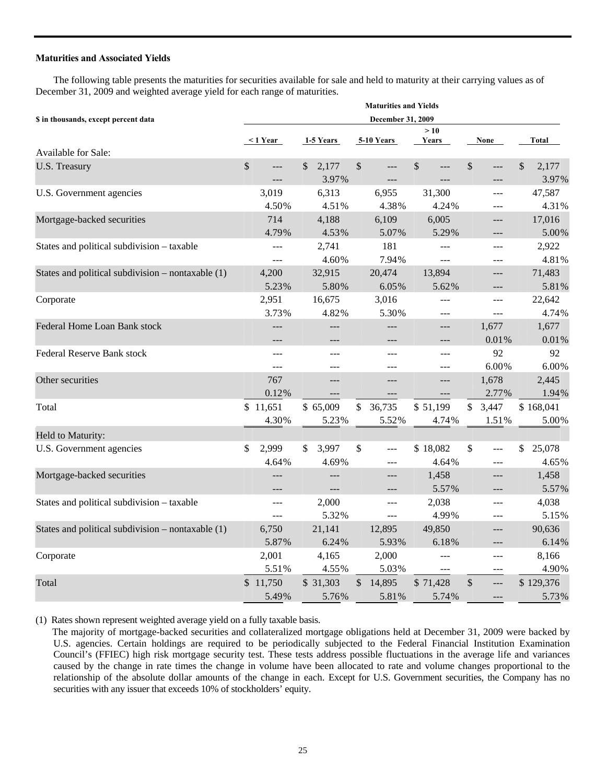### **Maturities and Associated Yields**

 The following table presents the maturities for securities available for sale and held to maturity at their carrying values as of December 31, 2009 and weighted average yield for each range of maturities.

|                                                       | <b>Maturities and Yields</b> |            |    |           |               |                          |              |              |    |                |    |           |  |
|-------------------------------------------------------|------------------------------|------------|----|-----------|---------------|--------------------------|--------------|--------------|----|----------------|----|-----------|--|
| \$ in thousands, except percent data                  |                              |            |    |           |               | <b>December 31, 2009</b> |              |              |    |                |    |           |  |
|                                                       | $\leq$ 1 Year                |            |    | 1-5 Years |               | 5-10 Years               |              | >10<br>Years |    | None           |    | Total     |  |
| Available for Sale:                                   |                              |            |    |           |               |                          |              |              |    |                |    |           |  |
| U.S. Treasury                                         | $\mathcal{S}$                |            | \$ | 2,177     | $\mathcal{S}$ | $---$                    | $\mathbb{S}$ | ---          | \$ |                | \$ | 2,177     |  |
|                                                       |                              | ---<br>--- |    | 3.97%     |               | $---$                    |              | ---          |    | $---$<br>---   |    | 3.97%     |  |
| U.S. Government agencies                              |                              | 3,019      |    | 6,313     |               | 6,955                    |              | 31,300       |    | ---            |    | 47,587    |  |
|                                                       |                              | 4.50%      |    | 4.51%     |               | 4.38%                    |              | 4.24%        |    | $---$          |    | 4.31%     |  |
| Mortgage-backed securities                            |                              | 714        |    | 4,188     |               | 6,109                    |              | 6,005        |    | ---            |    | 17,016    |  |
|                                                       |                              | 4.79%      |    | 4.53%     |               | 5.07%                    |              | 5.29%        |    | ---            |    | 5.00%     |  |
| States and political subdivision - taxable            |                              | ---        |    | 2,741     |               | 181                      |              | ---          |    | ---            |    | 2,922     |  |
|                                                       |                              | $---$      |    | 4.60%     |               | 7.94%                    |              | ---          |    | $---$          |    | 4.81%     |  |
| States and political subdivision $-$ nontaxable $(1)$ |                              | 4,200      |    | 32,915    |               | 20,474                   |              | 13,894       |    | ---            |    | 71,483    |  |
|                                                       |                              | 5.23%      |    | 5.80%     |               | 6.05%                    |              | 5.62%        |    | ---            |    | 5.81%     |  |
| Corporate                                             |                              | 2,951      |    | 16,675    |               | 3,016                    |              | ---          |    | $---$          |    | 22,642    |  |
|                                                       |                              | 3.73%      |    | 4.82%     |               | 5.30%                    |              | $---$        |    | $\overline{a}$ |    | 4.74%     |  |
| Federal Home Loan Bank stock                          |                              | ---        |    | ---       |               | ---                      |              | ---          |    | 1,677          |    | 1,677     |  |
|                                                       |                              |            |    |           |               |                          |              | ---          |    | 0.01%          |    | 0.01%     |  |
| <b>Federal Reserve Bank stock</b>                     |                              | ---        |    | ---       |               | $---$                    |              | $---$        |    | 92             |    | 92        |  |
|                                                       |                              | ---        |    | ---       |               | ---                      |              | ---          |    | 6.00%          |    | 6.00%     |  |
| Other securities                                      |                              | 767        |    | ---       |               | $---$                    |              | ---          |    | 1,678          |    | 2,445     |  |
|                                                       |                              | 0.12%      |    | ---       |               | ---                      |              | ---          |    | 2.77%          |    | 1.94%     |  |
| Total                                                 | \$<br>11,651                 |            |    | \$65,009  | \$            | 36,735                   |              | \$51,199     | \$ | 3,447          |    | \$168,041 |  |
|                                                       |                              | 4.30%      |    | 5.23%     |               | 5.52%                    |              | 4.74%        |    | $1.51\,\%$     |    | 5.00%     |  |
| Held to Maturity:                                     |                              |            |    |           |               |                          |              |              |    |                |    |           |  |
| U.S. Government agencies                              | \$                           | 2,999      | \$ | 3,997     | \$            | $---$                    |              | \$18,082     | \$ | $\overline{a}$ | \$ | 25,078    |  |
|                                                       |                              | 4.64%      |    | 4.69%     |               | ---                      |              | 4.64%        |    | ---            |    | 4.65%     |  |
| Mortgage-backed securities                            |                              | ---        |    | ---       |               | $---$                    |              | 1,458        |    | ---            |    | 1,458     |  |
|                                                       |                              |            |    | ---       |               | $---$                    |              | 5.57%        |    | $---$          |    | 5.57%     |  |
| States and political subdivision - taxable            |                              | ---        |    | 2,000     |               | $---$                    |              | 2,038        |    | $ -$           |    | 4,038     |  |
|                                                       |                              | ---        |    | 5.32%     |               | $---$                    |              | 4.99%        |    | ---            |    | 5.15%     |  |
| States and political subdivision – nontaxable $(1)$   |                              | 6,750      |    | 21,141    |               | 12,895                   |              | 49,850       |    | ---            |    | 90,636    |  |
|                                                       |                              | 5.87%      |    | 6.24%     |               | 5.93%                    |              | 6.18%        |    | $---$          |    | 6.14%     |  |
| Corporate                                             |                              | 2,001      |    | 4,165     |               | 2,000                    |              | ---          |    | $---$          |    | 8,166     |  |
|                                                       |                              | 5.51%      |    | 4.55%     |               | 5.03%                    |              | $---$        |    | $---$          |    | 4.90%     |  |
| Total                                                 | \$<br>11,750                 |            |    | \$31,303  | $\mathbb{S}$  | 14,895                   |              | \$71,428     | \$ | $---$          |    | \$129,376 |  |
|                                                       |                              | 5.49%      |    | 5.76%     |               | 5.81%                    |              | 5.74%        |    | $---$          |    | 5.73%     |  |

(1) Rates shown represent weighted average yield on a fully taxable basis.

 The majority of mortgage-backed securities and collateralized mortgage obligations held at December 31, 2009 were backed by U.S. agencies. Certain holdings are required to be periodically subjected to the Federal Financial Institution Examination Council's (FFIEC) high risk mortgage security test. These tests address possible fluctuations in the average life and variances caused by the change in rate times the change in volume have been allocated to rate and volume changes proportional to the relationship of the absolute dollar amounts of the change in each. Except for U.S. Government securities, the Company has no securities with any issuer that exceeds 10% of stockholders' equity.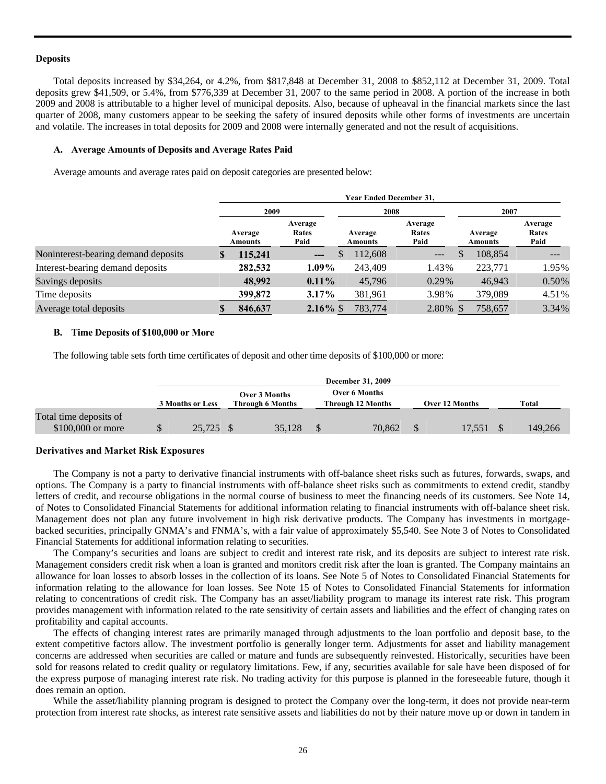#### **Deposits**

 Total deposits increased by \$34,264, or 4.2%, from \$817,848 at December 31, 2008 to \$852,112 at December 31, 2009. Total deposits grew \$41,509, or 5.4%, from \$776,339 at December 31, 2007 to the same period in 2008. A portion of the increase in both 2009 and 2008 is attributable to a higher level of municipal deposits. Also, because of upheaval in the financial markets since the last quarter of 2008, many customers appear to be seeking the safety of insured deposits while other forms of investments are uncertain and volatile. The increases in total deposits for 2009 and 2008 were internally generated and not the result of acquisitions.

#### **A. Average Amounts of Deposits and Average Rates Paid**

Average amounts and average rates paid on deposit categories are presented below:

|                                     | <b>Year Ended December 31,</b> |                    |                          |                    |                          |                    |                          |  |  |  |  |  |  |
|-------------------------------------|--------------------------------|--------------------|--------------------------|--------------------|--------------------------|--------------------|--------------------------|--|--|--|--|--|--|
|                                     |                                | 2009               |                          | 2008               |                          | 2007               |                          |  |  |  |  |  |  |
|                                     |                                | Average<br>Amounts | Average<br>Rates<br>Paid | Average<br>Amounts | Average<br>Rates<br>Paid | Average<br>Amounts | Average<br>Rates<br>Paid |  |  |  |  |  |  |
| Noninterest-bearing demand deposits | S                              | 115,241            | S.<br>---                | 112,608            | $---$                    | 108,854            |                          |  |  |  |  |  |  |
| Interest-bearing demand deposits    |                                | 282,532            | l.09 %                   | 243,409            | 1.43%                    | 223,771            | 1.95%                    |  |  |  |  |  |  |
| Savings deposits                    |                                | 48.992             | $0.11\%$                 | 45,796             | $0.29\%$                 | 46,943             | 0.50%                    |  |  |  |  |  |  |
| Time deposits                       |                                | 399,872            | $3.17\%$                 | 381,961            | 3.98%                    | 379,089            | 4.51%                    |  |  |  |  |  |  |
| Average total deposits              |                                | 846,637            | $2.16\%$ \$              | 783.774            | $2.80\%$ \$              | 758.657            | 3.34%                    |  |  |  |  |  |  |

#### **B. Time Deposits of \$100,000 or More**

The following table sets forth time certificates of deposit and other time deposits of \$100,000 or more:

|                                             | 3 Months or Less | <b>Over 3 Months</b><br><b>Through 6 Months</b> | <b>Over 6 Months</b><br><b>Through 12 Months</b> | Over 12 Months | Total   |
|---------------------------------------------|------------------|-------------------------------------------------|--------------------------------------------------|----------------|---------|
| Total time deposits of<br>\$100,000 or more | 25,725           | 35.128                                          | 70.862                                           | 17.551         | 149,266 |

### **Derivatives and Market Risk Exposures**

 The Company is not a party to derivative financial instruments with off-balance sheet risks such as futures, forwards, swaps, and options. The Company is a party to financial instruments with off-balance sheet risks such as commitments to extend credit, standby letters of credit, and recourse obligations in the normal course of business to meet the financing needs of its customers. See Note 14, of Notes to Consolidated Financial Statements for additional information relating to financial instruments with off-balance sheet risk. Management does not plan any future involvement in high risk derivative products. The Company has investments in mortgagebacked securities, principally GNMA's and FNMA's, with a fair value of approximately \$5,540. See Note 3 of Notes to Consolidated Financial Statements for additional information relating to securities.

 The Company's securities and loans are subject to credit and interest rate risk, and its deposits are subject to interest rate risk. Management considers credit risk when a loan is granted and monitors credit risk after the loan is granted. The Company maintains an allowance for loan losses to absorb losses in the collection of its loans. See Note 5 of Notes to Consolidated Financial Statements for information relating to the allowance for loan losses. See Note 15 of Notes to Consolidated Financial Statements for information relating to concentrations of credit risk. The Company has an asset/liability program to manage its interest rate risk. This program provides management with information related to the rate sensitivity of certain assets and liabilities and the effect of changing rates on profitability and capital accounts.

 The effects of changing interest rates are primarily managed through adjustments to the loan portfolio and deposit base, to the extent competitive factors allow. The investment portfolio is generally longer term. Adjustments for asset and liability management concerns are addressed when securities are called or mature and funds are subsequently reinvested. Historically, securities have been sold for reasons related to credit quality or regulatory limitations. Few, if any, securities available for sale have been disposed of for the express purpose of managing interest rate risk. No trading activity for this purpose is planned in the foreseeable future, though it does remain an option.

 While the asset/liability planning program is designed to protect the Company over the long-term, it does not provide near-term protection from interest rate shocks, as interest rate sensitive assets and liabilities do not by their nature move up or down in tandem in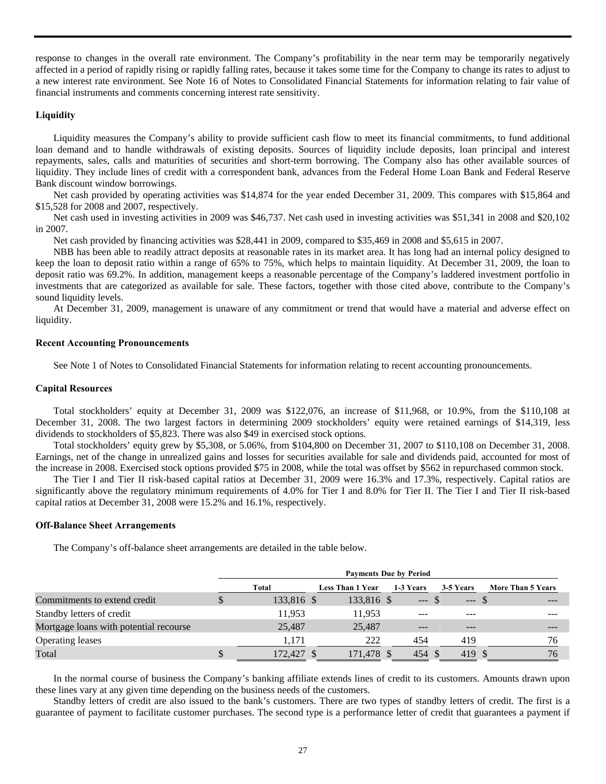response to changes in the overall rate environment. The Company's profitability in the near term may be temporarily negatively affected in a period of rapidly rising or rapidly falling rates, because it takes some time for the Company to change its rates to adjust to a new interest rate environment. See Note 16 of Notes to Consolidated Financial Statements for information relating to fair value of financial instruments and comments concerning interest rate sensitivity.

### **Liquidity**

 Liquidity measures the Company's ability to provide sufficient cash flow to meet its financial commitments, to fund additional loan demand and to handle withdrawals of existing deposits. Sources of liquidity include deposits, loan principal and interest repayments, sales, calls and maturities of securities and short-term borrowing. The Company also has other available sources of liquidity. They include lines of credit with a correspondent bank, advances from the Federal Home Loan Bank and Federal Reserve Bank discount window borrowings.

 Net cash provided by operating activities was \$14,874 for the year ended December 31, 2009. This compares with \$15,864 and \$15,528 for 2008 and 2007, respectively.

 Net cash used in investing activities in 2009 was \$46,737. Net cash used in investing activities was \$51,341 in 2008 and \$20,102 in 2007.

Net cash provided by financing activities was \$28,441 in 2009, compared to \$35,469 in 2008 and \$5,615 in 2007.

 NBB has been able to readily attract deposits at reasonable rates in its market area. It has long had an internal policy designed to keep the loan to deposit ratio within a range of 65% to 75%, which helps to maintain liquidity. At December 31, 2009, the loan to deposit ratio was 69.2%. In addition, management keeps a reasonable percentage of the Company's laddered investment portfolio in investments that are categorized as available for sale. These factors, together with those cited above, contribute to the Company's sound liquidity levels.

 At December 31, 2009, management is unaware of any commitment or trend that would have a material and adverse effect on liquidity.

### **Recent Accounting Pronouncements**

See Note 1 of Notes to Consolidated Financial Statements for information relating to recent accounting pronouncements.

#### **Capital Resources**

 Total stockholders' equity at December 31, 2009 was \$122,076, an increase of \$11,968, or 10.9%, from the \$110,108 at December 31, 2008. The two largest factors in determining 2009 stockholders' equity were retained earnings of \$14,319, less dividends to stockholders of \$5,823. There was also \$49 in exercised stock options.

 Total stockholders' equity grew by \$5,308, or 5.06%, from \$104,800 on December 31, 2007 to \$110,108 on December 31, 2008. Earnings, net of the change in unrealized gains and losses for securities available for sale and dividends paid, accounted for most of the increase in 2008. Exercised stock options provided \$75 in 2008, while the total was offset by \$562 in repurchased common stock.

 The Tier I and Tier II risk-based capital ratios at December 31, 2009 were 16.3% and 17.3%, respectively. Capital ratios are significantly above the regulatory minimum requirements of 4.0% for Tier I and 8.0% for Tier II. The Tier I and Tier II risk-based capital ratios at December 31, 2008 were 15.2% and 16.1%, respectively.

#### **Off-Balance Sheet Arrangements**

The Company's off-balance sheet arrangements are detailed in the table below.

|                                        | <b>Payments Due by Period</b> |  |                         |  |           |  |           |  |                          |  |  |  |
|----------------------------------------|-------------------------------|--|-------------------------|--|-----------|--|-----------|--|--------------------------|--|--|--|
|                                        | Total                         |  | <b>Less Than 1 Year</b> |  | 1-3 Years |  | 3-5 Years |  | <b>More Than 5 Years</b> |  |  |  |
| Commitments to extend credit           | 133,816 \$                    |  | 133,816 \$              |  | $--$ \$   |  | $--$ \$   |  | $- - -$                  |  |  |  |
| Standby letters of credit              | 11.953                        |  | 11,953                  |  | $- - -$   |  | ---       |  |                          |  |  |  |
| Mortgage loans with potential recourse | 25,487                        |  | 25,487                  |  |           |  |           |  |                          |  |  |  |
| <b>Operating leases</b>                | 1,171                         |  | 222                     |  | 454       |  | 419       |  | 76                       |  |  |  |
| Total                                  | 172.427                       |  | 171.478 \$              |  | 454 \$    |  | 419 \$    |  | 76                       |  |  |  |

 In the normal course of business the Company's banking affiliate extends lines of credit to its customers. Amounts drawn upon these lines vary at any given time depending on the business needs of the customers.

 Standby letters of credit are also issued to the bank's customers. There are two types of standby letters of credit. The first is a guarantee of payment to facilitate customer purchases. The second type is a performance letter of credit that guarantees a payment if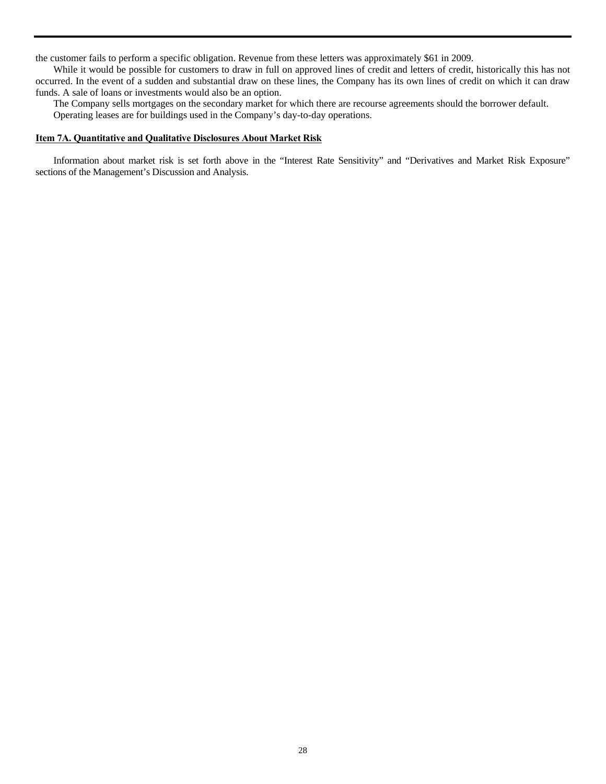the customer fails to perform a specific obligation. Revenue from these letters was approximately \$61 in 2009.

 While it would be possible for customers to draw in full on approved lines of credit and letters of credit, historically this has not occurred. In the event of a sudden and substantial draw on these lines, the Company has its own lines of credit on which it can draw funds. A sale of loans or investments would also be an option.

 The Company sells mortgages on the secondary market for which there are recourse agreements should the borrower default. Operating leases are for buildings used in the Company's day-to-day operations.

### **Item 7A. Quantitative and Qualitative Disclosures About Market Risk**

 Information about market risk is set forth above in the "Interest Rate Sensitivity" and "Derivatives and Market Risk Exposure" sections of the Management's Discussion and Analysis.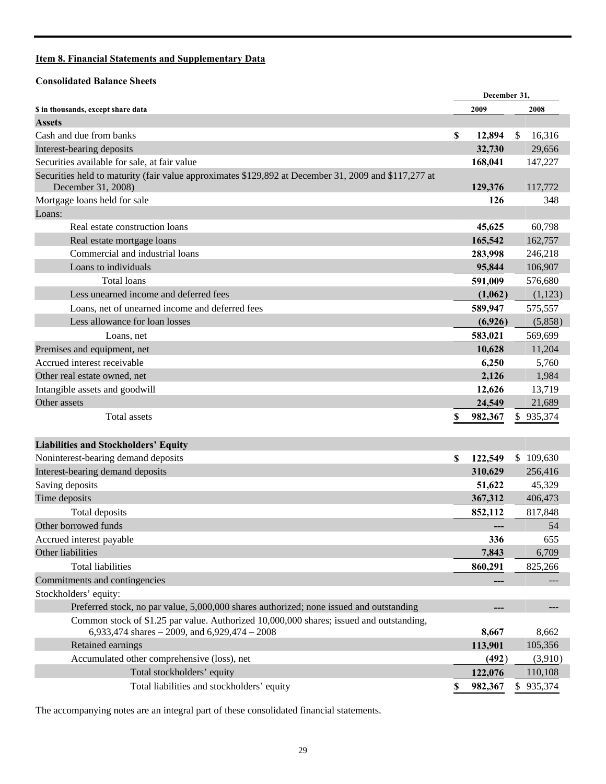# **Item 8. Financial Statements and Supplementary Data**

# **Consolidated Balance Sheets**

|                                                                                                                                          |    | December 31,     |           |         |
|------------------------------------------------------------------------------------------------------------------------------------------|----|------------------|-----------|---------|
| \$ in thousands, except share data                                                                                                       |    | 2009             | 2008      |         |
| <b>Assets</b>                                                                                                                            |    |                  |           |         |
| Cash and due from banks                                                                                                                  | \$ | 12,894           | \$        | 16,316  |
| Interest-bearing deposits                                                                                                                |    | 32,730           |           | 29,656  |
| Securities available for sale, at fair value                                                                                             |    | 168,041          | 147,227   |         |
| Securities held to maturity (fair value approximates \$129,892 at December 31, 2009 and \$117,277 at                                     |    |                  |           |         |
| December 31, 2008)                                                                                                                       |    | 129,376          | 117,772   |         |
| Mortgage loans held for sale                                                                                                             |    | 126              |           | 348     |
| Loans:                                                                                                                                   |    |                  |           |         |
| Real estate construction loans                                                                                                           |    | 45,625           |           | 60,798  |
| Real estate mortgage loans                                                                                                               |    | 165,542          | 162,757   |         |
| Commercial and industrial loans                                                                                                          |    | 283,998          | 246,218   |         |
| Loans to individuals                                                                                                                     |    | 95,844           | 106,907   |         |
| <b>Total loans</b>                                                                                                                       |    | 591,009          | 576,680   |         |
| Less unearned income and deferred fees                                                                                                   |    | (1,062)          |           | (1,123) |
| Loans, net of unearned income and deferred fees                                                                                          |    | 589,947          | 575,557   |         |
| Less allowance for loan losses                                                                                                           |    | (6,926)          |           | (5,858) |
| Loans, net                                                                                                                               |    | 583,021          | 569,699   |         |
| Premises and equipment, net                                                                                                              |    | 10,628           |           | 11,204  |
| Accrued interest receivable                                                                                                              |    | 6,250            |           | 5,760   |
| Other real estate owned, net                                                                                                             |    | 2,126            |           | 1,984   |
| Intangible assets and goodwill                                                                                                           |    | 12,626           |           | 13,719  |
| Other assets                                                                                                                             |    | 24,549           |           | 21,689  |
| <b>Total</b> assets                                                                                                                      | S  | 982,367          | \$935,374 |         |
|                                                                                                                                          |    |                  |           |         |
| <b>Liabilities and Stockholders' Equity</b>                                                                                              |    |                  |           |         |
| Noninterest-bearing demand deposits                                                                                                      | S  | 122,549          | \$109,630 |         |
| Interest-bearing demand deposits                                                                                                         |    | 310,629          | 256,416   |         |
| Saving deposits                                                                                                                          |    | 51,622           |           | 45,329  |
| Time deposits                                                                                                                            |    | 367,312          | 406,473   |         |
| Total deposits                                                                                                                           |    | 852,112          | 817,848   |         |
| Other borrowed funds                                                                                                                     |    |                  |           | 54      |
| Accrued interest payable                                                                                                                 |    | 336              |           | 655     |
| Other liabilities                                                                                                                        |    | 7,843            |           | 6,709   |
| <b>Total liabilities</b>                                                                                                                 |    | 860,291          | 825,266   |         |
| Commitments and contingencies                                                                                                            |    |                  |           |         |
| Stockholders' equity:                                                                                                                    |    |                  |           |         |
| Preferred stock, no par value, 5,000,000 shares authorized; none issued and outstanding                                                  |    |                  |           |         |
| Common stock of \$1.25 par value. Authorized 10,000,000 shares; issued and outstanding,<br>6,933,474 shares – 2009, and 6,929,474 – 2008 |    |                  |           | 8,662   |
|                                                                                                                                          |    | 8,667<br>113,901 | 105,356   |         |
| Retained earnings<br>Accumulated other comprehensive (loss), net                                                                         |    | (492)            |           |         |
| Total stockholders' equity                                                                                                               |    |                  |           | (3,910) |
|                                                                                                                                          |    | 122,076          | 110,108   |         |
| Total liabilities and stockholders' equity                                                                                               | \$ | 982,367          | \$935,374 |         |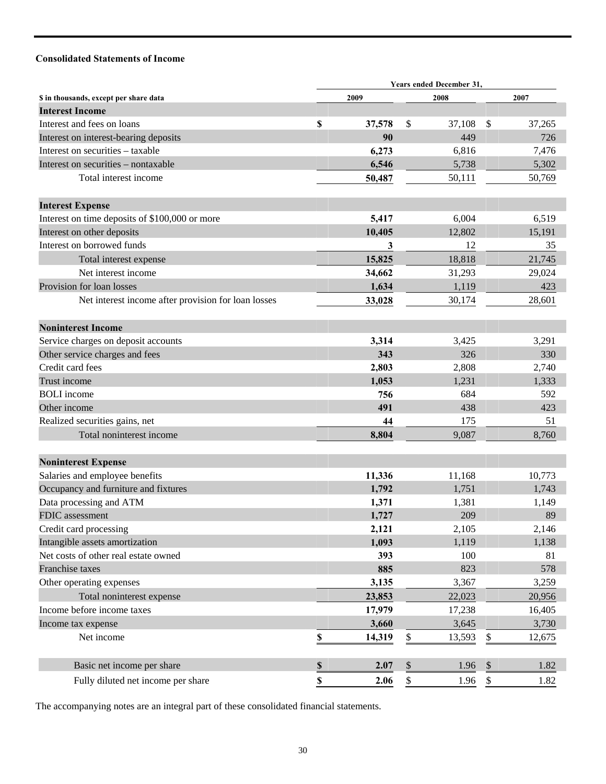# **Consolidated Statements of Income**

|                                                     | Years ended December 31, |        |    |        |              |        |  |  |  |
|-----------------------------------------------------|--------------------------|--------|----|--------|--------------|--------|--|--|--|
| \$ in thousands, except per share data              | 2009                     |        |    | 2008   |              | 2007   |  |  |  |
| <b>Interest Income</b>                              |                          |        |    |        |              |        |  |  |  |
| Interest and fees on loans                          | \$                       | 37,578 | \$ | 37,108 | \$           | 37,265 |  |  |  |
| Interest on interest-bearing deposits               |                          | 90     |    | 449    |              | 726    |  |  |  |
| Interest on securities – taxable                    |                          | 6,273  |    | 6,816  |              | 7,476  |  |  |  |
| Interest on securities - nontaxable                 |                          | 6,546  |    | 5,738  |              | 5,302  |  |  |  |
| Total interest income                               |                          | 50,487 |    | 50,111 |              | 50,769 |  |  |  |
| <b>Interest Expense</b>                             |                          |        |    |        |              |        |  |  |  |
| Interest on time deposits of \$100,000 or more      |                          | 5,417  |    | 6,004  |              | 6,519  |  |  |  |
| Interest on other deposits                          |                          | 10,405 |    | 12,802 |              | 15,191 |  |  |  |
| Interest on borrowed funds                          |                          | 3      |    | 12     |              | 35     |  |  |  |
| Total interest expense                              |                          | 15,825 |    | 18,818 |              | 21,745 |  |  |  |
| Net interest income                                 |                          | 34,662 |    | 31,293 |              | 29,024 |  |  |  |
| Provision for loan losses                           |                          | 1,634  |    | 1,119  |              | 423    |  |  |  |
| Net interest income after provision for loan losses |                          | 33,028 |    | 30,174 |              | 28,601 |  |  |  |
| <b>Noninterest Income</b>                           |                          |        |    |        |              |        |  |  |  |
| Service charges on deposit accounts                 |                          | 3,314  |    | 3,425  |              | 3,291  |  |  |  |
| Other service charges and fees                      |                          | 343    |    | 326    |              | 330    |  |  |  |
| Credit card fees                                    |                          | 2,803  |    | 2,808  |              | 2,740  |  |  |  |
| Trust income                                        |                          | 1,053  |    | 1,231  |              | 1,333  |  |  |  |
| <b>BOLI</b> income                                  |                          | 756    |    | 684    |              | 592    |  |  |  |
| Other income                                        |                          | 491    |    | 438    |              | 423    |  |  |  |
| Realized securities gains, net                      |                          | 44     |    | 175    |              | 51     |  |  |  |
| Total noninterest income                            |                          | 8,804  |    | 9,087  |              | 8,760  |  |  |  |
| <b>Noninterest Expense</b>                          |                          |        |    |        |              |        |  |  |  |
| Salaries and employee benefits                      |                          | 11,336 |    | 11,168 |              | 10,773 |  |  |  |
| Occupancy and furniture and fixtures                |                          | 1,792  |    | 1,751  |              | 1,743  |  |  |  |
| Data processing and ATM                             |                          | 1,371  |    | 1,381  |              | 1,149  |  |  |  |
| FDIC assessment                                     |                          | 1,727  |    | 209    |              | 89     |  |  |  |
| Credit card processing                              |                          | 2,121  |    | 2,105  |              | 2,146  |  |  |  |
| Intangible assets amortization                      |                          | 1,093  |    | 1,119  |              | 1,138  |  |  |  |
| Net costs of other real estate owned                |                          | 393    |    | 100    |              | 81     |  |  |  |
| Franchise taxes                                     |                          | 885    |    | 823    |              | 578    |  |  |  |
| Other operating expenses                            |                          | 3,135  |    | 3,367  |              | 3,259  |  |  |  |
| Total noninterest expense                           |                          | 23,853 |    | 22,023 |              | 20,956 |  |  |  |
| Income before income taxes                          |                          | 17,979 |    | 17,238 |              | 16,405 |  |  |  |
| Income tax expense                                  |                          | 3,660  |    | 3,645  |              | 3,730  |  |  |  |
| Net income                                          | $\mathbb S$              | 14,319 | \$ | 13,593 | \$           | 12,675 |  |  |  |
| Basic net income per share                          | $\mathbb S$              | 2.07   | \$ | 1.96   | $\$\,$       | 1.82   |  |  |  |
| Fully diluted net income per share                  | $\mathbb S$              | 2.06   | \$ | 1.96   | $\mathbb{S}$ | 1.82   |  |  |  |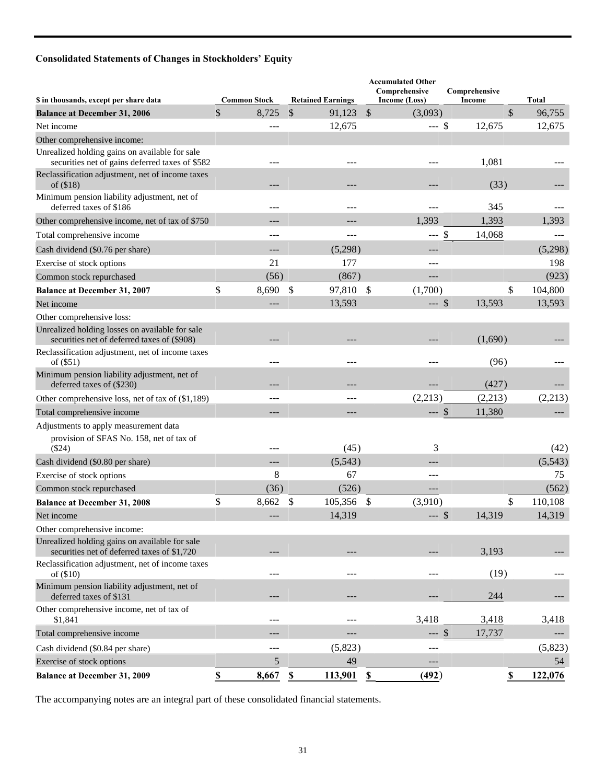# **Consolidated Statements of Changes in Stockholders' Equity**

| \$ in thousands, except per share data                                                            |             | <b>Accumulated Other</b><br>Comprehensive<br><b>Common Stock</b><br><b>Retained Earnings</b><br>Income (Loss) |             |         |                                      | Comprehensive<br>Income              | <b>Total</b> |         |
|---------------------------------------------------------------------------------------------------|-------------|---------------------------------------------------------------------------------------------------------------|-------------|---------|--------------------------------------|--------------------------------------|--------------|---------|
| <b>Balance at December 31, 2006</b>                                                               | \$          | 8,725                                                                                                         | \$          | 91,123  | $\mathcal{S}$<br>(3,093)             |                                      | \$           | 96,755  |
| Net income                                                                                        |             | $---$                                                                                                         |             | 12,675  |                                      | $--$ \$                              | 12,675       | 12,675  |
| Other comprehensive income:                                                                       |             |                                                                                                               |             |         |                                      |                                      |              |         |
| Unrealized holding gains on available for sale<br>securities net of gains deferred taxes of \$582 |             | $---$                                                                                                         |             | ---     |                                      | $- - -$                              | 1,081        |         |
| Reclassification adjustment, net of income taxes<br>of $($ \$18 $)$                               |             |                                                                                                               |             | ---     |                                      | ---                                  | (33)         |         |
| Minimum pension liability adjustment, net of<br>deferred taxes of \$186                           |             | $---$                                                                                                         |             | ---     |                                      |                                      | 345          |         |
| Other comprehensive income, net of tax of \$750                                                   |             | $---$                                                                                                         |             | ---     | 1,393                                |                                      | 1,393        | 1,393   |
| Total comprehensive income                                                                        |             | $---$                                                                                                         |             | ---     |                                      | $\mathcal{S}$<br>$---$               | 14,068       |         |
| Cash dividend (\$0.76 per share)                                                                  |             | $---$                                                                                                         |             | (5,298) |                                      | ---                                  |              | (5,298) |
| Exercise of stock options                                                                         |             | 21                                                                                                            |             | 177     |                                      | $---$                                |              | 198     |
| Common stock repurchased                                                                          |             | (56)                                                                                                          |             | (867)   |                                      | $---$                                |              | (923)   |
| <b>Balance at December 31, 2007</b>                                                               | \$          | 8,690                                                                                                         | \$          | 97,810  | -\$<br>(1,700)                       |                                      | \$           | 104,800 |
| Net income                                                                                        |             | ---                                                                                                           |             | 13,593  |                                      | $--$ \$                              | 13,593       | 13,593  |
| Other comprehensive loss:                                                                         |             |                                                                                                               |             |         |                                      |                                      |              |         |
| Unrealized holding losses on available for sale<br>securities net of deferred taxes of (\$908)    |             |                                                                                                               |             | ---     |                                      |                                      | (1,690)      |         |
| Reclassification adjustment, net of income taxes<br>of (\$51)                                     |             | $---$                                                                                                         |             | ---     |                                      | $---$                                | (96)         |         |
| Minimum pension liability adjustment, net of<br>deferred taxes of (\$230)                         |             |                                                                                                               |             |         |                                      |                                      | (427)        |         |
| Other comprehensive loss, net of tax of (\$1,189)                                                 |             | $---$                                                                                                         |             | ---     | (2,213)                              |                                      | (2,213)      | (2,213) |
| Total comprehensive income                                                                        |             |                                                                                                               |             |         |                                      | - \$<br>$\qquad \qquad - -$          | 11,380       |         |
| Adjustments to apply measurement data                                                             |             |                                                                                                               |             |         |                                      |                                      |              |         |
| provision of SFAS No. 158, net of tax of<br>(\$24)                                                |             |                                                                                                               |             | (45)    |                                      | 3                                    |              | (42)    |
| Cash dividend (\$0.80 per share)                                                                  |             |                                                                                                               |             | (5,543) |                                      |                                      |              | (5,543) |
| Exercise of stock options                                                                         |             | 8                                                                                                             |             | 67      |                                      | ---                                  |              | 75      |
| Common stock repurchased                                                                          |             | (36)                                                                                                          |             | (526)   |                                      | $---$                                |              | (562)   |
| <b>Balance at December 31, 2008</b>                                                               | \$          | 8,662                                                                                                         | \$          | 105,356 | $\boldsymbol{\mathsf{S}}$<br>(3,910) |                                      | \$           | 110,108 |
| Net income                                                                                        |             |                                                                                                               |             | 14,319  |                                      | $--$ \$                              | 14,319       | 14,319  |
| Other comprehensive income:                                                                       |             |                                                                                                               |             |         |                                      |                                      |              |         |
| Unrealized holding gains on available for sale<br>securities net of deferred taxes of \$1,720     |             |                                                                                                               |             |         |                                      |                                      | 3,193        |         |
| Reclassification adjustment, net of income taxes<br>of $(\$10)$                                   |             |                                                                                                               |             |         |                                      |                                      | (19)         |         |
| Minimum pension liability adjustment, net of<br>deferred taxes of \$131                           |             |                                                                                                               |             |         |                                      |                                      | 244          |         |
| Other comprehensive income, net of tax of<br>\$1,841                                              |             | $---$                                                                                                         |             | ---     | 3,418                                |                                      | 3,418        | 3,418   |
| Total comprehensive income                                                                        |             |                                                                                                               |             | ---     |                                      | $\mathcal{S}$<br>$\qquad \qquad - -$ | 17,737       | ---     |
| Cash dividend (\$0.84 per share)                                                                  |             | $---$                                                                                                         |             | (5,823) |                                      | $---$                                |              | (5,823) |
| Exercise of stock options                                                                         |             | 5                                                                                                             |             | 49      |                                      | $---$                                |              | 54      |
| <b>Balance at December 31, 2009</b>                                                               | $\mathbb S$ | 8,667                                                                                                         | $\mathbf S$ | 113,901 | $\mathbf S$<br>(492)                 |                                      | \$           | 122,076 |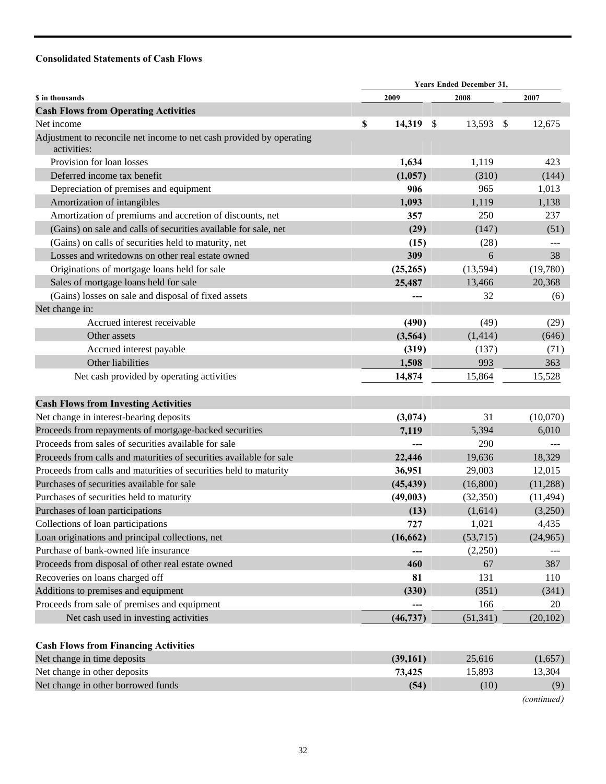# **Consolidated Statements of Cash Flows**

|                                                                                     | Years Ended December 31, |                      |              |      |           |
|-------------------------------------------------------------------------------------|--------------------------|----------------------|--------------|------|-----------|
| \$ in thousands                                                                     |                          | 2009<br>2007<br>2008 |              |      |           |
| <b>Cash Flows from Operating Activities</b>                                         |                          |                      |              |      |           |
| Net income                                                                          | \$                       | 14,319               | \$<br>13,593 | - \$ | 12,675    |
| Adjustment to reconcile net income to net cash provided by operating<br>activities: |                          |                      |              |      |           |
| Provision for loan losses                                                           |                          | 1,634                | 1,119        |      | 423       |
| Deferred income tax benefit                                                         |                          | (1,057)              | (310)        |      | (144)     |
| Depreciation of premises and equipment                                              |                          | 906                  | 965          |      | 1,013     |
| Amortization of intangibles                                                         |                          | 1,093                | 1,119        |      | 1,138     |
| Amortization of premiums and accretion of discounts, net                            |                          | 357                  | 250          |      | 237       |
| (Gains) on sale and calls of securities available for sale, net                     |                          | (29)                 | (147)        |      | (51)      |
| (Gains) on calls of securities held to maturity, net                                |                          | (15)                 | (28)         |      |           |
| Losses and writedowns on other real estate owned                                    |                          | 309                  | 6            |      | 38        |
| Originations of mortgage loans held for sale                                        |                          | (25, 265)            | (13,594)     |      | (19,780)  |
| Sales of mortgage loans held for sale                                               |                          | 25,487               | 13,466       |      | 20,368    |
| (Gains) losses on sale and disposal of fixed assets                                 |                          |                      | 32           |      | (6)       |
| Net change in:                                                                      |                          |                      |              |      |           |
| Accrued interest receivable                                                         |                          | (490)                | (49)         |      | (29)      |
| Other assets                                                                        |                          | (3,564)              | (1, 414)     |      | (646)     |
| Accrued interest payable                                                            |                          | (319)                | (137)        |      | (71)      |
| Other liabilities                                                                   |                          | 1,508                | 993          |      | 363       |
| Net cash provided by operating activities                                           |                          | 14,874               | 15,864       |      | 15,528    |
|                                                                                     |                          |                      |              |      |           |
| <b>Cash Flows from Investing Activities</b>                                         |                          |                      |              |      |           |
| Net change in interest-bearing deposits                                             |                          | (3,074)              | 31           |      | (10,070)  |
| Proceeds from repayments of mortgage-backed securities                              |                          | 7,119                | 5,394        |      | 6,010     |
| Proceeds from sales of securities available for sale                                |                          |                      | 290          |      |           |
| Proceeds from calls and maturities of securities available for sale                 |                          | 22,446               | 19,636       |      | 18,329    |
| Proceeds from calls and maturities of securities held to maturity                   |                          | 36,951               | 29,003       |      | 12,015    |
| Purchases of securities available for sale                                          |                          | (45, 439)            | (16, 800)    |      | (11,288)  |
| Purchases of securities held to maturity                                            |                          | (49,003)             | (32, 350)    |      | (11, 494) |
| Purchases of loan participations                                                    |                          | (13)                 | (1,614)      |      | (3,250)   |
| Collections of loan participations                                                  |                          | 727                  | 1,021        |      | 4,435     |
| Loan originations and principal collections, net                                    |                          | (16, 662)            | (53,715)     |      | (24, 965) |
| Purchase of bank-owned life insurance                                               |                          |                      | (2,250)      |      |           |
| Proceeds from disposal of other real estate owned                                   |                          | 460                  | 67           |      | 387       |
| Recoveries on loans charged off                                                     |                          | 81                   | 131          |      | 110       |
| Additions to premises and equipment                                                 |                          | (330)                | (351)        |      | (341)     |
| Proceeds from sale of premises and equipment                                        |                          |                      | 166          |      | 20        |
| Net cash used in investing activities                                               |                          | (46, 737)            | (51, 341)    |      | (20,102)  |
|                                                                                     |                          |                      |              |      |           |
| <b>Cash Flows from Financing Activities</b>                                         |                          |                      |              |      |           |
| Net change in time deposits                                                         |                          | (39,161)             | 25,616       |      | (1,657)   |
| Net change in other deposits                                                        |                          | 73,425               | 15,893       |      | 13,304    |
| Net change in other borrowed funds                                                  |                          | (54)                 | (10)         |      | (9)       |

*(continued)*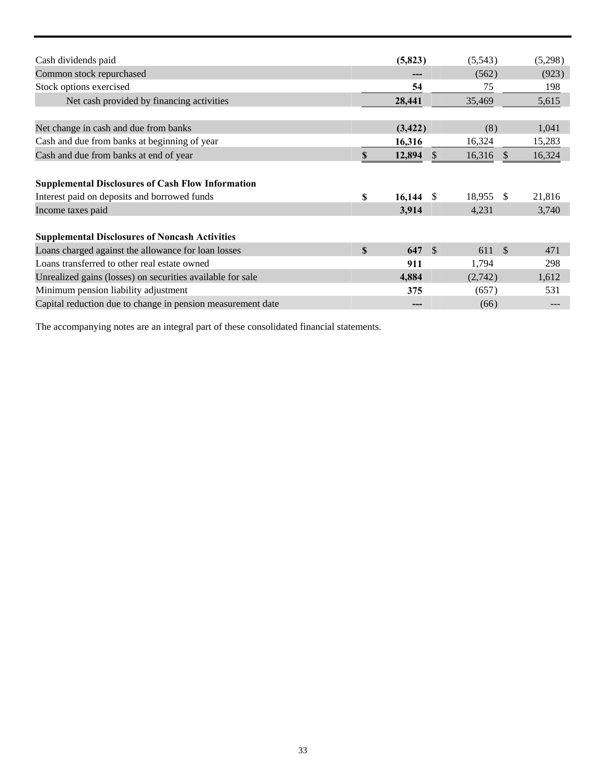| Cash dividends paid                                         |              | (5, 823)    |      | (5,543)   | (5,298)   |
|-------------------------------------------------------------|--------------|-------------|------|-----------|-----------|
| Common stock repurchased                                    |              |             |      | (562)     | (923)     |
| Stock options exercised                                     |              | 54          |      | 75        | 198       |
| Net cash provided by financing activities                   |              | 28,441      |      | 35,469    | 5,615     |
| Net change in cash and due from banks                       |              | (3, 422)    |      | (8)       | 1,041     |
| Cash and due from banks at beginning of year                |              | 16,316      |      | 16,324    | 15,283    |
| Cash and due from banks at end of year                      | S            | 12,894      |      | 16,316    | 16,324    |
| <b>Supplemental Disclosures of Cash Flow Information</b>    |              |             |      |           |           |
| Interest paid on deposits and borrowed funds                | S            | $16,144$ \$ |      | 18,955 \$ | 21,816    |
| Income taxes paid                                           |              | 3,914       |      | 4,231     | 3,740     |
| <b>Supplemental Disclosures of Noncash Activities</b>       |              |             |      |           |           |
| Loans charged against the allowance for loan losses         | $\mathbf{S}$ | 647         | - \$ | 611       | -S<br>471 |
| Loans transferred to other real estate owned                |              | 911         |      | 1,794     | 298       |
| Unrealized gains (losses) on securities available for sale  |              | 4.884       |      | (2,742)   | 1,612     |
| Minimum pension liability adjustment                        |              | 375         |      | (657)     | 531       |
| Capital reduction due to change in pension measurement date |              |             |      | (66)      |           |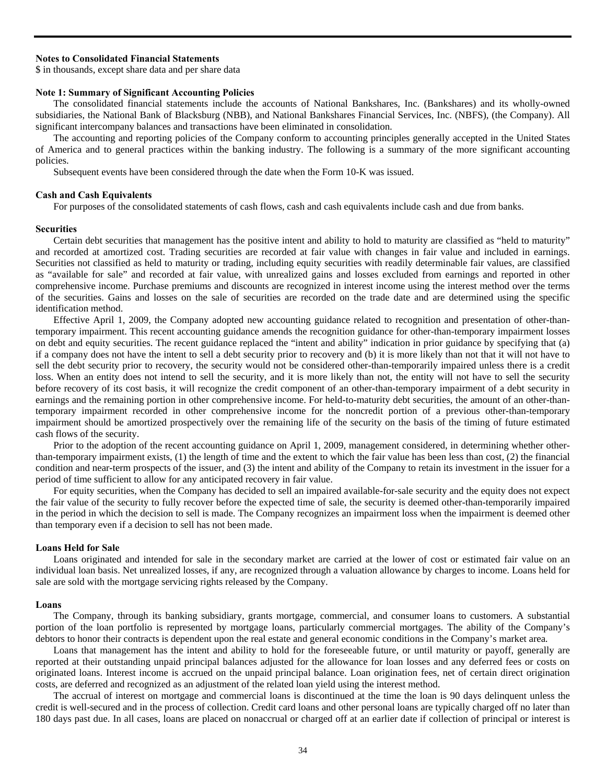### **Notes to Consolidated Financial Statements**

\$ in thousands, except share data and per share data

### **Note 1: Summary of Significant Accounting Policies**

 The consolidated financial statements include the accounts of National Bankshares, Inc. (Bankshares) and its wholly-owned subsidiaries, the National Bank of Blacksburg (NBB), and National Bankshares Financial Services, Inc. (NBFS), (the Company). All significant intercompany balances and transactions have been eliminated in consolidation.

 The accounting and reporting policies of the Company conform to accounting principles generally accepted in the United States of America and to general practices within the banking industry. The following is a summary of the more significant accounting policies.

Subsequent events have been considered through the date when the Form 10-K was issued.

#### **Cash and Cash Equivalents**

For purposes of the consolidated statements of cash flows, cash and cash equivalents include cash and due from banks.

#### **Securities**

 Certain debt securities that management has the positive intent and ability to hold to maturity are classified as "held to maturity" and recorded at amortized cost. Trading securities are recorded at fair value with changes in fair value and included in earnings. Securities not classified as held to maturity or trading, including equity securities with readily determinable fair values, are classified as "available for sale" and recorded at fair value, with unrealized gains and losses excluded from earnings and reported in other comprehensive income. Purchase premiums and discounts are recognized in interest income using the interest method over the terms of the securities. Gains and losses on the sale of securities are recorded on the trade date and are determined using the specific identification method.

 Effective April 1, 2009, the Company adopted new accounting guidance related to recognition and presentation of other-thantemporary impairment. This recent accounting guidance amends the recognition guidance for other-than-temporary impairment losses on debt and equity securities. The recent guidance replaced the "intent and ability" indication in prior guidance by specifying that (a) if a company does not have the intent to sell a debt security prior to recovery and (b) it is more likely than not that it will not have to sell the debt security prior to recovery, the security would not be considered other-than-temporarily impaired unless there is a credit loss. When an entity does not intend to sell the security, and it is more likely than not, the entity will not have to sell the security before recovery of its cost basis, it will recognize the credit component of an other-than-temporary impairment of a debt security in earnings and the remaining portion in other comprehensive income. For held-to-maturity debt securities, the amount of an other-thantemporary impairment recorded in other comprehensive income for the noncredit portion of a previous other-than-temporary impairment should be amortized prospectively over the remaining life of the security on the basis of the timing of future estimated cash flows of the security.

 Prior to the adoption of the recent accounting guidance on April 1, 2009, management considered, in determining whether otherthan-temporary impairment exists, (1) the length of time and the extent to which the fair value has been less than cost, (2) the financial condition and near-term prospects of the issuer, and (3) the intent and ability of the Company to retain its investment in the issuer for a period of time sufficient to allow for any anticipated recovery in fair value.

 For equity securities, when the Company has decided to sell an impaired available-for-sale security and the equity does not expect the fair value of the security to fully recover before the expected time of sale, the security is deemed other-than-temporarily impaired in the period in which the decision to sell is made. The Company recognizes an impairment loss when the impairment is deemed other than temporary even if a decision to sell has not been made.

#### **Loans Held for Sale**

 Loans originated and intended for sale in the secondary market are carried at the lower of cost or estimated fair value on an individual loan basis. Net unrealized losses, if any, are recognized through a valuation allowance by charges to income. Loans held for sale are sold with the mortgage servicing rights released by the Company.

#### **Loans**

 The Company, through its banking subsidiary, grants mortgage, commercial, and consumer loans to customers. A substantial portion of the loan portfolio is represented by mortgage loans, particularly commercial mortgages. The ability of the Company's debtors to honor their contracts is dependent upon the real estate and general economic conditions in the Company's market area.

Loans that management has the intent and ability to hold for the foreseeable future, or until maturity or payoff, generally are reported at their outstanding unpaid principal balances adjusted for the allowance for loan losses and any deferred fees or costs on originated loans. Interest income is accrued on the unpaid principal balance. Loan origination fees, net of certain direct origination costs, are deferred and recognized as an adjustment of the related loan yield using the interest method.

 The accrual of interest on mortgage and commercial loans is discontinued at the time the loan is 90 days delinquent unless the credit is well-secured and in the process of collection. Credit card loans and other personal loans are typically charged off no later than 180 days past due. In all cases, loans are placed on nonaccrual or charged off at an earlier date if collection of principal or interest is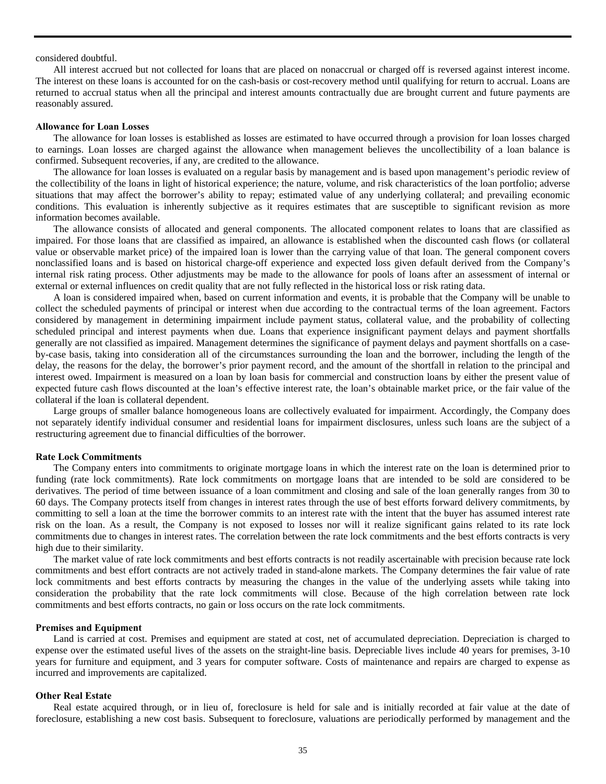considered doubtful.

 All interest accrued but not collected for loans that are placed on nonaccrual or charged off is reversed against interest income. The interest on these loans is accounted for on the cash-basis or cost-recovery method until qualifying for return to accrual. Loans are returned to accrual status when all the principal and interest amounts contractually due are brought current and future payments are reasonably assured.

#### **Allowance for Loan Losses**

 The allowance for loan losses is established as losses are estimated to have occurred through a provision for loan losses charged to earnings. Loan losses are charged against the allowance when management believes the uncollectibility of a loan balance is confirmed. Subsequent recoveries, if any, are credited to the allowance.

 The allowance for loan losses is evaluated on a regular basis by management and is based upon management's periodic review of the collectibility of the loans in light of historical experience; the nature, volume, and risk characteristics of the loan portfolio; adverse situations that may affect the borrower's ability to repay; estimated value of any underlying collateral; and prevailing economic conditions. This evaluation is inherently subjective as it requires estimates that are susceptible to significant revision as more information becomes available.

 The allowance consists of allocated and general components. The allocated component relates to loans that are classified as impaired. For those loans that are classified as impaired, an allowance is established when the discounted cash flows (or collateral value or observable market price) of the impaired loan is lower than the carrying value of that loan. The general component covers nonclassified loans and is based on historical charge-off experience and expected loss given default derived from the Company's internal risk rating process. Other adjustments may be made to the allowance for pools of loans after an assessment of internal or external or external influences on credit quality that are not fully reflected in the historical loss or risk rating data.

 A loan is considered impaired when, based on current information and events, it is probable that the Company will be unable to collect the scheduled payments of principal or interest when due according to the contractual terms of the loan agreement. Factors considered by management in determining impairment include payment status, collateral value, and the probability of collecting scheduled principal and interest payments when due. Loans that experience insignificant payment delays and payment shortfalls generally are not classified as impaired. Management determines the significance of payment delays and payment shortfalls on a caseby-case basis, taking into consideration all of the circumstances surrounding the loan and the borrower, including the length of the delay, the reasons for the delay, the borrower's prior payment record, and the amount of the shortfall in relation to the principal and interest owed. Impairment is measured on a loan by loan basis for commercial and construction loans by either the present value of expected future cash flows discounted at the loan's effective interest rate, the loan's obtainable market price, or the fair value of the collateral if the loan is collateral dependent.

 Large groups of smaller balance homogeneous loans are collectively evaluated for impairment. Accordingly, the Company does not separately identify individual consumer and residential loans for impairment disclosures, unless such loans are the subject of a restructuring agreement due to financial difficulties of the borrower.

#### **Rate Lock Commitments**

 The Company enters into commitments to originate mortgage loans in which the interest rate on the loan is determined prior to funding (rate lock commitments). Rate lock commitments on mortgage loans that are intended to be sold are considered to be derivatives. The period of time between issuance of a loan commitment and closing and sale of the loan generally ranges from 30 to 60 days. The Company protects itself from changes in interest rates through the use of best efforts forward delivery commitments, by committing to sell a loan at the time the borrower commits to an interest rate with the intent that the buyer has assumed interest rate risk on the loan. As a result, the Company is not exposed to losses nor will it realize significant gains related to its rate lock commitments due to changes in interest rates. The correlation between the rate lock commitments and the best efforts contracts is very high due to their similarity.

 The market value of rate lock commitments and best efforts contracts is not readily ascertainable with precision because rate lock commitments and best effort contracts are not actively traded in stand-alone markets. The Company determines the fair value of rate lock commitments and best efforts contracts by measuring the changes in the value of the underlying assets while taking into consideration the probability that the rate lock commitments will close. Because of the high correlation between rate lock commitments and best efforts contracts, no gain or loss occurs on the rate lock commitments.

#### **Premises and Equipment**

 Land is carried at cost. Premises and equipment are stated at cost, net of accumulated depreciation. Depreciation is charged to expense over the estimated useful lives of the assets on the straight-line basis. Depreciable lives include 40 years for premises, 3-10 years for furniture and equipment, and 3 years for computer software. Costs of maintenance and repairs are charged to expense as incurred and improvements are capitalized.

### **Other Real Estate**

 Real estate acquired through, or in lieu of, foreclosure is held for sale and is initially recorded at fair value at the date of foreclosure, establishing a new cost basis. Subsequent to foreclosure, valuations are periodically performed by management and the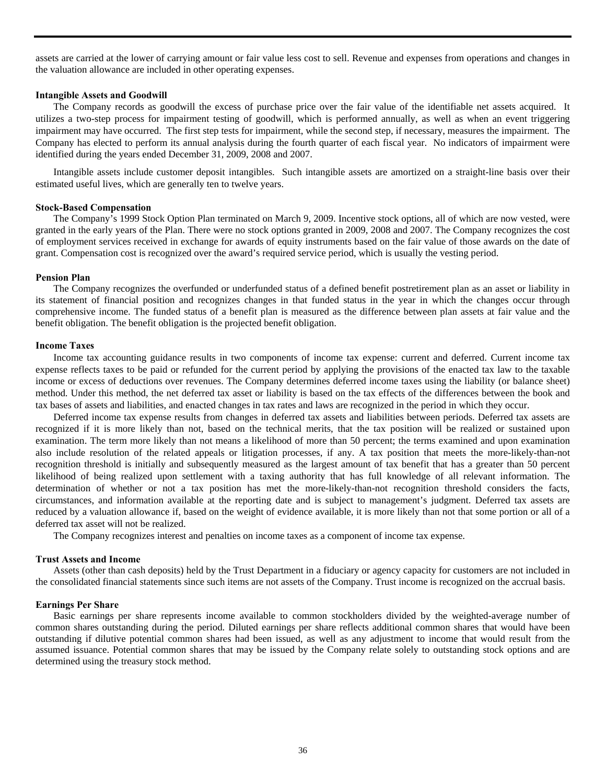assets are carried at the lower of carrying amount or fair value less cost to sell. Revenue and expenses from operations and changes in the valuation allowance are included in other operating expenses.

#### **Intangible Assets and Goodwill**

The Company records as goodwill the excess of purchase price over the fair value of the identifiable net assets acquired. It utilizes a two-step process for impairment testing of goodwill, which is performed annually, as well as when an event triggering impairment may have occurred. The first step tests for impairment, while the second step, if necessary, measures the impairment. The Company has elected to perform its annual analysis during the fourth quarter of each fiscal year. No indicators of impairment were identified during the years ended December 31, 2009, 2008 and 2007.

 Intangible assets include customer deposit intangibles. Such intangible assets are amortized on a straight-line basis over their estimated useful lives, which are generally ten to twelve years.

#### **Stock-Based Compensation**

 The Company's 1999 Stock Option Plan terminated on March 9, 2009. Incentive stock options, all of which are now vested, were granted in the early years of the Plan. There were no stock options granted in 2009, 2008 and 2007. The Company recognizes the cost of employment services received in exchange for awards of equity instruments based on the fair value of those awards on the date of grant. Compensation cost is recognized over the award's required service period, which is usually the vesting period.

### **Pension Plan**

 The Company recognizes the overfunded or underfunded status of a defined benefit postretirement plan as an asset or liability in its statement of financial position and recognizes changes in that funded status in the year in which the changes occur through comprehensive income. The funded status of a benefit plan is measured as the difference between plan assets at fair value and the benefit obligation. The benefit obligation is the projected benefit obligation.

#### **Income Taxes**

 Income tax accounting guidance results in two components of income tax expense: current and deferred. Current income tax expense reflects taxes to be paid or refunded for the current period by applying the provisions of the enacted tax law to the taxable income or excess of deductions over revenues. The Company determines deferred income taxes using the liability (or balance sheet) method. Under this method, the net deferred tax asset or liability is based on the tax effects of the differences between the book and tax bases of assets and liabilities, and enacted changes in tax rates and laws are recognized in the period in which they occur.

 Deferred income tax expense results from changes in deferred tax assets and liabilities between periods. Deferred tax assets are recognized if it is more likely than not, based on the technical merits, that the tax position will be realized or sustained upon examination. The term more likely than not means a likelihood of more than 50 percent; the terms examined and upon examination also include resolution of the related appeals or litigation processes, if any. A tax position that meets the more-likely-than-not recognition threshold is initially and subsequently measured as the largest amount of tax benefit that has a greater than 50 percent likelihood of being realized upon settlement with a taxing authority that has full knowledge of all relevant information. The determination of whether or not a tax position has met the more-likely-than-not recognition threshold considers the facts, circumstances, and information available at the reporting date and is subject to management's judgment. Deferred tax assets are reduced by a valuation allowance if, based on the weight of evidence available, it is more likely than not that some portion or all of a deferred tax asset will not be realized.

The Company recognizes interest and penalties on income taxes as a component of income tax expense.

#### **Trust Assets and Income**

 Assets (other than cash deposits) held by the Trust Department in a fiduciary or agency capacity for customers are not included in the consolidated financial statements since such items are not assets of the Company. Trust income is recognized on the accrual basis.

#### **Earnings Per Share**

 Basic earnings per share represents income available to common stockholders divided by the weighted-average number of common shares outstanding during the period. Diluted earnings per share reflects additional common shares that would have been outstanding if dilutive potential common shares had been issued, as well as any adjustment to income that would result from the assumed issuance. Potential common shares that may be issued by the Company relate solely to outstanding stock options and are determined using the treasury stock method.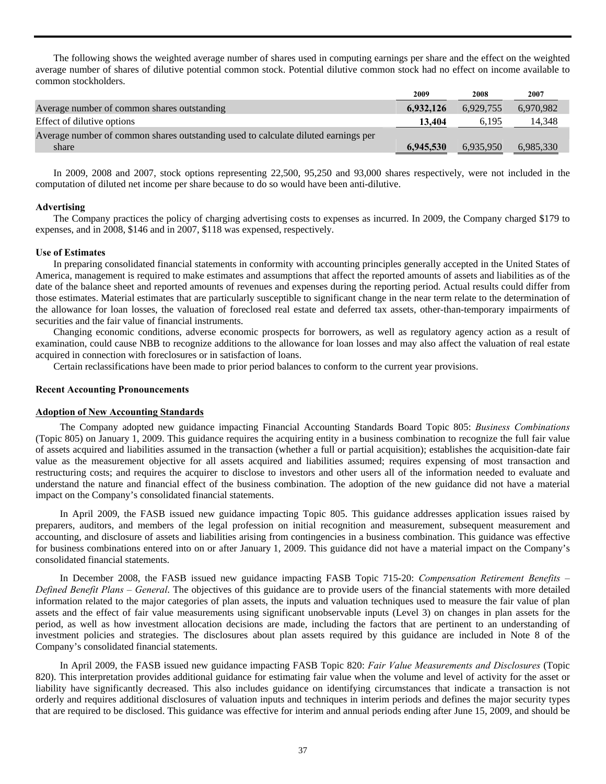The following shows the weighted average number of shares used in computing earnings per share and the effect on the weighted average number of shares of dilutive potential common stock. Potential dilutive common stock had no effect on income available to common stockholders.

|                                                                                    | 2009      | 2008      | 2007      |
|------------------------------------------------------------------------------------|-----------|-----------|-----------|
| Average number of common shares outstanding                                        | 6.932.126 | 6.929.755 | 6.970.982 |
| Effect of dilutive options                                                         | 13,404    | 6.195     | 14,348    |
| Average number of common shares outstanding used to calculate diluted earnings per |           |           |           |
| share                                                                              | 6,945,530 | 6,935,950 | 6,985,330 |

In 2009, 2008 and 2007, stock options representing 22,500, 95,250 and 93,000 shares respectively, were not included in the computation of diluted net income per share because to do so would have been anti-dilutive.

### **Advertising**

 The Company practices the policy of charging advertising costs to expenses as incurred. In 2009, the Company charged \$179 to expenses, and in 2008, \$146 and in 2007, \$118 was expensed, respectively.

#### **Use of Estimates**

 In preparing consolidated financial statements in conformity with accounting principles generally accepted in the United States of America, management is required to make estimates and assumptions that affect the reported amounts of assets and liabilities as of the date of the balance sheet and reported amounts of revenues and expenses during the reporting period. Actual results could differ from those estimates. Material estimates that are particularly susceptible to significant change in the near term relate to the determination of the allowance for loan losses, the valuation of foreclosed real estate and deferred tax assets, other-than-temporary impairments of securities and the fair value of financial instruments.

Changing economic conditions, adverse economic prospects for borrowers, as well as regulatory agency action as a result of examination, could cause NBB to recognize additions to the allowance for loan losses and may also affect the valuation of real estate acquired in connection with foreclosures or in satisfaction of loans.

Certain reclassifications have been made to prior period balances to conform to the current year provisions.

### **Recent Accounting Pronouncements**

#### **Adoption of New Accounting Standards**

The Company adopted new guidance impacting Financial Accounting Standards Board Topic 805: *Business Combinations*  (Topic 805) on January 1, 2009. This guidance requires the acquiring entity in a business combination to recognize the full fair value of assets acquired and liabilities assumed in the transaction (whether a full or partial acquisition); establishes the acquisition-date fair value as the measurement objective for all assets acquired and liabilities assumed; requires expensing of most transaction and restructuring costs; and requires the acquirer to disclose to investors and other users all of the information needed to evaluate and understand the nature and financial effect of the business combination. The adoption of the new guidance did not have a material impact on the Company's consolidated financial statements.

In April 2009, the FASB issued new guidance impacting Topic 805. This guidance addresses application issues raised by preparers, auditors, and members of the legal profession on initial recognition and measurement, subsequent measurement and accounting, and disclosure of assets and liabilities arising from contingencies in a business combination. This guidance was effective for business combinations entered into on or after January 1, 2009. This guidance did not have a material impact on the Company's consolidated financial statements.

In December 2008, the FASB issued new guidance impacting FASB Topic 715-20: *Compensation Retirement Benefits – Defined Benefit Plans – General*. The objectives of this guidance are to provide users of the financial statements with more detailed information related to the major categories of plan assets, the inputs and valuation techniques used to measure the fair value of plan assets and the effect of fair value measurements using significant unobservable inputs (Level 3) on changes in plan assets for the period, as well as how investment allocation decisions are made, including the factors that are pertinent to an understanding of investment policies and strategies. The disclosures about plan assets required by this guidance are included in Note 8 of the Company's consolidated financial statements.

In April 2009, the FASB issued new guidance impacting FASB Topic 820: *Fair Value Measurements and Disclosures* (Topic 820). This interpretation provides additional guidance for estimating fair value when the volume and level of activity for the asset or liability have significantly decreased. This also includes guidance on identifying circumstances that indicate a transaction is not orderly and requires additional disclosures of valuation inputs and techniques in interim periods and defines the major security types that are required to be disclosed. This guidance was effective for interim and annual periods ending after June 15, 2009, and should be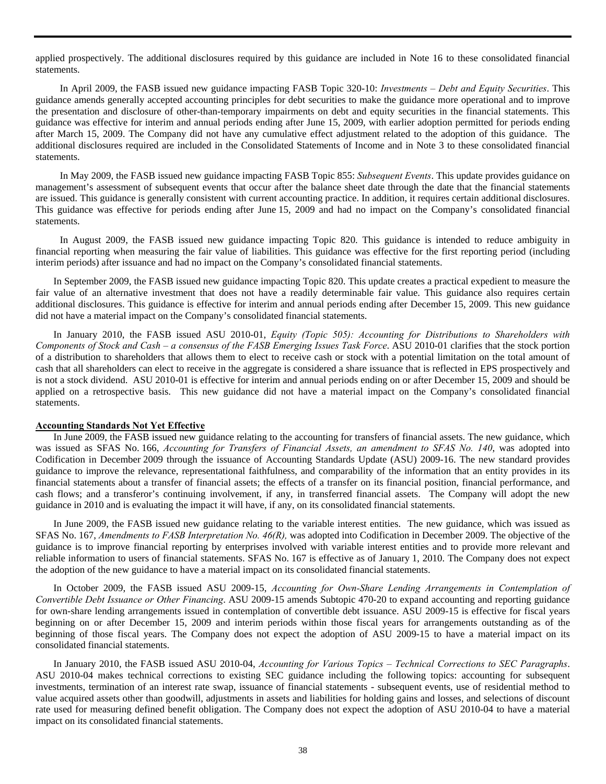applied prospectively. The additional disclosures required by this guidance are included in Note 16 to these consolidated financial statements.

In April 2009, the FASB issued new guidance impacting FASB Topic 320-10: *Investments – Debt and Equity Securities*. This guidance amends generally accepted accounting principles for debt securities to make the guidance more operational and to improve the presentation and disclosure of other-than-temporary impairments on debt and equity securities in the financial statements. This guidance was effective for interim and annual periods ending after June 15, 2009, with earlier adoption permitted for periods ending after March 15, 2009. The Company did not have any cumulative effect adjustment related to the adoption of this guidance. The additional disclosures required are included in the Consolidated Statements of Income and in Note 3 to these consolidated financial statements.

In May 2009, the FASB issued new guidance impacting FASB Topic 855: *Subsequent Events*. This update provides guidance on management's assessment of subsequent events that occur after the balance sheet date through the date that the financial statements are issued. This guidance is generally consistent with current accounting practice. In addition, it requires certain additional disclosures. This guidance was effective for periods ending after June 15, 2009 and had no impact on the Company's consolidated financial statements.

In August 2009, the FASB issued new guidance impacting Topic 820. This guidance is intended to reduce ambiguity in financial reporting when measuring the fair value of liabilities. This guidance was effective for the first reporting period (including interim periods) after issuance and had no impact on the Company's consolidated financial statements.

 In September 2009, the FASB issued new guidance impacting Topic 820. This update creates a practical expedient to measure the fair value of an alternative investment that does not have a readily determinable fair value. This guidance also requires certain additional disclosures. This guidance is effective for interim and annual periods ending after December 15, 2009. This new guidance did not have a material impact on the Company's consolidated financial statements.

 In January 2010, the FASB issued ASU 2010-01, *Equity (Topic 505): Accounting for Distributions to Shareholders with Components of Stock and Cash – a consensus of the FASB Emerging Issues Task Force*. ASU 2010-01 clarifies that the stock portion of a distribution to shareholders that allows them to elect to receive cash or stock with a potential limitation on the total amount of cash that all shareholders can elect to receive in the aggregate is considered a share issuance that is reflected in EPS prospectively and is not a stock dividend. ASU 2010-01 is effective for interim and annual periods ending on or after December 15, 2009 and should be applied on a retrospective basis. This new guidance did not have a material impact on the Company's consolidated financial statements.

### **Accounting Standards Not Yet Effective**

 In June 2009, the FASB issued new guidance relating to the accounting for transfers of financial assets. The new guidance, which was issued as SFAS No. 166, *Accounting for Transfers of Financial Assets, an amendment to SFAS No. 140*, was adopted into Codification in December 2009 through the issuance of Accounting Standards Update (ASU) 2009-16. The new standard provides guidance to improve the relevance, representational faithfulness, and comparability of the information that an entity provides in its financial statements about a transfer of financial assets; the effects of a transfer on its financial position, financial performance, and cash flows; and a transferor's continuing involvement, if any, in transferred financial assets. The Company will adopt the new guidance in 2010 and is evaluating the impact it will have, if any, on its consolidated financial statements.

 In June 2009, the FASB issued new guidance relating to the variable interest entities. The new guidance, which was issued as SFAS No. 167, *Amendments to FASB Interpretation No. 46(R),* was adopted into Codification in December 2009. The objective of the guidance is to improve financial reporting by enterprises involved with variable interest entities and to provide more relevant and reliable information to users of financial statements. SFAS No. 167 is effective as of January 1, 2010. The Company does not expect the adoption of the new guidance to have a material impact on its consolidated financial statements.

 In October 2009, the FASB issued ASU 2009-15, *Accounting for Own-Share Lending Arrangements in Contemplation of Convertible Debt Issuance or Other Financing*. ASU 2009-15 amends Subtopic 470-20 to expand accounting and reporting guidance for own-share lending arrangements issued in contemplation of convertible debt issuance. ASU 2009-15 is effective for fiscal years beginning on or after December 15, 2009 and interim periods within those fiscal years for arrangements outstanding as of the beginning of those fiscal years. The Company does not expect the adoption of ASU 2009-15 to have a material impact on its consolidated financial statements.

 In January 2010, the FASB issued ASU 2010-04, *Accounting for Various Topics – Technical Corrections to SEC Paragraphs*. ASU 2010-04 makes technical corrections to existing SEC guidance including the following topics: accounting for subsequent investments, termination of an interest rate swap, issuance of financial statements - subsequent events, use of residential method to value acquired assets other than goodwill, adjustments in assets and liabilities for holding gains and losses, and selections of discount rate used for measuring defined benefit obligation. The Company does not expect the adoption of ASU 2010-04 to have a material impact on its consolidated financial statements.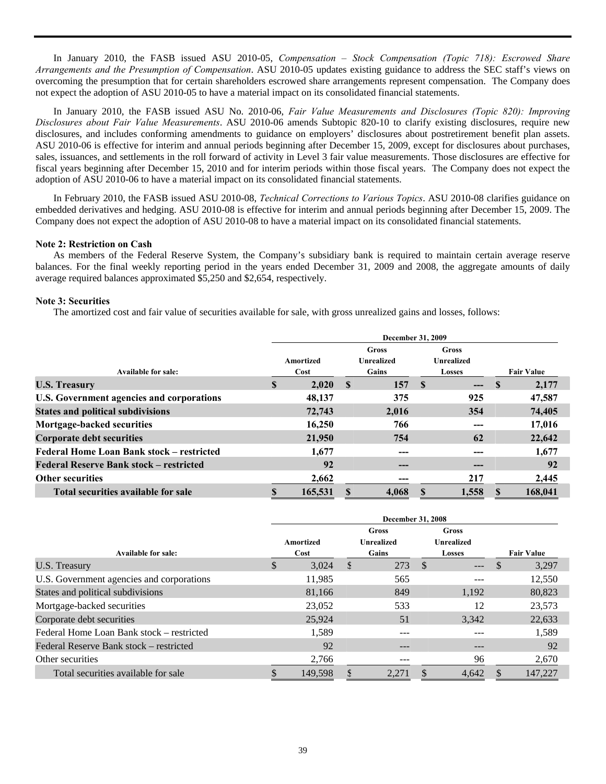In January 2010, the FASB issued ASU 2010-05, *Compensation – Stock Compensation (Topic 718): Escrowed Share Arrangements and the Presumption of Compensation*. ASU 2010-05 updates existing guidance to address the SEC staff's views on overcoming the presumption that for certain shareholders escrowed share arrangements represent compensation. The Company does not expect the adoption of ASU 2010-05 to have a material impact on its consolidated financial statements.

 In January 2010, the FASB issued ASU No. 2010-06, *Fair Value Measurements and Disclosures (Topic 820): Improving Disclosures about Fair Value Measurements*. ASU 2010-06 amends Subtopic 820-10 to clarify existing disclosures, require new disclosures, and includes conforming amendments to guidance on employers' disclosures about postretirement benefit plan assets. ASU 2010-06 is effective for interim and annual periods beginning after December 15, 2009, except for disclosures about purchases, sales, issuances, and settlements in the roll forward of activity in Level 3 fair value measurements. Those disclosures are effective for fiscal years beginning after December 15, 2010 and for interim periods within those fiscal years. The Company does not expect the adoption of ASU 2010-06 to have a material impact on its consolidated financial statements.

 In February 2010, the FASB issued ASU 2010-08, *Technical Corrections to Various Topics*. ASU 2010-08 clarifies guidance on embedded derivatives and hedging. ASU 2010-08 is effective for interim and annual periods beginning after December 15, 2009. The Company does not expect the adoption of ASU 2010-08 to have a material impact on its consolidated financial statements.

### **Note 2: Restriction on Cash**

 As members of the Federal Reserve System, the Company's subsidiary bank is required to maintain certain average reserve balances. For the final weekly reporting period in the years ended December 31, 2009 and 2008, the aggregate amounts of daily average required balances approximated \$5,250 and \$2,654, respectively.

### **Note 3: Securities**

The amortized cost and fair value of securities available for sale, with gross unrealized gains and losses, follows:

|                                                | <b>December 31, 2009</b> |         |                                     |       |                                                    |       |  |                   |  |  |
|------------------------------------------------|--------------------------|---------|-------------------------------------|-------|----------------------------------------------------|-------|--|-------------------|--|--|
| <b>Available for sale:</b>                     | Amortized<br>Cost        |         | Gross<br><b>Unrealized</b><br>Gains |       | <b>Gross</b><br><b>Unrealized</b><br><b>Losses</b> |       |  | <b>Fair Value</b> |  |  |
| <b>U.S. Treasury</b>                           | S                        | 2.020   | - \$                                | 157   | - \$                                               | $---$ |  | 2,177             |  |  |
| U.S. Government agencies and corporations      |                          | 48,137  |                                     | 375   |                                                    | 925   |  | 47,587            |  |  |
| <b>States and political subdivisions</b>       |                          | 72,743  |                                     | 2,016 |                                                    | 354   |  | 74,405            |  |  |
| Mortgage-backed securities                     |                          | 16,250  |                                     | 766   |                                                    |       |  | 17,016            |  |  |
| <b>Corporate debt securities</b>               |                          | 21,950  |                                     | 754   |                                                    | 62    |  | 22,642            |  |  |
| Federal Home Loan Bank stock – restricted      |                          | 1,677   |                                     | ---   |                                                    |       |  | 1,677             |  |  |
| <b>Federal Reserve Bank stock – restricted</b> |                          | 92      |                                     | ---   |                                                    | ---   |  | 92                |  |  |
| <b>Other securities</b>                        |                          | 2,662   |                                     | ---   |                                                    | 217   |  | 2,445             |  |  |
| Total securities available for sale            |                          | 165,531 |                                     | 4,068 |                                                    | 1,558 |  | 168,041           |  |  |

|                                           | <b>December 31, 2008</b> |         |                                                   |       |                                                    |       |   |                   |  |
|-------------------------------------------|--------------------------|---------|---------------------------------------------------|-------|----------------------------------------------------|-------|---|-------------------|--|
| <b>Available for sale:</b>                | Amortized<br>Cost        |         | <b>Gross</b><br><b>Unrealized</b><br><b>Gains</b> |       | <b>Gross</b><br><b>Unrealized</b><br><b>Losses</b> |       |   | <b>Fair Value</b> |  |
| U.S. Treasury                             |                          | 3,024   | <sup>\$</sup>                                     | 273   | <sup>\$</sup>                                      | $---$ | S | 3,297             |  |
| U.S. Government agencies and corporations |                          | 11,985  |                                                   | 565   |                                                    | ---   |   | 12,550            |  |
| States and political subdivisions         |                          | 81,166  |                                                   | 849   |                                                    | 1,192 |   | 80,823            |  |
| Mortgage-backed securities                |                          | 23,052  |                                                   | 533   |                                                    | 12    |   | 23,573            |  |
| Corporate debt securities                 |                          | 25,924  |                                                   | 51    |                                                    | 3,342 |   | 22,633            |  |
| Federal Home Loan Bank stock – restricted |                          | 1,589   |                                                   | ---   |                                                    | ---   |   | 1,589             |  |
| Federal Reserve Bank stock – restricted   |                          | 92      |                                                   | ---   |                                                    | ---   |   | 92                |  |
| Other securities                          |                          | 2,766   |                                                   | $---$ |                                                    | 96    |   | 2,670             |  |
| Total securities available for sale       |                          | 149,598 |                                                   | 2,271 |                                                    | 4,642 |   | 147,227           |  |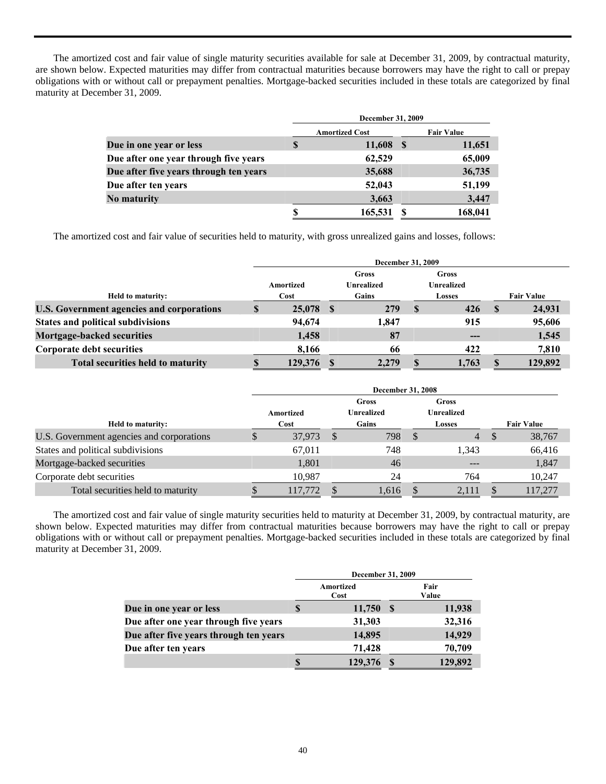The amortized cost and fair value of single maturity securities available for sale at December 31, 2009, by contractual maturity, are shown below. Expected maturities may differ from contractual maturities because borrowers may have the right to call or prepay obligations with or without call or prepayment penalties. Mortgage-backed securities included in these totals are categorized by final maturity at December 31, 2009.

|                                        | December 31, 2009 |                       |  |                   |  |  |  |  |
|----------------------------------------|-------------------|-----------------------|--|-------------------|--|--|--|--|
|                                        |                   | <b>Amortized Cost</b> |  | <b>Fair Value</b> |  |  |  |  |
| Due in one year or less                | S                 | 11,608                |  | 11,651            |  |  |  |  |
| Due after one year through five years  |                   | 62,529                |  | 65,009            |  |  |  |  |
| Due after five years through ten years |                   | 35,688                |  | 36,735            |  |  |  |  |
| Due after ten years                    |                   | 52,043                |  | 51,199            |  |  |  |  |
| No maturity                            |                   | 3,663                 |  | 3,447             |  |  |  |  |
|                                        | S                 | 165,531               |  | 168,041           |  |  |  |  |

The amortized cost and fair value of securities held to maturity, with gross unrealized gains and losses, follows:

|                                                  |           | <b>December 31, 2009</b> |  |                            |                            |        |          |                   |  |  |  |
|--------------------------------------------------|-----------|--------------------------|--|----------------------------|----------------------------|--------|----------|-------------------|--|--|--|
|                                                  | Amortized |                          |  | Gross<br><b>Unrealized</b> | Gross<br><b>Unrealized</b> |        |          |                   |  |  |  |
| <b>Held to maturity:</b>                         |           | Cost                     |  | Gains                      |                            | Losses |          | <b>Fair Value</b> |  |  |  |
| <b>U.S. Government agencies and corporations</b> | D         | 25,078                   |  | 279                        | <b>S</b>                   | 426    | <b>S</b> | 24,931            |  |  |  |
| <b>States and political subdivisions</b>         |           | 94,674                   |  | 1.847                      |                            | 915    |          | 95,606            |  |  |  |
| Mortgage-backed securities                       |           | 1,458                    |  | 87                         |                            | ---    |          | 1,545             |  |  |  |
| <b>Corporate debt securities</b>                 |           | 8,166                    |  | 66                         |                            | 422    |          | 7,810             |  |  |  |
| Total securities held to maturity                |           | 129,376                  |  | 2,279                      |                            | 1,763  |          | 129,892           |  |  |  |

|                                           | <b>December 31, 2008</b> |           |  |                            |   |                            |              |                   |  |
|-------------------------------------------|--------------------------|-----------|--|----------------------------|---|----------------------------|--------------|-------------------|--|
|                                           |                          | Amortized |  | Gross<br><b>Unrealized</b> |   | <b>Gross</b><br>Unrealized |              |                   |  |
| <b>Held to maturity:</b>                  |                          | Cost      |  | Gains                      |   | <b>Losses</b>              |              | <b>Fair Value</b> |  |
| U.S. Government agencies and corporations |                          | 37,973    |  | 798                        | S | $\overline{4}$             | <sup>S</sup> | 38,767            |  |
| States and political subdivisions         |                          | 67,011    |  | 748                        |   | 1,343                      |              | 66,416            |  |
| Mortgage-backed securities                |                          | 1,801     |  | 46                         |   | $---$                      |              | 1,847             |  |
| Corporate debt securities                 |                          | 10,987    |  | 24                         |   | 764                        |              | 10,247            |  |
| Total securities held to maturity         |                          | 117,772   |  | 1,616                      |   | 2,111                      |              | 117,277           |  |

The amortized cost and fair value of single maturity securities held to maturity at December 31, 2009, by contractual maturity, are shown below. Expected maturities may differ from contractual maturities because borrowers may have the right to call or prepay obligations with or without call or prepayment penalties. Mortgage-backed securities included in these totals are categorized by final maturity at December 31, 2009.

|                                        | <b>December 31, 2009</b> |                   |               |         |  |  |  |  |
|----------------------------------------|--------------------------|-------------------|---------------|---------|--|--|--|--|
|                                        |                          | Amortized<br>Cost | Fair<br>Value |         |  |  |  |  |
| Due in one year or less                |                          | 11,750            | -S            | 11,938  |  |  |  |  |
| Due after one year through five years  |                          | 31,303            |               | 32,316  |  |  |  |  |
| Due after five years through ten years |                          | 14,895            |               | 14,929  |  |  |  |  |
| Due after ten years                    |                          | 71,428            |               | 70,709  |  |  |  |  |
|                                        | S                        | 129,376           |               | 129,892 |  |  |  |  |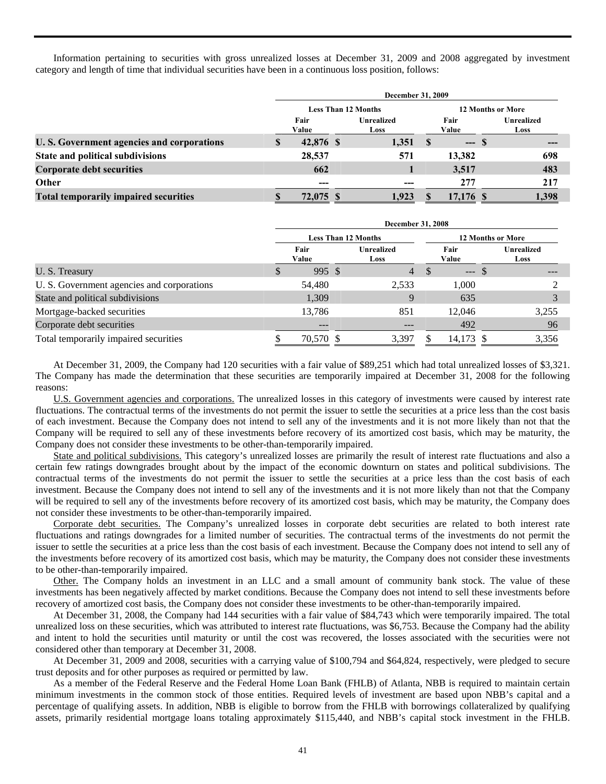Information pertaining to securities with gross unrealized losses at December 31, 2009 and 2008 aggregated by investment category and length of time that individual securities have been in a continuous loss position, follows:

|                                              |   | <b>December 31, 2009</b> |  |                            |  |               |                          |                           |  |  |
|----------------------------------------------|---|--------------------------|--|----------------------------|--|---------------|--------------------------|---------------------------|--|--|
|                                              |   |                          |  | <b>Less Than 12 Months</b> |  |               | <b>12 Months or More</b> |                           |  |  |
|                                              |   | Fair<br>Value            |  | <b>Unrealized</b><br>Loss  |  | Fair<br>Value |                          | <b>Unrealized</b><br>Loss |  |  |
| U.S. Government agencies and corporations    | S | 42,876 \$                |  | 1,351                      |  | $--$ S        |                          |                           |  |  |
| State and political subdivisions             |   | 28,537                   |  | 571                        |  | 13,382        |                          | 698                       |  |  |
| <b>Corporate debt securities</b>             |   | 662                      |  |                            |  | 3,517         |                          | 483                       |  |  |
| <b>Other</b>                                 |   | ---                      |  | ---                        |  | 277           |                          | 217                       |  |  |
| <b>Total temporarily impaired securities</b> |   | 72,075 \$                |  | 1,923                      |  | 17,176 \$     |                          | 1,398                     |  |  |

|                                            | <b>December 31, 2008</b> |               |                            |    |                   |                           |       |  |  |
|--------------------------------------------|--------------------------|---------------|----------------------------|----|-------------------|---------------------------|-------|--|--|
|                                            |                          |               | <b>Less Than 12 Months</b> |    | 12 Months or More |                           |       |  |  |
|                                            |                          | Fair<br>Value | <b>Unrealized</b><br>Loss  |    | Fair<br>Value     | <b>Unrealized</b><br>Loss |       |  |  |
| U. S. Treasury                             |                          | 995 \$        | $\overline{4}$             | -S | $--$ \$           |                           |       |  |  |
| U. S. Government agencies and corporations |                          | 54,480        | 2,533                      |    | 1,000             |                           |       |  |  |
| State and political subdivisions           |                          | 1,309         | 9                          |    | 635               |                           |       |  |  |
| Mortgage-backed securities                 |                          | 13,786        | 851                        |    | 12,046            |                           | 3,255 |  |  |
| Corporate debt securities                  |                          | $---$         | ---                        |    | 492               |                           | 96    |  |  |
| Total temporarily impaired securities      |                          | 70,570 \$     | 3,397                      |    | 14,173            |                           | 3,356 |  |  |

At December 31, 2009, the Company had 120 securities with a fair value of \$89,251 which had total unrealized losses of \$3,321. The Company has made the determination that these securities are temporarily impaired at December 31, 2008 for the following reasons:

 U.S. Government agencies and corporations. The unrealized losses in this category of investments were caused by interest rate fluctuations. The contractual terms of the investments do not permit the issuer to settle the securities at a price less than the cost basis of each investment. Because the Company does not intend to sell any of the investments and it is not more likely than not that the Company will be required to sell any of these investments before recovery of its amortized cost basis, which may be maturity, the Company does not consider these investments to be other-than-temporarily impaired.

 State and political subdivisions. This category's unrealized losses are primarily the result of interest rate fluctuations and also a certain few ratings downgrades brought about by the impact of the economic downturn on states and political subdivisions. The contractual terms of the investments do not permit the issuer to settle the securities at a price less than the cost basis of each investment. Because the Company does not intend to sell any of the investments and it is not more likely than not that the Company will be required to sell any of the investments before recovery of its amortized cost basis, which may be maturity, the Company does not consider these investments to be other-than-temporarily impaired.

 Corporate debt securities. The Company's unrealized losses in corporate debt securities are related to both interest rate fluctuations and ratings downgrades for a limited number of securities. The contractual terms of the investments do not permit the issuer to settle the securities at a price less than the cost basis of each investment. Because the Company does not intend to sell any of the investments before recovery of its amortized cost basis, which may be maturity, the Company does not consider these investments to be other-than-temporarily impaired.

 Other. The Company holds an investment in an LLC and a small amount of community bank stock. The value of these investments has been negatively affected by market conditions. Because the Company does not intend to sell these investments before recovery of amortized cost basis, the Company does not consider these investments to be other-than-temporarily impaired.

 At December 31, 2008, the Company had 144 securities with a fair value of \$84,743 which were temporarily impaired. The total unrealized loss on these securities, which was attributed to interest rate fluctuations, was \$6,753. Because the Company had the ability and intent to hold the securities until maturity or until the cost was recovered, the losses associated with the securities were not considered other than temporary at December 31, 2008.

 At December 31, 2009 and 2008, securities with a carrying value of \$100,794 and \$64,824, respectively, were pledged to secure trust deposits and for other purposes as required or permitted by law.

 As a member of the Federal Reserve and the Federal Home Loan Bank (FHLB) of Atlanta, NBB is required to maintain certain minimum investments in the common stock of those entities. Required levels of investment are based upon NBB's capital and a percentage of qualifying assets. In addition, NBB is eligible to borrow from the FHLB with borrowings collateralized by qualifying assets, primarily residential mortgage loans totaling approximately \$115,440, and NBB's capital stock investment in the FHLB.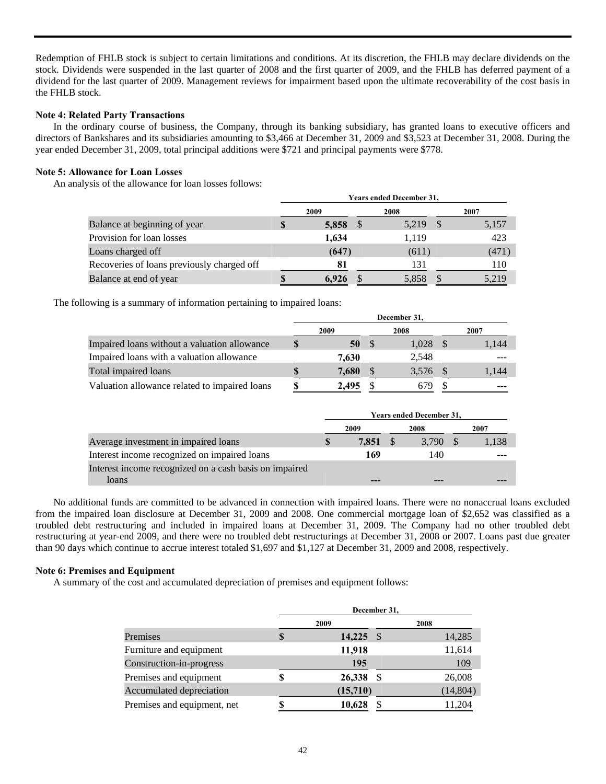Redemption of FHLB stock is subject to certain limitations and conditions. At its discretion, the FHLB may declare dividends on the stock. Dividends were suspended in the last quarter of 2008 and the first quarter of 2009, and the FHLB has deferred payment of a dividend for the last quarter of 2009. Management reviews for impairment based upon the ultimate recoverability of the cost basis in the FHLB stock.

### **Note 4: Related Party Transactions**

 In the ordinary course of business, the Company, through its banking subsidiary, has granted loans to executive officers and directors of Bankshares and its subsidiaries amounting to \$3,466 at December 31, 2009 and \$3,523 at December 31, 2008. During the year ended December 31, 2009, total principal additions were \$721 and principal payments were \$778.

### **Note 5: Allowance for Loan Losses**

An analysis of the allowance for loan losses follows:

|                                            | <b>Years ended December 31,</b> |       |  |       |  |       |  |  |  |
|--------------------------------------------|---------------------------------|-------|--|-------|--|-------|--|--|--|
|                                            |                                 | 2009  |  | 2008  |  | 2007  |  |  |  |
| Balance at beginning of year               | D                               | 5,858 |  | 5,219 |  | 5,157 |  |  |  |
| Provision for loan losses                  |                                 | 1,634 |  | 1.119 |  | 423   |  |  |  |
| Loans charged off                          |                                 | (647) |  | (611) |  | (471) |  |  |  |
| Recoveries of loans previously charged off |                                 | 81    |  | 131   |  | 110   |  |  |  |
| Balance at end of year                     |                                 | 6,926 |  | 5,858 |  | 5,219 |  |  |  |

The following is a summary of information pertaining to impaired loans:

|                                               | December 31, |       |  |       |  |       |  |  |
|-----------------------------------------------|--------------|-------|--|-------|--|-------|--|--|
|                                               |              | 2009  |  | 2008  |  | 2007  |  |  |
| Impaired loans without a valuation allowance  |              | 50    |  | 1.028 |  | 1.144 |  |  |
| Impaired loans with a valuation allowance     |              | 7.630 |  | 2.548 |  |       |  |  |
| Total impaired loans                          |              | 7,680 |  | 3,576 |  | .144  |  |  |
| Valuation allowance related to impaired loans |              | 2.495 |  |       |  |       |  |  |

|                                                        | <b>Years ended December 31,</b> |       |  |       |  |       |  |  |
|--------------------------------------------------------|---------------------------------|-------|--|-------|--|-------|--|--|
|                                                        |                                 | 2009  |  | 2008  |  | 2007  |  |  |
| Average investment in impaired loans                   | S                               | 7,851 |  | 3,790 |  | 1,138 |  |  |
| Interest income recognized on impaired loans           |                                 | 169   |  | 140   |  |       |  |  |
| Interest income recognized on a cash basis on impaired |                                 |       |  |       |  |       |  |  |
| loans                                                  |                                 |       |  |       |  |       |  |  |

 No additional funds are committed to be advanced in connection with impaired loans. There were no nonaccrual loans excluded from the impaired loan disclosure at December 31, 2009 and 2008. One commercial mortgage loan of \$2,652 was classified as a troubled debt restructuring and included in impaired loans at December 31, 2009. The Company had no other troubled debt restructuring at year-end 2009, and there were no troubled debt restructurings at December 31, 2008 or 2007. Loans past due greater than 90 days which continue to accrue interest totaled \$1,697 and \$1,127 at December 31, 2009 and 2008, respectively.

### **Note 6: Premises and Equipment**

A summary of the cost and accumulated depreciation of premises and equipment follows:

|                             | December 31, |          |           |  |  |  |  |  |
|-----------------------------|--------------|----------|-----------|--|--|--|--|--|
|                             | 2009         |          | 2008      |  |  |  |  |  |
| Premises                    | 14,225       | <b>S</b> | 14,285    |  |  |  |  |  |
| Furniture and equipment     | 11,918       |          | 11,614    |  |  |  |  |  |
| Construction-in-progress    | 195          |          | 109       |  |  |  |  |  |
| Premises and equipment      | 26,338       | -S       | 26,008    |  |  |  |  |  |
| Accumulated depreciation    | (15,710)     |          | (14, 804) |  |  |  |  |  |
| Premises and equipment, net | 10,628       |          | 11,204    |  |  |  |  |  |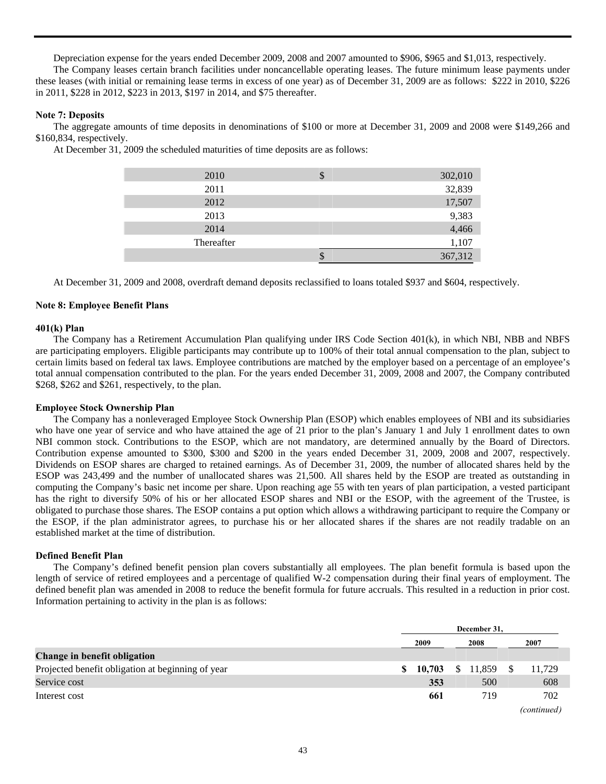Depreciation expense for the years ended December 2009, 2008 and 2007 amounted to \$906, \$965 and \$1,013, respectively. The Company leases certain branch facilities under noncancellable operating leases. The future minimum lease payments under these leases (with initial or remaining lease terms in excess of one year) as of December 31, 2009 are as follows: \$222 in 2010, \$226 in 2011, \$228 in 2012, \$223 in 2013, \$197 in 2014, and \$75 thereafter.

### **Note 7: Deposits**

 The aggregate amounts of time deposits in denominations of \$100 or more at December 31, 2009 and 2008 were \$149,266 and \$160,834, respectively.

At December 31, 2009 the scheduled maturities of time deposits are as follows:

| 2010       | S | 302,010 |
|------------|---|---------|
| 2011       |   | 32,839  |
| 2012       |   | 17,507  |
| 2013       |   | 9,383   |
| 2014       |   | 4,466   |
| Thereafter |   | 1,107   |
|            |   | 367,312 |

At December 31, 2009 and 2008, overdraft demand deposits reclassified to loans totaled \$937 and \$604, respectively.

### **Note 8: Employee Benefit Plans**

### **401(k) Plan**

The Company has a Retirement Accumulation Plan qualifying under IRS Code Section 401(k), in which NBI, NBB and NBFS are participating employers. Eligible participants may contribute up to 100% of their total annual compensation to the plan, subject to certain limits based on federal tax laws. Employee contributions are matched by the employer based on a percentage of an employee's total annual compensation contributed to the plan. For the years ended December 31, 2009, 2008 and 2007, the Company contributed \$268, \$262 and \$261, respectively, to the plan.

### **Employee Stock Ownership Plan**

 The Company has a nonleveraged Employee Stock Ownership Plan (ESOP) which enables employees of NBI and its subsidiaries who have one year of service and who have attained the age of 21 prior to the plan's January 1 and July 1 enrollment dates to own NBI common stock. Contributions to the ESOP, which are not mandatory, are determined annually by the Board of Directors. Contribution expense amounted to \$300, \$300 and \$200 in the years ended December 31, 2009, 2008 and 2007, respectively. Dividends on ESOP shares are charged to retained earnings. As of December 31, 2009, the number of allocated shares held by the ESOP was 243,499 and the number of unallocated shares was 21,500. All shares held by the ESOP are treated as outstanding in computing the Company's basic net income per share. Upon reaching age 55 with ten years of plan participation, a vested participant has the right to diversify 50% of his or her allocated ESOP shares and NBI or the ESOP, with the agreement of the Trustee, is obligated to purchase those shares. The ESOP contains a put option which allows a withdrawing participant to require the Company or the ESOP, if the plan administrator agrees, to purchase his or her allocated shares if the shares are not readily tradable on an established market at the time of distribution.

### **Defined Benefit Plan**

 The Company's defined benefit pension plan covers substantially all employees. The plan benefit formula is based upon the length of service of retired employees and a percentage of qualified W-2 compensation during their final years of employment. The defined benefit plan was amended in 2008 to reduce the benefit formula for future accruals. This resulted in a reduction in prior cost. Information pertaining to activity in the plan is as follows:

|                                                   |               | December 31, |        |  |                    |  |  |
|---------------------------------------------------|---------------|--------------|--------|--|--------------------|--|--|
|                                                   | 2009          | 2008         |        |  | 2007               |  |  |
| Change in benefit obligation                      |               |              |        |  |                    |  |  |
| Projected benefit obligation at beginning of year | 10,703<br>SS. | \$           | 11,859 |  | 11,729             |  |  |
| Service cost                                      | 353           |              | 500    |  | 608                |  |  |
| Interest cost                                     | 661           |              | 719    |  | 702                |  |  |
|                                                   |               |              |        |  | <i>(continued)</i> |  |  |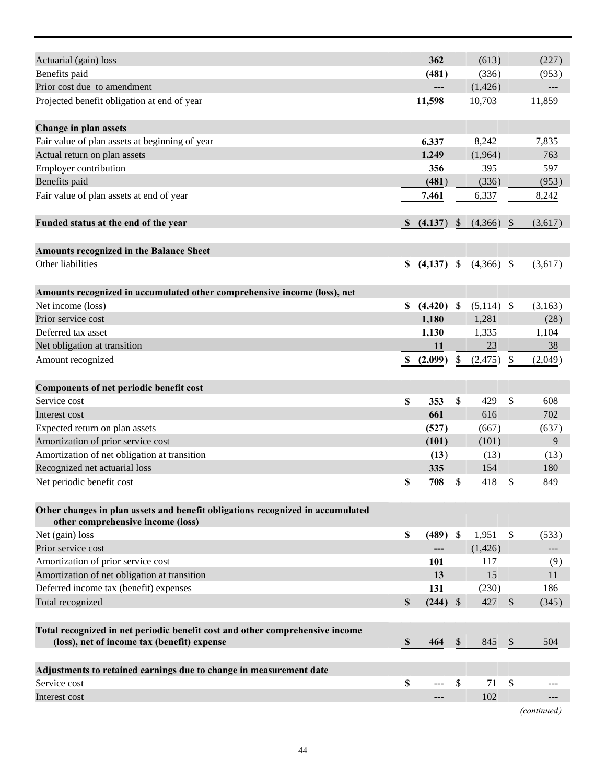| Actuarial (gain) loss                                                          |                           | 362        |               | (613)        |                   | (227)   |
|--------------------------------------------------------------------------------|---------------------------|------------|---------------|--------------|-------------------|---------|
| Benefits paid                                                                  |                           | (481)      |               | (336)        |                   | (953)   |
| Prior cost due to amendment                                                    |                           | ---        |               | (1,426)      |                   |         |
| Projected benefit obligation at end of year                                    |                           | 11,598     |               | 10,703       |                   | 11,859  |
| Change in plan assets                                                          |                           |            |               |              |                   |         |
| Fair value of plan assets at beginning of year                                 |                           | 6,337      |               | 8,242        |                   | 7,835   |
| Actual return on plan assets                                                   |                           | 1,249      |               | (1,964)      |                   | 763     |
| Employer contribution                                                          |                           | 356        |               | 395          |                   | 597     |
| Benefits paid                                                                  |                           | (481)      |               | (336)        |                   | (953)   |
| Fair value of plan assets at end of year                                       |                           | 7,461      |               | 6,337        |                   | 8,242   |
| Funded status at the end of the year                                           | <sup>\$</sup>             | (4,137)    | $\mathcal{S}$ | (4,366)      | \$                | (3,617) |
|                                                                                |                           |            |               |              |                   |         |
| <b>Amounts recognized in the Balance Sheet</b>                                 |                           |            |               |              |                   |         |
| Other liabilities                                                              | -SS                       | (4,137)    | \$            | (4,366)      | \$                | (3,617) |
| Amounts recognized in accumulated other comprehensive income (loss), net       |                           |            |               |              |                   |         |
| Net income (loss)                                                              | S                         | (4, 420)   | - \$          | $(5,114)$ \$ |                   | (3,163) |
| Prior service cost                                                             |                           | 1,180      |               | 1,281        |                   | (28)    |
| Deferred tax asset                                                             |                           | 1,130      |               | 1,335        |                   | 1,104   |
| Net obligation at transition                                                   |                           | 11         |               | 23           |                   | 38      |
| Amount recognized                                                              | $\mathbf{\$}$             | (2,099)    | $\frac{1}{2}$ | (2, 475)     | \$                | (2,049) |
| Components of net periodic benefit cost                                        |                           |            |               |              |                   |         |
| Service cost                                                                   | \$                        | 353        | \$            | 429          | \$                | 608     |
| Interest cost                                                                  |                           | 661        |               | 616          |                   | 702     |
| Expected return on plan assets                                                 |                           | (527)      |               | (667)        |                   | (637)   |
| Amortization of prior service cost                                             |                           | (101)      |               | (101)        |                   | 9       |
| Amortization of net obligation at transition                                   |                           | (13)       |               | (13)         |                   | (13)    |
| Recognized net actuarial loss                                                  |                           | 335        |               | 154          |                   | 180     |
| Net periodic benefit cost                                                      | $\boldsymbol{\mathsf{S}}$ | 708        | \$            | 418          | \$                | 849     |
| Other changes in plan assets and benefit obligations recognized in accumulated |                           |            |               |              |                   |         |
| other comprehensive income (loss)                                              |                           |            |               |              |                   |         |
| Net (gain) loss                                                                | $\mathbf S$               | $(489)$ \$ |               | 1,951        | $\mathcal{S}$     | (533)   |
| Prior service cost                                                             |                           |            |               | (1,426)      |                   | ---     |
| Amortization of prior service cost                                             |                           | 101        |               | 117          |                   | (9)     |
| Amortization of net obligation at transition                                   |                           | 13         |               | 15           |                   | 11      |
| Deferred income tax (benefit) expenses                                         |                           | 131        |               | (230)        |                   | 186     |
| Total recognized                                                               | $\mathbb S$               | (244)      | $\mathbb{S}$  | 427          | $\boldsymbol{\$}$ | (345)   |
| Total recognized in net periodic benefit cost and other comprehensive income   |                           |            |               |              |                   |         |
| (loss), net of income tax (benefit) expense                                    | $\mathbf{\$}$             | 464        | $\mathcal{S}$ | 845          | $\mathcal{S}$     | 504     |
|                                                                                |                           |            |               |              |                   |         |
| Adjustments to retained earnings due to change in measurement date             |                           |            |               |              |                   |         |
| Service cost                                                                   | \$                        |            | \$            | 71           | \$                |         |
| Interest cost                                                                  |                           |            |               | 102          |                   |         |
|                                                                                |                           |            |               |              |                   |         |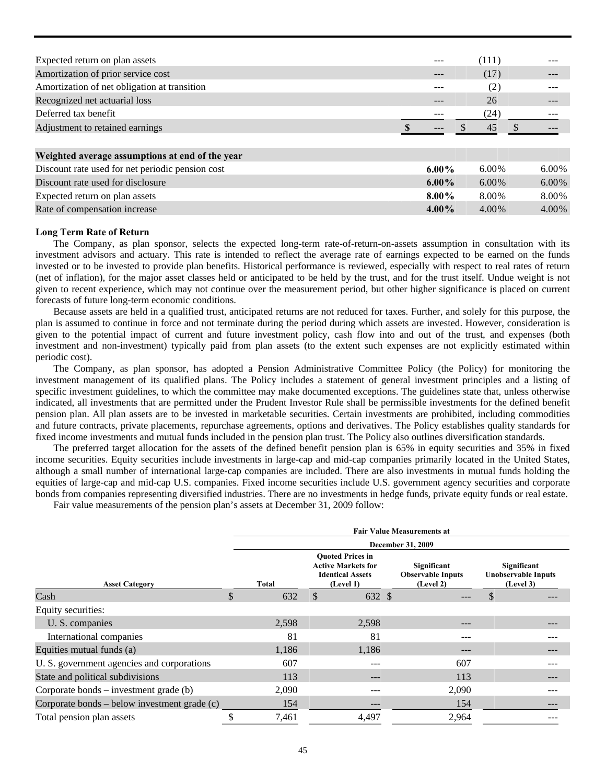| Expected return on plan assets                   | ---      | (111)    |          |
|--------------------------------------------------|----------|----------|----------|
| Amortization of prior service cost               | $- - -$  | (17)     | ---      |
| Amortization of net obligation at transition     | ---      | (2)      |          |
| Recognized net actuarial loss                    | $- - -$  | 26       |          |
| Deferred tax benefit                             | ---      | (24)     |          |
| Adjustment to retained earnings                  | $---$    | 45       |          |
| Weighted average assumptions at end of the year  |          |          |          |
| Discount rate used for net periodic pension cost | $6.00\%$ | $6.00\%$ | $6.00\%$ |
| Discount rate used for disclosure                | $6.00\%$ | $6.00\%$ | $6.00\%$ |
| Expected return on plan assets                   | $8.00\%$ | 8.00%    | 8.00%    |
| Rate of compensation increase                    | $4.00\%$ | 4.00%    | 4.00%    |

#### **Long Term Rate of Return**

 The Company, as plan sponsor, selects the expected long-term rate-of-return-on-assets assumption in consultation with its investment advisors and actuary. This rate is intended to reflect the average rate of earnings expected to be earned on the funds invested or to be invested to provide plan benefits. Historical performance is reviewed, especially with respect to real rates of return (net of inflation), for the major asset classes held or anticipated to be held by the trust, and for the trust itself. Undue weight is not given to recent experience, which may not continue over the measurement period, but other higher significance is placed on current forecasts of future long-term economic conditions.

 Because assets are held in a qualified trust, anticipated returns are not reduced for taxes. Further, and solely for this purpose, the plan is assumed to continue in force and not terminate during the period during which assets are invested. However, consideration is given to the potential impact of current and future investment policy, cash flow into and out of the trust, and expenses (both investment and non-investment) typically paid from plan assets (to the extent such expenses are not explicitly estimated within periodic cost).

 The Company, as plan sponsor, has adopted a Pension Administrative Committee Policy (the Policy) for monitoring the investment management of its qualified plans. The Policy includes a statement of general investment principles and a listing of specific investment guidelines, to which the committee may make documented exceptions. The guidelines state that, unless otherwise indicated, all investments that are permitted under the Prudent Investor Rule shall be permissible investments for the defined benefit pension plan. All plan assets are to be invested in marketable securities. Certain investments are prohibited, including commodities and future contracts, private placements, repurchase agreements, options and derivatives. The Policy establishes quality standards for fixed income investments and mutual funds included in the pension plan trust. The Policy also outlines diversification standards.

 The preferred target allocation for the assets of the defined benefit pension plan is 65% in equity securities and 35% in fixed income securities. Equity securities include investments in large-cap and mid-cap companies primarily located in the United States, although a small number of international large-cap companies are included. There are also investments in mutual funds holding the equities of large-cap and mid-cap U.S. companies. Fixed income securities include U.S. government agency securities and corporate bonds from companies representing diversified industries. There are no investments in hedge funds, private equity funds or real estate.

Fair value measurements of the pension plan's assets at December 31, 2009 follow:

|                                              |                          | <b>Fair Value Measurements at</b> |               |                                                                                              |  |                                                      |    |                                                        |  |  |
|----------------------------------------------|--------------------------|-----------------------------------|---------------|----------------------------------------------------------------------------------------------|--|------------------------------------------------------|----|--------------------------------------------------------|--|--|
|                                              | <b>December 31, 2009</b> |                                   |               |                                                                                              |  |                                                      |    |                                                        |  |  |
| <b>Asset Category</b>                        |                          | Total                             |               | <b>Ouoted Prices in</b><br><b>Active Markets for</b><br><b>Identical Assets</b><br>(Level 1) |  | Significant<br><b>Observable Inputs</b><br>(Level 2) |    | Significant<br><b>Unobservable Inputs</b><br>(Level 3) |  |  |
| Cash                                         | \$                       | 632                               | <sup>\$</sup> | 632 \$                                                                                       |  |                                                      | \$ |                                                        |  |  |
| Equity securities:                           |                          |                                   |               |                                                                                              |  |                                                      |    |                                                        |  |  |
| U. S. companies                              |                          | 2,598                             |               | 2,598                                                                                        |  | ---                                                  |    |                                                        |  |  |
| International companies                      |                          | 81                                |               | 81                                                                                           |  | ---                                                  |    |                                                        |  |  |
| Equities mutual funds (a)                    |                          | 1,186                             |               | 1,186                                                                                        |  | ---                                                  |    |                                                        |  |  |
| U. S. government agencies and corporations   |                          | 607                               |               | ---                                                                                          |  | 607                                                  |    |                                                        |  |  |
| State and political subdivisions             |                          | 113                               |               | $- - -$                                                                                      |  | 113                                                  |    |                                                        |  |  |
| Corporate bonds $-$ investment grade (b)     |                          | 2,090                             |               | ---                                                                                          |  | 2,090                                                |    |                                                        |  |  |
| Corporate bonds – below investment grade (c) |                          | 154                               |               | ---                                                                                          |  | 154                                                  |    |                                                        |  |  |
| Total pension plan assets                    |                          | 7,461                             |               | 4,497                                                                                        |  | 2,964                                                |    |                                                        |  |  |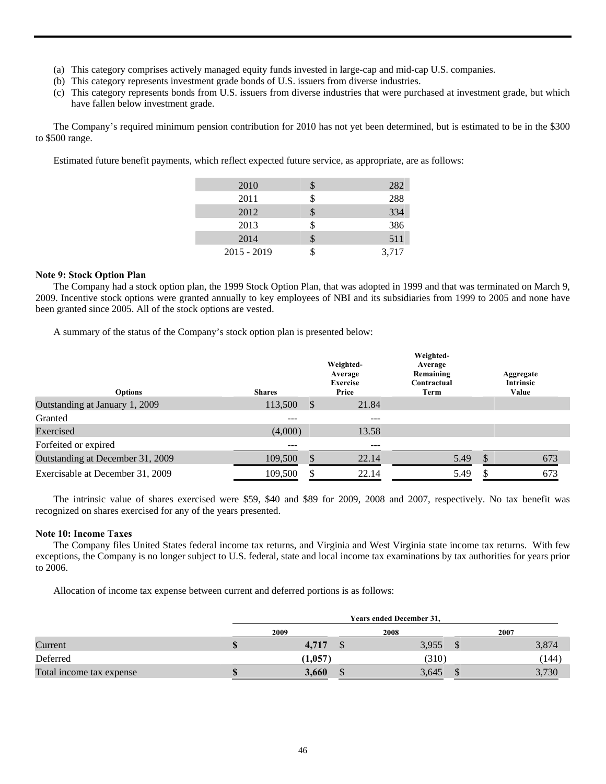- (a) This category comprises actively managed equity funds invested in large-cap and mid-cap U.S. companies.
- (b) This category represents investment grade bonds of U.S. issuers from diverse industries.
- (c) This category represents bonds from U.S. issuers from diverse industries that were purchased at investment grade, but which have fallen below investment grade.

The Company's required minimum pension contribution for 2010 has not yet been determined, but is estimated to be in the \$300 to \$500 range.

Estimated future benefit payments, which reflect expected future service, as appropriate, are as follows:

| 2010          | 282   |
|---------------|-------|
| 2011          | 288   |
| 2012          | 334   |
| 2013          | 386   |
| 2014          | 511   |
| $2015 - 2019$ | 3,717 |

### **Note 9: Stock Option Plan**

 The Company had a stock option plan, the 1999 Stock Option Plan, that was adopted in 1999 and that was terminated on March 9, 2009. Incentive stock options were granted annually to key employees of NBI and its subsidiaries from 1999 to 2005 and none have been granted since 2005. All of the stock options are vested.

A summary of the status of the Company's stock option plan is presented below:

| <b>Options</b>                   | <b>Shares</b> |               | Weighted-<br>Average<br><b>Exercise</b><br>Price | Weighted-<br>Average<br>Remaining<br>Contractual<br>Term | Aggregate<br>Intrinsic<br>Value |
|----------------------------------|---------------|---------------|--------------------------------------------------|----------------------------------------------------------|---------------------------------|
| Outstanding at January 1, 2009   | 113,500       | <sup>\$</sup> | 21.84                                            |                                                          |                                 |
| Granted                          |               |               |                                                  |                                                          |                                 |
| Exercised                        | (4,000)       |               | 13.58                                            |                                                          |                                 |
| Forfeited or expired             | $- - -$       |               | ---                                              |                                                          |                                 |
| Outstanding at December 31, 2009 | 109,500       |               | 22.14                                            | 5.49                                                     | 673                             |
| Exercisable at December 31, 2009 | 109,500       |               | 22.14                                            | 5.49                                                     | 673                             |

The intrinsic value of shares exercised were \$59, \$40 and \$89 for 2009, 2008 and 2007, respectively. No tax benefit was recognized on shares exercised for any of the years presented.

### **Note 10: Income Taxes**

 The Company files United States federal income tax returns, and Virginia and West Virginia state income tax returns. With few exceptions, the Company is no longer subject to U.S. federal, state and local income tax examinations by tax authorities for years prior to 2006.

Allocation of income tax expense between current and deferred portions is as follows:

|                          | <b>Years ended December 31,</b> |  |       |             |             |  |  |  |  |
|--------------------------|---------------------------------|--|-------|-------------|-------------|--|--|--|--|
|                          | 2009                            |  | 2008  | 2007        |             |  |  |  |  |
| Current                  | 4,717                           |  | 3.955 | $\triangle$ | 3,874       |  |  |  |  |
| Deferred                 | (1,057)                         |  | (310) |             | $144^\circ$ |  |  |  |  |
| Total income tax expense | 3,660                           |  | 3,645 |             | 730         |  |  |  |  |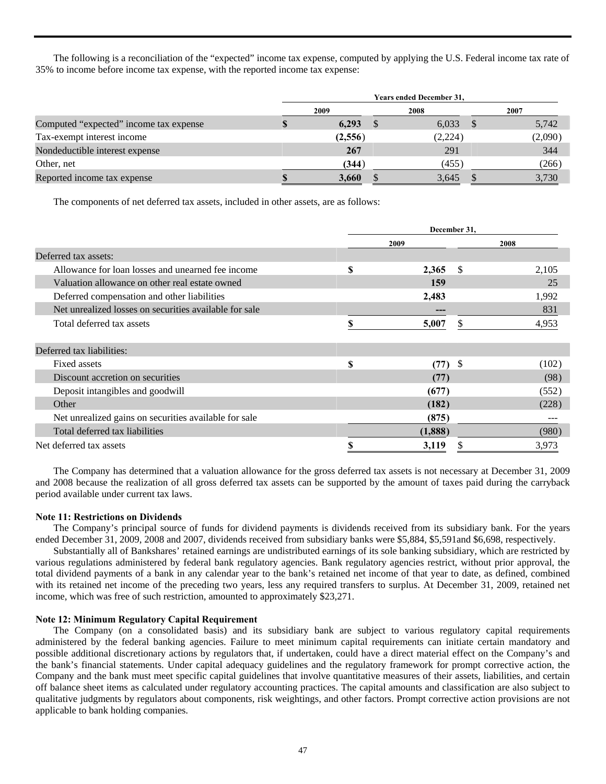The following is a reconciliation of the "expected" income tax expense, computed by applying the U.S. Federal income tax rate of 35% to income before income tax expense, with the reported income tax expense:

|                                        | <b>Years ended December 31,</b> |      |         |      |         |  |  |  |
|----------------------------------------|---------------------------------|------|---------|------|---------|--|--|--|
| Computed "expected" income tax expense | 2009                            | 2008 |         | 2007 |         |  |  |  |
|                                        | 6,293                           |      | 6,033   |      | 5,742   |  |  |  |
| Tax-exempt interest income             | (2,556)                         |      | (2,224) |      | (2,090) |  |  |  |
| Nondeductible interest expense         | 267                             |      | 291     |      | 344     |  |  |  |
| Other, net                             | (344)                           |      | (455)   |      | (266)   |  |  |  |
| Reported income tax expense            | 3,660                           |      | 3,645   |      | 3,730   |  |  |  |

The components of net deferred tax assets, included in other assets, are as follows:

|                                                        | December 31, |         |      |       |  |
|--------------------------------------------------------|--------------|---------|------|-------|--|
|                                                        |              | 2009    | 2008 |       |  |
| Deferred tax assets:                                   |              |         |      |       |  |
| Allowance for loan losses and unearned fee income      | \$           | 2,365   | \$   | 2,105 |  |
| Valuation allowance on other real estate owned         |              | 159     |      | 25    |  |
| Deferred compensation and other liabilities            |              | 2,483   |      | 1,992 |  |
| Net unrealized losses on securities available for sale |              | ---     |      | 831   |  |
| Total deferred tax assets                              |              | 5,007   | S    | 4,953 |  |
| Deferred tax liabilities:                              |              |         |      |       |  |
| Fixed assets                                           | \$           | (77)    | -S   | (102) |  |
| Discount accretion on securities                       |              | (77)    |      | (98)  |  |
| Deposit intangibles and goodwill                       |              | (677)   |      | (552) |  |
| Other                                                  |              | (182)   |      | (228) |  |
| Net unrealized gains on securities available for sale  |              | (875)   |      |       |  |
| Total deferred tax liabilities                         |              | (1,888) |      | (980) |  |
| Net deferred tax assets                                | \$           | 3,119   | S    | 3,973 |  |

The Company has determined that a valuation allowance for the gross deferred tax assets is not necessary at December 31, 2009 and 2008 because the realization of all gross deferred tax assets can be supported by the amount of taxes paid during the carryback period available under current tax laws.

### **Note 11: Restrictions on Dividends**

 The Company's principal source of funds for dividend payments is dividends received from its subsidiary bank. For the years ended December 31, 2009, 2008 and 2007, dividends received from subsidiary banks were \$5,884, \$5,591and \$6,698, respectively.

Substantially all of Bankshares' retained earnings are undistributed earnings of its sole banking subsidiary, which are restricted by various regulations administered by federal bank regulatory agencies. Bank regulatory agencies restrict, without prior approval, the total dividend payments of a bank in any calendar year to the bank's retained net income of that year to date, as defined, combined with its retained net income of the preceding two years, less any required transfers to surplus. At December 31, 2009, retained net income, which was free of such restriction, amounted to approximately \$23,271.

### **Note 12: Minimum Regulatory Capital Requirement**

 The Company (on a consolidated basis) and its subsidiary bank are subject to various regulatory capital requirements administered by the federal banking agencies. Failure to meet minimum capital requirements can initiate certain mandatory and possible additional discretionary actions by regulators that, if undertaken, could have a direct material effect on the Company's and the bank's financial statements. Under capital adequacy guidelines and the regulatory framework for prompt corrective action, the Company and the bank must meet specific capital guidelines that involve quantitative measures of their assets, liabilities, and certain off balance sheet items as calculated under regulatory accounting practices. The capital amounts and classification are also subject to qualitative judgments by regulators about components, risk weightings, and other factors. Prompt corrective action provisions are not applicable to bank holding companies.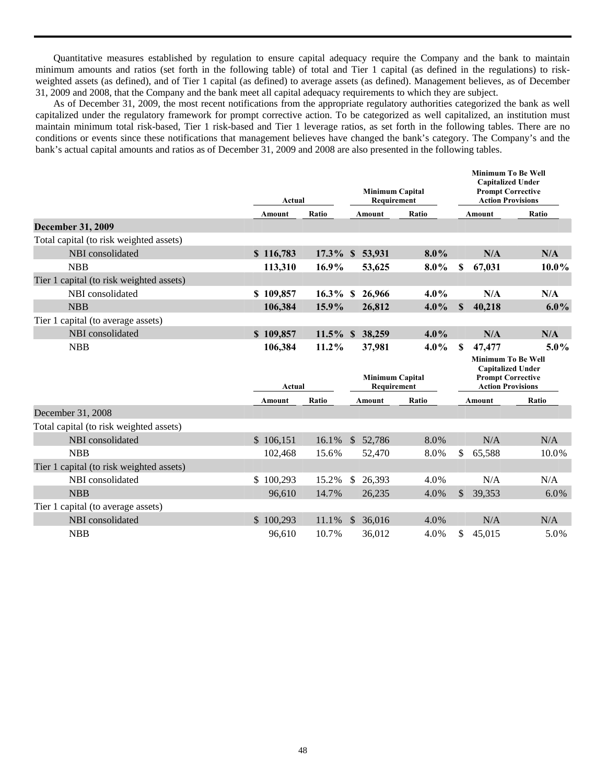Quantitative measures established by regulation to ensure capital adequacy require the Company and the bank to maintain minimum amounts and ratios (set forth in the following table) of total and Tier 1 capital (as defined in the regulations) to riskweighted assets (as defined), and of Tier 1 capital (as defined) to average assets (as defined). Management believes, as of December 31, 2009 and 2008, that the Company and the bank meet all capital adequacy requirements to which they are subject.

 As of December 31, 2009, the most recent notifications from the appropriate regulatory authorities categorized the bank as well capitalized under the regulatory framework for prompt corrective action. To be categorized as well capitalized, an institution must maintain minimum total risk-based, Tier 1 risk-based and Tier 1 leverage ratios, as set forth in the following tables. There are no conditions or events since these notifications that management believes have changed the bank's category. The Company's and the bank's actual capital amounts and ratios as of December 31, 2009 and 2008 are also presented in the following tables.

|                                          |           | Actual      | <b>Minimum Capital</b><br>Requirement |         | <b>Minimum To Be Well</b><br><b>Capitalized Under</b><br><b>Prompt Corrective</b><br><b>Action Provisions</b> |          |  |
|------------------------------------------|-----------|-------------|---------------------------------------|---------|---------------------------------------------------------------------------------------------------------------|----------|--|
|                                          | Amount    | Ratio       | Amount                                | Ratio   | <b>Amount</b>                                                                                                 | Ratio    |  |
| <b>December 31, 2009</b>                 |           |             |                                       |         |                                                                                                               |          |  |
| Total capital (to risk weighted assets)  |           |             |                                       |         |                                                                                                               |          |  |
| NBI consolidated                         | \$116,783 | $17.3\%$ \$ | 53,931                                | $8.0\%$ | N/A                                                                                                           | N/A      |  |
| <b>NBB</b>                               | 113,310   | 16.9%       | 53,625                                | $8.0\%$ | 67,031<br>S                                                                                                   | $10.0\%$ |  |
| Tier 1 capital (to risk weighted assets) |           |             |                                       |         |                                                                                                               |          |  |
| NBI consolidated                         | \$109,857 | $16.3\%$ \$ | 26,966                                | $4.0\%$ | N/A                                                                                                           | N/A      |  |
| <b>NBB</b>                               | 106,384   | 15.9%       | 26,812                                | 4.0%    | $\mathbf S$<br>40,218                                                                                         | $6.0\%$  |  |
| Tier 1 capital (to average assets)       |           |             |                                       |         |                                                                                                               |          |  |
| NBI consolidated                         | \$109,857 | $11.5\%$ \$ | 38,259                                | $4.0\%$ | N/A                                                                                                           | N/A      |  |
| <b>NBB</b>                               | 106,384   | 11.2%       | 37,981                                | $4.0\%$ | \$<br>47,477                                                                                                  | 5.0%     |  |
|                                          |           | Actual      | <b>Minimum Capital</b><br>Requirement |         | <b>Minimum To Be Well</b><br><b>Capitalized Under</b><br><b>Prompt Corrective</b><br><b>Action Provisions</b> |          |  |
|                                          | Amount    | Ratio       | Amount                                | Ratio   | Amount                                                                                                        | Ratio    |  |
| December 31, 2008                        |           |             |                                       |         |                                                                                                               |          |  |
| Total capital (to risk weighted assets)  |           |             |                                       |         |                                                                                                               |          |  |
| NBI consolidated                         | \$106,151 | 16.1%       | \$52,786                              | 8.0%    | N/A                                                                                                           | N/A      |  |
| <b>NBB</b>                               | 102,468   | 15.6%       | 52,470                                | 8.0%    | \$<br>65,588                                                                                                  | 10.0%    |  |
| Tier 1 capital (to risk weighted assets) |           |             |                                       |         |                                                                                                               |          |  |
| NBI consolidated                         | \$100,293 | 15.2%       | 26,393<br><sup>\$</sup>               | 4.0%    | N/A                                                                                                           | N/A      |  |
| <b>NBB</b>                               | 96,610    | 14.7%       | 26,235                                | 4.0%    | $\mathbb{S}$<br>39,353                                                                                        | 6.0%     |  |
| Tier 1 capital (to average assets)       |           |             |                                       |         |                                                                                                               |          |  |
| NBI consolidated                         | \$100,293 | 11.1%       | 36,016<br><sup>\$</sup>               | 4.0%    | N/A                                                                                                           | N/A      |  |
| <b>NBB</b>                               | 96.610    | 10.7%       | 36,012                                | 4.0%    | \$<br>45,015                                                                                                  | 5.0%     |  |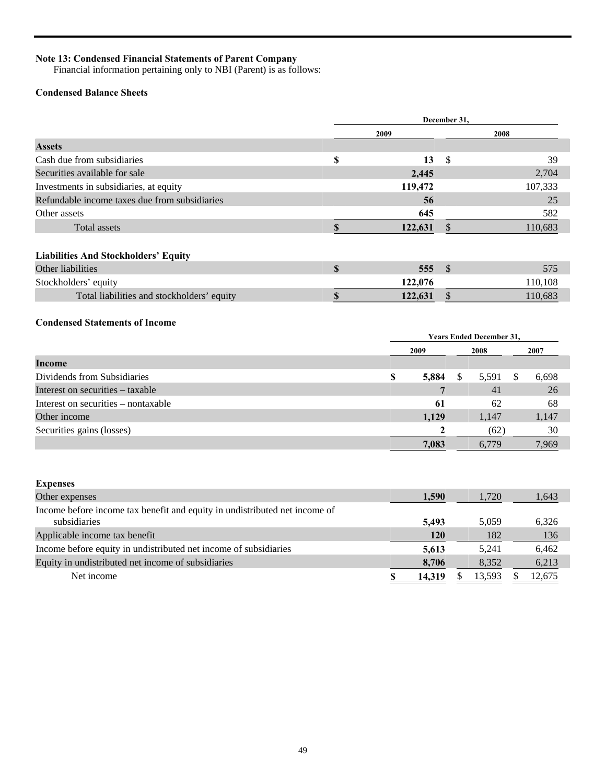# **Note 13: Condensed Financial Statements of Parent Company**

Financial information pertaining only to NBI (Parent) is as follows:

# **Condensed Balance Sheets**

|                                               | December 31. |         |            |         |  |  |  |  |  |
|-----------------------------------------------|--------------|---------|------------|---------|--|--|--|--|--|
|                                               |              | 2009    | 2008       |         |  |  |  |  |  |
| <b>Assets</b>                                 |              |         |            |         |  |  |  |  |  |
| Cash due from subsidiaries                    | \$           | 13      | - \$       | 39      |  |  |  |  |  |
| Securities available for sale                 |              | 2,445   |            | 2,704   |  |  |  |  |  |
| Investments in subsidiaries, at equity        |              | 119,472 |            | 107,333 |  |  |  |  |  |
| Refundable income taxes due from subsidiaries |              | 56      |            | 25      |  |  |  |  |  |
| Other assets                                  |              | 645     |            | 582     |  |  |  |  |  |
| Total assets                                  |              | 122,631 | \$         | 110,683 |  |  |  |  |  |
| <b>Liabilities And Stockholders' Equity</b>   |              |         |            |         |  |  |  |  |  |
| Other liabilities                             | \$           | 555     | $^{\circ}$ | 575     |  |  |  |  |  |
| Stockholders' equity                          |              | 122,076 |            | 110.108 |  |  |  |  |  |

### **Condensed Statements of Income**

|                                     |            | <b>Years Ended December 31,</b> |       |  |       |  |  |  |  |  |  |
|-------------------------------------|------------|---------------------------------|-------|--|-------|--|--|--|--|--|--|
|                                     | 2009       |                                 | 2008  |  | 2007  |  |  |  |  |  |  |
| <b>Income</b>                       |            |                                 |       |  |       |  |  |  |  |  |  |
| Dividends from Subsidiaries         | 5,884<br>S | £.                              | 5,591 |  | 6,698 |  |  |  |  |  |  |
| Interest on securities – taxable    |            |                                 | 41    |  | 26    |  |  |  |  |  |  |
| Interest on securities – nontaxable | 61         |                                 | 62    |  | 68    |  |  |  |  |  |  |
| Other income                        | 1,129      |                                 | 1,147 |  | 1,147 |  |  |  |  |  |  |
| Securities gains (losses)           |            |                                 | (62)  |  | 30    |  |  |  |  |  |  |
|                                     | 7,083      |                                 | 6,779 |  | 7.969 |  |  |  |  |  |  |

Total liabilities and stockholders' equity **\$** 122,631 \$ 110,683

### **Expenses**

| Other expenses                                                             |   | 1,590      | 1,720  | 1,643  |
|----------------------------------------------------------------------------|---|------------|--------|--------|
| Income before income tax benefit and equity in undistributed net income of |   |            |        |        |
| subsidiaries                                                               |   | 5.493      | 5.059  | 6,326  |
| Applicable income tax benefit                                              |   | <b>120</b> | 182    | 136    |
| Income before equity in undistributed net income of subsidiaries           |   | 5,613      | 5,241  | 6,462  |
| Equity in undistributed net income of subsidiaries                         |   | 8.706      | 8,352  | 6,213  |
| Net income                                                                 | S | 14.319     | 13.593 | 12.675 |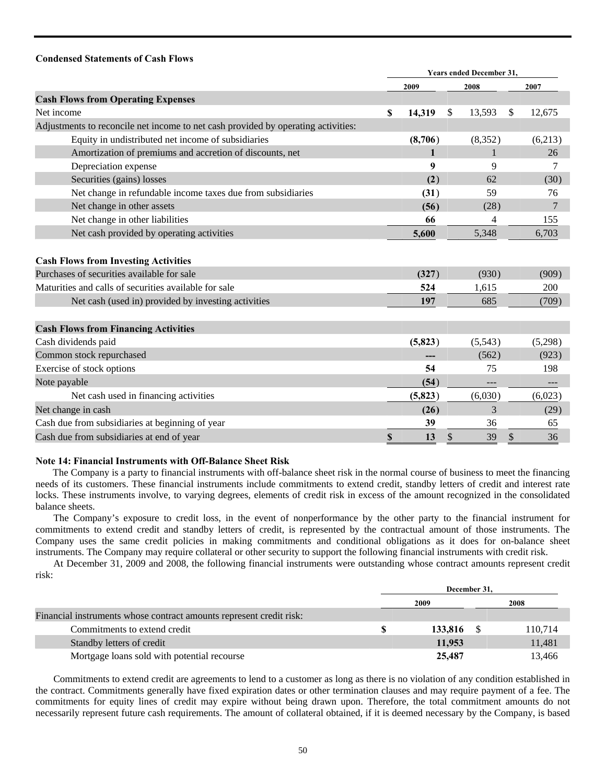### **Condensed Statements of Cash Flows**

|                                                                                   | <b>Years ended December 31,</b> |          |               |         |               |         |
|-----------------------------------------------------------------------------------|---------------------------------|----------|---------------|---------|---------------|---------|
|                                                                                   |                                 | 2009     |               | 2008    |               | 2007    |
| <b>Cash Flows from Operating Expenses</b>                                         |                                 |          |               |         |               |         |
| Net income                                                                        | \$                              | 14,319   | $\mathcal{S}$ | 13,593  | $\mathcal{S}$ | 12,675  |
| Adjustments to reconcile net income to net cash provided by operating activities: |                                 |          |               |         |               |         |
| Equity in undistributed net income of subsidiaries                                |                                 | (8,706)  |               | (8,352) |               | (6,213) |
| Amortization of premiums and accretion of discounts, net                          |                                 |          |               |         |               | 26      |
| Depreciation expense                                                              |                                 | 9        |               | 9       |               | 7       |
| Securities (gains) losses                                                         |                                 | (2)      |               | 62      |               | (30)    |
| Net change in refundable income taxes due from subsidiaries                       |                                 | (31)     |               | 59      |               | 76      |
| Net change in other assets                                                        |                                 | (56)     |               | (28)    |               | $\tau$  |
| Net change in other liabilities                                                   |                                 | 66       |               | 4       |               | 155     |
| Net cash provided by operating activities                                         |                                 | 5,600    |               | 5,348   |               | 6,703   |
|                                                                                   |                                 |          |               |         |               |         |
| <b>Cash Flows from Investing Activities</b>                                       |                                 |          |               |         |               |         |
| Purchases of securities available for sale                                        |                                 | (327)    |               | (930)   |               | (909)   |
| Maturities and calls of securities available for sale                             |                                 | 524      |               | 1,615   |               | 200     |
| Net cash (used in) provided by investing activities                               |                                 | 197      |               | 685     |               | (709)   |
|                                                                                   |                                 |          |               |         |               |         |
| <b>Cash Flows from Financing Activities</b><br>Cash dividends paid                |                                 | (5, 823) |               | (5,543) |               | (5,298) |
| Common stock repurchased                                                          |                                 |          |               | (562)   |               | (923)   |
|                                                                                   |                                 | 54       |               | 75      |               | 198     |
| Exercise of stock options<br>Note payable                                         |                                 | (54)     |               |         |               |         |
|                                                                                   |                                 |          |               |         |               |         |
| Net cash used in financing activities                                             |                                 | (5, 823) |               | (6,030) |               | (6,023) |
| Net change in cash                                                                |                                 | (26)     |               | 3       |               | (29)    |
| Cash due from subsidiaries at beginning of year                                   |                                 | 39       |               | 36      |               | 65      |
| Cash due from subsidiaries at end of year                                         | $\mathbb{S}$                    | 13       | $\mathbb{S}$  | 39      | $\mathbb{S}$  | 36      |

### **Note 14: Financial Instruments with Off-Balance Sheet Risk**

 The Company is a party to financial instruments with off-balance sheet risk in the normal course of business to meet the financing needs of its customers. These financial instruments include commitments to extend credit, standby letters of credit and interest rate locks. These instruments involve, to varying degrees, elements of credit risk in excess of the amount recognized in the consolidated balance sheets.

 The Company's exposure to credit loss, in the event of nonperformance by the other party to the financial instrument for commitments to extend credit and standby letters of credit, is represented by the contractual amount of those instruments. The Company uses the same credit policies in making commitments and conditional obligations as it does for on-balance sheet instruments. The Company may require collateral or other security to support the following financial instruments with credit risk.

 At December 31, 2009 and 2008, the following financial instruments were outstanding whose contract amounts represent credit risk:

|                                                                     | December 31. |         |  |         |  |  |
|---------------------------------------------------------------------|--------------|---------|--|---------|--|--|
|                                                                     | 2009         |         |  | 2008    |  |  |
| Financial instruments whose contract amounts represent credit risk: |              |         |  |         |  |  |
| Commitments to extend credit                                        |              | 133,816 |  | 110,714 |  |  |
| Standby letters of credit                                           |              | 11,953  |  | 11,481  |  |  |
| Mortgage loans sold with potential recourse                         |              | 25,487  |  | 13.466  |  |  |

Commitments to extend credit are agreements to lend to a customer as long as there is no violation of any condition established in the contract. Commitments generally have fixed expiration dates or other termination clauses and may require payment of a fee. The commitments for equity lines of credit may expire without being drawn upon. Therefore, the total commitment amounts do not necessarily represent future cash requirements. The amount of collateral obtained, if it is deemed necessary by the Company, is based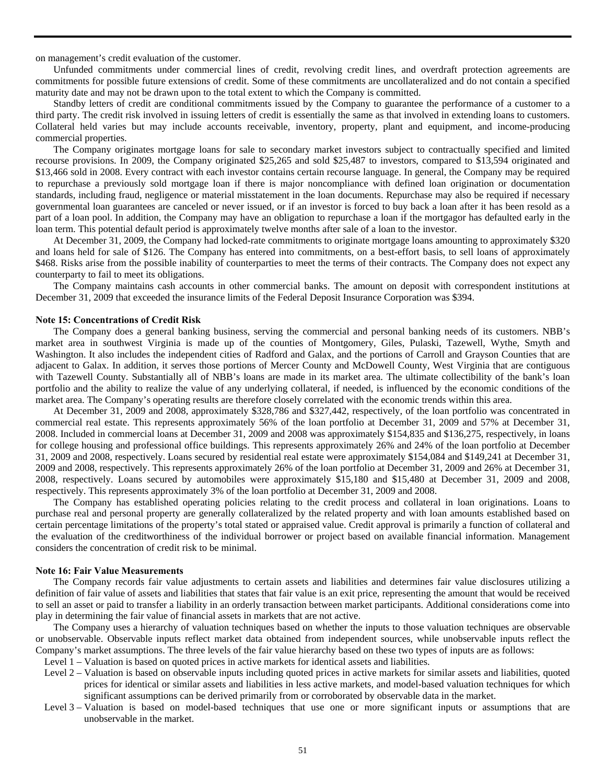on management's credit evaluation of the customer.

 Unfunded commitments under commercial lines of credit, revolving credit lines, and overdraft protection agreements are commitments for possible future extensions of credit. Some of these commitments are uncollateralized and do not contain a specified maturity date and may not be drawn upon to the total extent to which the Company is committed.

 Standby letters of credit are conditional commitments issued by the Company to guarantee the performance of a customer to a third party. The credit risk involved in issuing letters of credit is essentially the same as that involved in extending loans to customers. Collateral held varies but may include accounts receivable, inventory, property, plant and equipment, and income-producing commercial properties.

 The Company originates mortgage loans for sale to secondary market investors subject to contractually specified and limited recourse provisions. In 2009, the Company originated \$25,265 and sold \$25,487 to investors, compared to \$13,594 originated and \$13,466 sold in 2008. Every contract with each investor contains certain recourse language. In general, the Company may be required to repurchase a previously sold mortgage loan if there is major noncompliance with defined loan origination or documentation standards, including fraud, negligence or material misstatement in the loan documents. Repurchase may also be required if necessary governmental loan guarantees are canceled or never issued, or if an investor is forced to buy back a loan after it has been resold as a part of a loan pool. In addition, the Company may have an obligation to repurchase a loan if the mortgagor has defaulted early in the loan term. This potential default period is approximately twelve months after sale of a loan to the investor.

 At December 31, 2009, the Company had locked-rate commitments to originate mortgage loans amounting to approximately \$320 and loans held for sale of \$126. The Company has entered into commitments, on a best-effort basis, to sell loans of approximately \$468. Risks arise from the possible inability of counterparties to meet the terms of their contracts. The Company does not expect any counterparty to fail to meet its obligations.

 The Company maintains cash accounts in other commercial banks. The amount on deposit with correspondent institutions at December 31, 2009 that exceeded the insurance limits of the Federal Deposit Insurance Corporation was \$394.

### **Note 15: Concentrations of Credit Risk**

 The Company does a general banking business, serving the commercial and personal banking needs of its customers. NBB's market area in southwest Virginia is made up of the counties of Montgomery, Giles, Pulaski, Tazewell, Wythe, Smyth and Washington. It also includes the independent cities of Radford and Galax, and the portions of Carroll and Grayson Counties that are adjacent to Galax. In addition, it serves those portions of Mercer County and McDowell County, West Virginia that are contiguous with Tazewell County. Substantially all of NBB's loans are made in its market area. The ultimate collectibility of the bank's loan portfolio and the ability to realize the value of any underlying collateral, if needed, is influenced by the economic conditions of the market area. The Company's operating results are therefore closely correlated with the economic trends within this area.

 At December 31, 2009 and 2008, approximately \$328,786 and \$327,442, respectively, of the loan portfolio was concentrated in commercial real estate. This represents approximately 56% of the loan portfolio at December 31, 2009 and 57% at December 31, 2008. Included in commercial loans at December 31, 2009 and 2008 was approximately \$154,835 and \$136,275, respectively, in loans for college housing and professional office buildings. This represents approximately 26% and 24% of the loan portfolio at December 31, 2009 and 2008, respectively. Loans secured by residential real estate were approximately \$154,084 and \$149,241 at December 31, 2009 and 2008, respectively. This represents approximately 26% of the loan portfolio at December 31, 2009 and 26% at December 31, 2008, respectively. Loans secured by automobiles were approximately \$15,180 and \$15,480 at December 31, 2009 and 2008, respectively. This represents approximately 3% of the loan portfolio at December 31, 2009 and 2008.

 The Company has established operating policies relating to the credit process and collateral in loan originations. Loans to purchase real and personal property are generally collateralized by the related property and with loan amounts established based on certain percentage limitations of the property's total stated or appraised value. Credit approval is primarily a function of collateral and the evaluation of the creditworthiness of the individual borrower or project based on available financial information. Management considers the concentration of credit risk to be minimal.

### **Note 16: Fair Value Measurements**

 The Company records fair value adjustments to certain assets and liabilities and determines fair value disclosures utilizing a definition of fair value of assets and liabilities that states that fair value is an exit price, representing the amount that would be received to sell an asset or paid to transfer a liability in an orderly transaction between market participants. Additional considerations come into play in determining the fair value of financial assets in markets that are not active.

 The Company uses a hierarchy of valuation techniques based on whether the inputs to those valuation techniques are observable or unobservable. Observable inputs reflect market data obtained from independent sources, while unobservable inputs reflect the Company's market assumptions. The three levels of the fair value hierarchy based on these two types of inputs are as follows:

Level 1 – Valuation is based on quoted prices in active markets for identical assets and liabilities.

- Level 2 Valuation is based on observable inputs including quoted prices in active markets for similar assets and liabilities, quoted prices for identical or similar assets and liabilities in less active markets, and model-based valuation techniques for which significant assumptions can be derived primarily from or corroborated by observable data in the market.
- Level 3 Valuation is based on model-based techniques that use one or more significant inputs or assumptions that are unobservable in the market.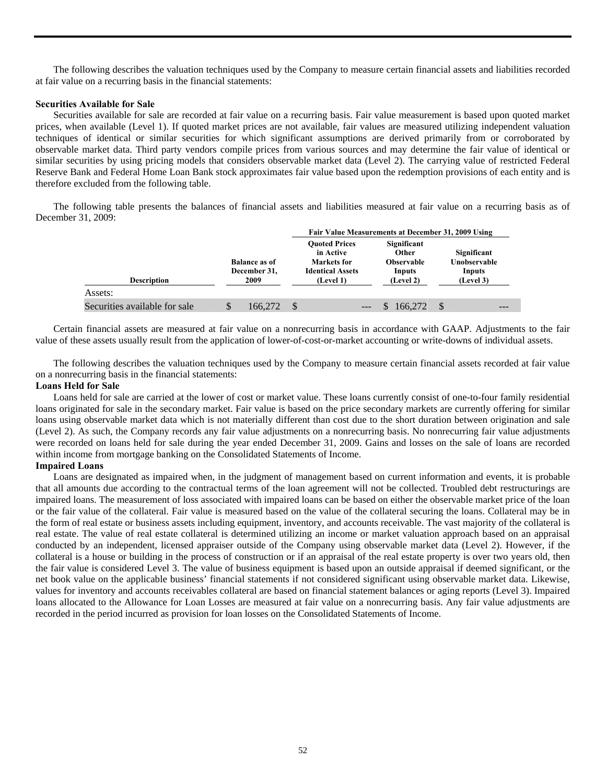The following describes the valuation techniques used by the Company to measure certain financial assets and liabilities recorded at fair value on a recurring basis in the financial statements:

### **Securities Available for Sale**

 Securities available for sale are recorded at fair value on a recurring basis. Fair value measurement is based upon quoted market prices, when available (Level 1). If quoted market prices are not available, fair values are measured utilizing independent valuation techniques of identical or similar securities for which significant assumptions are derived primarily from or corroborated by observable market data. Third party vendors compile prices from various sources and may determine the fair value of identical or similar securities by using pricing models that considers observable market data (Level 2). The carrying value of restricted Federal Reserve Bank and Federal Home Loan Bank stock approximates fair value based upon the redemption provisions of each entity and is therefore excluded from the following table.

 The following table presents the balances of financial assets and liabilities measured at fair value on a recurring basis as of December 31, 2009:

|                               |  |                                              | Fair Value Measurements at December 31, 2009 Using |                                                                                                 |  |                                                                         |  |                                                    |  |  |  |
|-------------------------------|--|----------------------------------------------|----------------------------------------------------|-------------------------------------------------------------------------------------------------|--|-------------------------------------------------------------------------|--|----------------------------------------------------|--|--|--|
| <b>Description</b>            |  | <b>Balance as of</b><br>December 31,<br>2009 |                                                    | <b>Ouoted Prices</b><br>in Active<br><b>Markets for</b><br><b>Identical Assets</b><br>(Level 1) |  | Significant<br><b>Other</b><br><b>Observable</b><br>Inputs<br>(Level 2) |  | Significant<br>Unobservable<br>Inputs<br>(Level 3) |  |  |  |
| Assets:                       |  |                                              |                                                    |                                                                                                 |  |                                                                         |  |                                                    |  |  |  |
| Securities available for sale |  | 166.272                                      |                                                    |                                                                                                 |  | 166,272                                                                 |  |                                                    |  |  |  |

 Certain financial assets are measured at fair value on a nonrecurring basis in accordance with GAAP. Adjustments to the fair value of these assets usually result from the application of lower-of-cost-or-market accounting or write-downs of individual assets.

 The following describes the valuation techniques used by the Company to measure certain financial assets recorded at fair value on a nonrecurring basis in the financial statements:

### **Loans Held for Sale**

 Loans held for sale are carried at the lower of cost or market value. These loans currently consist of one-to-four family residential loans originated for sale in the secondary market. Fair value is based on the price secondary markets are currently offering for similar loans using observable market data which is not materially different than cost due to the short duration between origination and sale (Level 2). As such, the Company records any fair value adjustments on a nonrecurring basis. No nonrecurring fair value adjustments were recorded on loans held for sale during the year ended December 31, 2009. Gains and losses on the sale of loans are recorded within income from mortgage banking on the Consolidated Statements of Income.

#### **Impaired Loans**

 Loans are designated as impaired when, in the judgment of management based on current information and events, it is probable that all amounts due according to the contractual terms of the loan agreement will not be collected. Troubled debt restructurings are impaired loans. The measurement of loss associated with impaired loans can be based on either the observable market price of the loan or the fair value of the collateral. Fair value is measured based on the value of the collateral securing the loans. Collateral may be in the form of real estate or business assets including equipment, inventory, and accounts receivable. The vast majority of the collateral is real estate. The value of real estate collateral is determined utilizing an income or market valuation approach based on an appraisal conducted by an independent, licensed appraiser outside of the Company using observable market data (Level 2). However, if the collateral is a house or building in the process of construction or if an appraisal of the real estate property is over two years old, then the fair value is considered Level 3. The value of business equipment is based upon an outside appraisal if deemed significant, or the net book value on the applicable business' financial statements if not considered significant using observable market data. Likewise, values for inventory and accounts receivables collateral are based on financial statement balances or aging reports (Level 3). Impaired loans allocated to the Allowance for Loan Losses are measured at fair value on a nonrecurring basis. Any fair value adjustments are recorded in the period incurred as provision for loan losses on the Consolidated Statements of Income.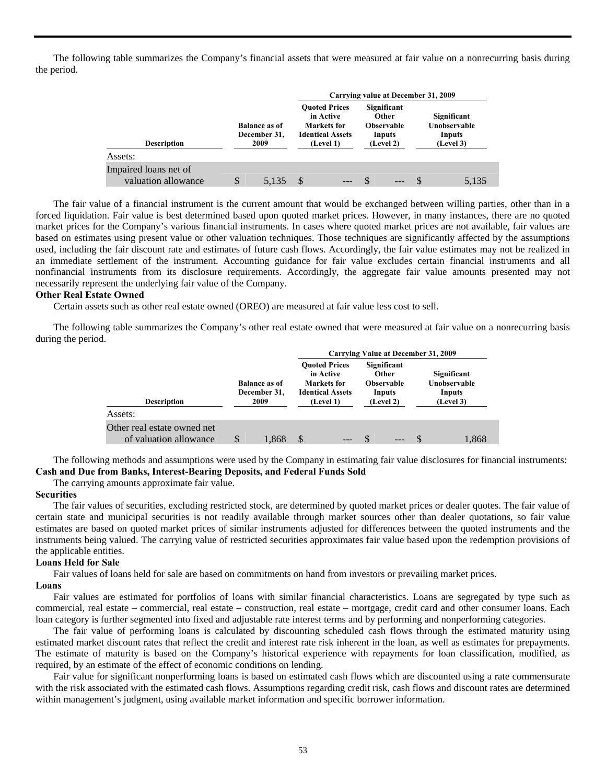The following table summarizes the Company's financial assets that were measured at fair value on a nonrecurring basis during the period.

| <b>Description</b>                           |                                              |       | Carrying value at December 31, 2009                                                      |  |                                                                  |  |                                                    |       |  |  |
|----------------------------------------------|----------------------------------------------|-------|------------------------------------------------------------------------------------------|--|------------------------------------------------------------------|--|----------------------------------------------------|-------|--|--|
|                                              | <b>Balance as of</b><br>December 31,<br>2009 |       | <b>Ouoted Prices</b><br>in Active<br>Markets for<br><b>Identical Assets</b><br>(Level 1) |  | Significant<br>Other<br><b>Observable</b><br>Inputs<br>(Level 2) |  | Significant<br>Unobservable<br>Inputs<br>(Level 3) |       |  |  |
| Assets:                                      |                                              |       |                                                                                          |  |                                                                  |  |                                                    |       |  |  |
| Impaired loans net of<br>valuation allowance | S                                            | 5,135 |                                                                                          |  |                                                                  |  |                                                    | 5.135 |  |  |

 The fair value of a financial instrument is the current amount that would be exchanged between willing parties, other than in a forced liquidation. Fair value is best determined based upon quoted market prices. However, in many instances, there are no quoted market prices for the Company's various financial instruments. In cases where quoted market prices are not available, fair values are based on estimates using present value or other valuation techniques. Those techniques are significantly affected by the assumptions used, including the fair discount rate and estimates of future cash flows. Accordingly, the fair value estimates may not be realized in an immediate settlement of the instrument. Accounting guidance for fair value excludes certain financial instruments and all nonfinancial instruments from its disclosure requirements. Accordingly, the aggregate fair value amounts presented may not necessarily represent the underlying fair value of the Company.

#### **Other Real Estate Owned**

Certain assets such as other real estate owned (OREO) are measured at fair value less cost to sell.

The following table summarizes the Company's other real estate owned that were measured at fair value on a nonrecurring basis during the period.

|                                                       |  |                                              |  |                                                                                          |  | <b>Carrying Value at December 31, 2009</b>                              |  |                                                    |  |  |  |  |
|-------------------------------------------------------|--|----------------------------------------------|--|------------------------------------------------------------------------------------------|--|-------------------------------------------------------------------------|--|----------------------------------------------------|--|--|--|--|
| <b>Description</b>                                    |  | <b>Balance as of</b><br>December 31,<br>2009 |  | <b>Ouoted Prices</b><br>in Active<br>Markets for<br><b>Identical Assets</b><br>(Level 1) |  | Significant<br><b>Other</b><br><b>Observable</b><br>Inputs<br>(Level 2) |  | Significant<br>Unobservable<br>Inputs<br>(Level 3) |  |  |  |  |
| Assets:                                               |  |                                              |  |                                                                                          |  |                                                                         |  |                                                    |  |  |  |  |
| Other real estate owned net<br>of valuation allowance |  | 1.868                                        |  |                                                                                          |  |                                                                         |  | 1,868                                              |  |  |  |  |

The following methods and assumptions were used by the Company in estimating fair value disclosures for financial instruments: **Cash and Due from Banks, Interest-Bearing Deposits, and Federal Funds Sold** 

### The carrying amounts approximate fair value.

#### **Securities**

 The fair values of securities, excluding restricted stock, are determined by quoted market prices or dealer quotes. The fair value of certain state and municipal securities is not readily available through market sources other than dealer quotations, so fair value estimates are based on quoted market prices of similar instruments adjusted for differences between the quoted instruments and the instruments being valued. The carrying value of restricted securities approximates fair value based upon the redemption provisions of the applicable entities.

### **Loans Held for Sale**

Fair values of loans held for sale are based on commitments on hand from investors or prevailing market prices.

### **Loans**

 Fair values are estimated for portfolios of loans with similar financial characteristics. Loans are segregated by type such as commercial, real estate – commercial, real estate – construction, real estate – mortgage, credit card and other consumer loans. Each loan category is further segmented into fixed and adjustable rate interest terms and by performing and nonperforming categories.

 The fair value of performing loans is calculated by discounting scheduled cash flows through the estimated maturity using estimated market discount rates that reflect the credit and interest rate risk inherent in the loan, as well as estimates for prepayments. The estimate of maturity is based on the Company's historical experience with repayments for loan classification, modified, as required, by an estimate of the effect of economic conditions on lending.

 Fair value for significant nonperforming loans is based on estimated cash flows which are discounted using a rate commensurate with the risk associated with the estimated cash flows. Assumptions regarding credit risk, cash flows and discount rates are determined within management's judgment, using available market information and specific borrower information.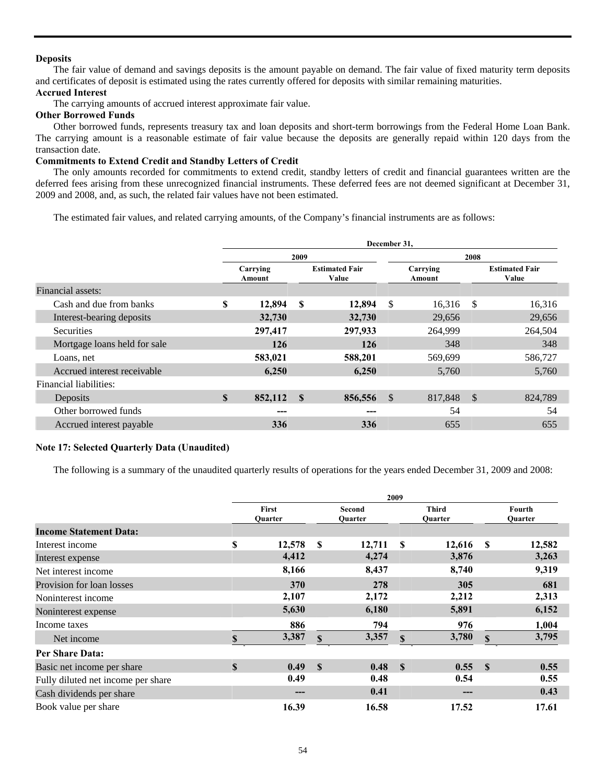### **Deposits**

 The fair value of demand and savings deposits is the amount payable on demand. The fair value of fixed maturity term deposits and certificates of deposit is estimated using the rates currently offered for deposits with similar remaining maturities.

# **Accrued Interest**

The carrying amounts of accrued interest approximate fair value.

### **Other Borrowed Funds**

 Other borrowed funds, represents treasury tax and loan deposits and short-term borrowings from the Federal Home Loan Bank. The carrying amount is a reasonable estimate of fair value because the deposits are generally repaid within 120 days from the transaction date.

# **Commitments to Extend Credit and Standby Letters of Credit**

 The only amounts recorded for commitments to extend credit, standby letters of credit and financial guarantees written are the deferred fees arising from these unrecognized financial instruments. These deferred fees are not deemed significant at December 31, 2009 and 2008, and, as such, the related fair values have not been estimated.

The estimated fair values, and related carrying amounts, of the Company's financial instruments are as follows:

|                              | December 31.       |         |                                |         |                    |         |      |                                |  |
|------------------------------|--------------------|---------|--------------------------------|---------|--------------------|---------|------|--------------------------------|--|
|                              |                    |         | 2009                           |         |                    | 2008    |      |                                |  |
|                              | Carrying<br>Amount |         | <b>Estimated Fair</b><br>Value |         | Carrying<br>Amount |         |      | <b>Estimated Fair</b><br>Value |  |
| Financial assets:            |                    |         |                                |         |                    |         |      |                                |  |
| Cash and due from banks      | \$                 | 12,894  | <b>S</b>                       | 12,894  | -\$                | 16,316  | - \$ | 16,316                         |  |
| Interest-bearing deposits    |                    | 32,730  |                                | 32,730  |                    | 29,656  |      | 29,656                         |  |
| Securities                   |                    | 297,417 |                                | 297,933 |                    | 264,999 |      | 264,504                        |  |
| Mortgage loans held for sale |                    | 126     |                                | 126     |                    | 348     |      | 348                            |  |
| Loans, net                   |                    | 583,021 |                                | 588,201 |                    | 569,699 |      | 586,727                        |  |
| Accrued interest receivable  |                    | 6,250   |                                | 6,250   |                    | 5,760   |      | 5,760                          |  |
| Financial liabilities:       |                    |         |                                |         |                    |         |      |                                |  |
| Deposits                     | $\mathbf{s}$       | 852,112 | <b>S</b>                       | 856,556 | <sup>\$</sup>      | 817,848 | - \$ | 824,789                        |  |
| Other borrowed funds         |                    | ---     |                                | ---     |                    | 54      |      | 54                             |  |
| Accrued interest payable     |                    | 336     |                                | 336     |                    | 655     |      | 655                            |  |

# **Note 17: Selected Quarterly Data (Unaudited)**

The following is a summary of the unaudited quarterly results of operations for the years ended December 31, 2009 and 2008:

|                                    |             | 2009             |              |                   |   |                         |              |                   |
|------------------------------------|-------------|------------------|--------------|-------------------|---|-------------------------|--------------|-------------------|
|                                    |             | First<br>Quarter |              | Second<br>Quarter |   | <b>Third</b><br>Quarter |              | Fourth<br>Quarter |
| <b>Income Statement Data:</b>      |             |                  |              |                   |   |                         |              |                   |
| Interest income                    | S           | 12,578           | <b>S</b>     | 12,711            | S | 12,616                  | S            | 12,582            |
| Interest expense                   |             | 4,412            |              | 4,274             |   | 3,876                   |              | 3,263             |
| Net interest income                |             | 8,166            |              | 8,437             |   | 8,740                   |              | 9,319             |
| Provision for loan losses          |             | 370              |              | 278               |   | 305                     |              | 681               |
| Noninterest income                 |             | 2,107            |              | 2,172             |   | 2,212                   |              | 2,313             |
| Noninterest expense                |             | 5,630            |              | 6,180             |   | 5,891                   |              | 6,152             |
| Income taxes                       |             | 886              |              | 794               |   | 976                     |              | 1,004             |
| Net income                         | $\mathbf S$ | 3,387            | \$           | 3,357             | S | 3,780                   | \$           | 3,795             |
| Per Share Data:                    |             |                  |              |                   |   |                         |              |                   |
| Basic net income per share         | $\mathbf S$ | 0.49             | <sup>S</sup> | 0.48              | S | 0.55                    | <sup>S</sup> | 0.55              |
| Fully diluted net income per share |             | 0.49             |              | 0.48              |   | 0.54                    |              | 0.55              |
| Cash dividends per share           |             | ---              |              | 0.41              |   | ---                     |              | 0.43              |
| Book value per share               |             | 16.39            |              | 16.58             |   | 17.52                   |              | 17.61             |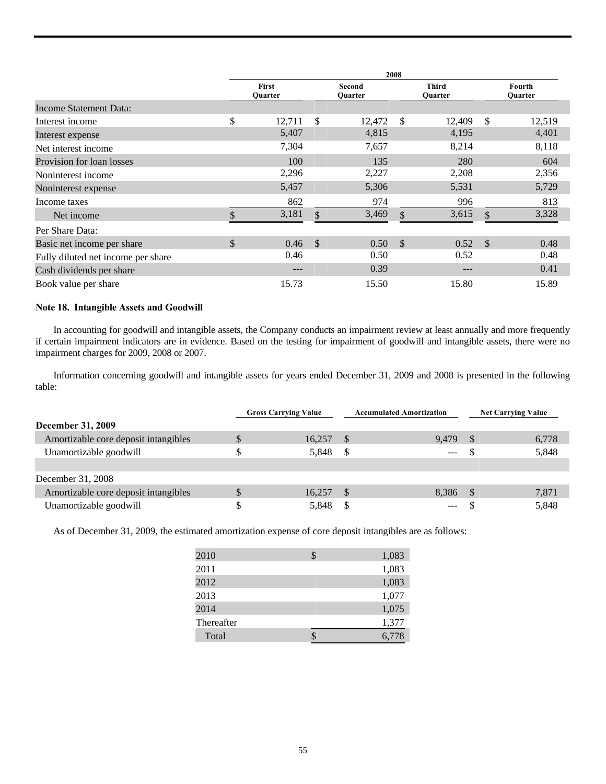|                                    | 2008                    |               |                          |               |                                |               |                   |
|------------------------------------|-------------------------|---------------|--------------------------|---------------|--------------------------------|---------------|-------------------|
|                                    | First<br><b>Ouarter</b> |               | Second<br><b>Ouarter</b> |               | <b>Third</b><br><b>Ouarter</b> |               | Fourth<br>Quarter |
| Income Statement Data:             |                         |               |                          |               |                                |               |                   |
| Interest income                    | \$<br>12,711            | \$            | 12,472                   | \$            | 12,409                         | \$            | 12,519            |
| Interest expense                   | 5,407                   |               | 4,815                    |               | 4,195                          |               | 4,401             |
| Net interest income                | 7,304                   |               | 7,657                    |               | 8,214                          |               | 8,118             |
| Provision for loan losses          | 100                     |               | 135                      |               | 280                            |               | 604               |
| Noninterest income                 | 2,296                   |               | 2,227                    |               | 2,208                          |               | 2,356             |
| Noninterest expense                | 5,457                   |               | 5,306                    |               | 5,531                          |               | 5,729             |
| Income taxes                       | 862                     |               | 974                      |               | 996                            |               | 813               |
| Net income                         | 3,181                   | $\mathbb{S}$  | 3,469                    | $\mathcal{S}$ | 3,615                          | \$            | 3,328             |
| Per Share Data:                    |                         |               |                          |               |                                |               |                   |
| Basic net income per share         | \$<br>0.46              | <sup>\$</sup> | 0.50                     | <sup>\$</sup> | 0.52                           | $\mathcal{S}$ | 0.48              |
| Fully diluted net income per share | 0.46                    |               | 0.50                     |               | 0.52                           |               | 0.48              |
| Cash dividends per share           | ---                     |               | 0.39                     |               | ---                            |               | 0.41              |
| Book value per share               | 15.73                   |               | 15.50                    |               | 15.80                          |               | 15.89             |

### **Note 18. Intangible Assets and Goodwill**

 In accounting for goodwill and intangible assets, the Company conducts an impairment review at least annually and more frequently if certain impairment indicators are in evidence. Based on the testing for impairment of goodwill and intangible assets, there were no impairment charges for 2009, 2008 or 2007.

Information concerning goodwill and intangible assets for years ended December 31, 2009 and 2008 is presented in the following table:

|                                      | <b>Gross Carrying Value</b> |        |     | <b>Accumulated Amortization</b> |               | <b>Net Carrying Value</b> |
|--------------------------------------|-----------------------------|--------|-----|---------------------------------|---------------|---------------------------|
| <b>December 31, 2009</b>             |                             |        |     |                                 |               |                           |
| Amortizable core deposit intangibles | S                           | 16,257 | -S  | 9,479                           | -S            | 6,778                     |
| Unamortizable goodwill               | \$                          | 5.848  | -\$ | $---$                           |               | 5,848                     |
|                                      |                             |        |     |                                 |               |                           |
| December 31, 2008                    |                             |        |     |                                 |               |                           |
| Amortizable core deposit intangibles | \$                          | 16,257 | -S  | 8,386                           | <sup>\$</sup> | 7,871                     |
| Unamortizable goodwill               |                             | 5,848  |     | ---                             |               | 5,848                     |

As of December 31, 2009, the estimated amortization expense of core deposit intangibles are as follows:

| 2010       | \$<br>1,083 |
|------------|-------------|
| 2011       | 1,083       |
| 2012       | 1,083       |
| 2013       | 1,077       |
| 2014       | 1,075       |
| Thereafter | 1,377       |
| Total      | 6,778       |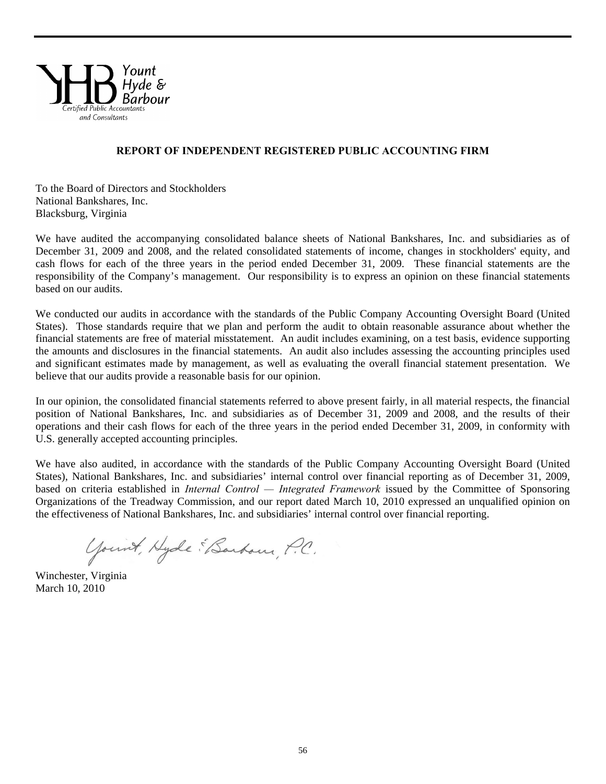

# **REPORT OF INDEPENDENT REGISTERED PUBLIC ACCOUNTING FIRM**

To the Board of Directors and Stockholders National Bankshares, Inc. Blacksburg, Virginia

We have audited the accompanying consolidated balance sheets of National Bankshares, Inc. and subsidiaries as of December 31, 2009 and 2008, and the related consolidated statements of income, changes in stockholders' equity, and cash flows for each of the three years in the period ended December 31, 2009. These financial statements are the responsibility of the Company's management. Our responsibility is to express an opinion on these financial statements based on our audits.

We conducted our audits in accordance with the standards of the Public Company Accounting Oversight Board (United States). Those standards require that we plan and perform the audit to obtain reasonable assurance about whether the financial statements are free of material misstatement. An audit includes examining, on a test basis, evidence supporting the amounts and disclosures in the financial statements. An audit also includes assessing the accounting principles used and significant estimates made by management, as well as evaluating the overall financial statement presentation. We believe that our audits provide a reasonable basis for our opinion.

In our opinion, the consolidated financial statements referred to above present fairly, in all material respects, the financial position of National Bankshares, Inc. and subsidiaries as of December 31, 2009 and 2008, and the results of their operations and their cash flows for each of the three years in the period ended December 31, 2009, in conformity with U.S. generally accepted accounting principles.

We have also audited, in accordance with the standards of the Public Company Accounting Oversight Board (United States), National Bankshares, Inc. and subsidiaries' internal control over financial reporting as of December 31, 2009, based on criteria established in *Internal Control — Integrated Framework* issued by the Committee of Sponsoring Organizations of the Treadway Commission, and our report dated March 10, 2010 expressed an unqualified opinion on the effectiveness of National Bankshares, Inc. and subsidiaries' internal control over financial reporting.

Yount, Hyde : Barbour, P.C.

Winchester, Virginia March 10, 2010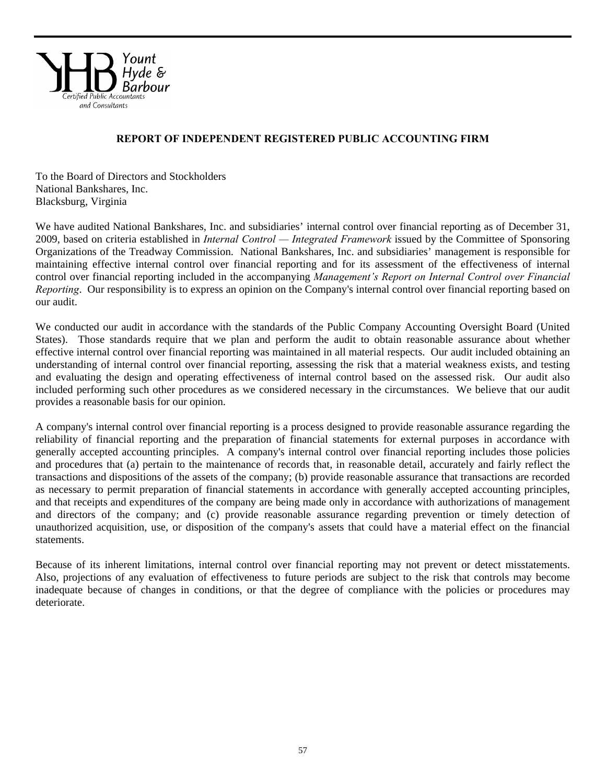

# **REPORT OF INDEPENDENT REGISTERED PUBLIC ACCOUNTING FIRM**

To the Board of Directors and Stockholders National Bankshares, Inc. Blacksburg, Virginia

We have audited National Bankshares, Inc. and subsidiaries' internal control over financial reporting as of December 31, 2009, based on criteria established in *Internal Control — Integrated Framework* issued by the Committee of Sponsoring Organizations of the Treadway Commission. National Bankshares, Inc. and subsidiaries' management is responsible for maintaining effective internal control over financial reporting and for its assessment of the effectiveness of internal control over financial reporting included in the accompanying *Management's Report on Internal Control over Financial Reporting*. Our responsibility is to express an opinion on the Company's internal control over financial reporting based on our audit.

We conducted our audit in accordance with the standards of the Public Company Accounting Oversight Board (United States). Those standards require that we plan and perform the audit to obtain reasonable assurance about whether effective internal control over financial reporting was maintained in all material respects. Our audit included obtaining an understanding of internal control over financial reporting, assessing the risk that a material weakness exists, and testing and evaluating the design and operating effectiveness of internal control based on the assessed risk. Our audit also included performing such other procedures as we considered necessary in the circumstances. We believe that our audit provides a reasonable basis for our opinion.

A company's internal control over financial reporting is a process designed to provide reasonable assurance regarding the reliability of financial reporting and the preparation of financial statements for external purposes in accordance with generally accepted accounting principles. A company's internal control over financial reporting includes those policies and procedures that (a) pertain to the maintenance of records that, in reasonable detail, accurately and fairly reflect the transactions and dispositions of the assets of the company; (b) provide reasonable assurance that transactions are recorded as necessary to permit preparation of financial statements in accordance with generally accepted accounting principles, and that receipts and expenditures of the company are being made only in accordance with authorizations of management and directors of the company; and (c) provide reasonable assurance regarding prevention or timely detection of unauthorized acquisition, use, or disposition of the company's assets that could have a material effect on the financial statements.

Because of its inherent limitations, internal control over financial reporting may not prevent or detect misstatements. Also, projections of any evaluation of effectiveness to future periods are subject to the risk that controls may become inadequate because of changes in conditions, or that the degree of compliance with the policies or procedures may deteriorate.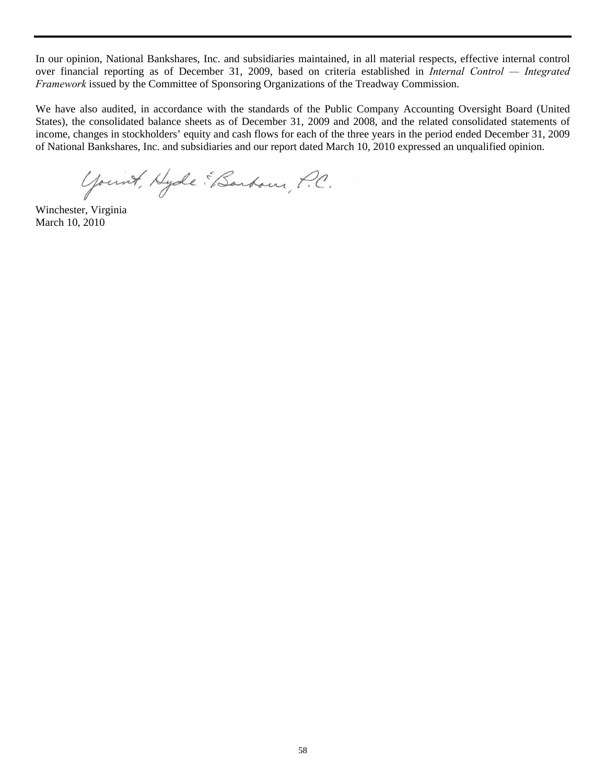In our opinion, National Bankshares, Inc. and subsidiaries maintained, in all material respects, effective internal control over financial reporting as of December 31, 2009, based on criteria established in *Internal Control — Integrated Framework* issued by the Committee of Sponsoring Organizations of the Treadway Commission.

We have also audited, in accordance with the standards of the Public Company Accounting Oversight Board (United States), the consolidated balance sheets as of December 31, 2009 and 2008, and the related consolidated statements of income, changes in stockholders' equity and cash flows for each of the three years in the period ended December 31, 2009 of National Bankshares, Inc. and subsidiaries and our report dated March 10, 2010 expressed an unqualified opinion.

Yount, Hyde : Barbour, P.C.

Winchester, Virginia March 10, 2010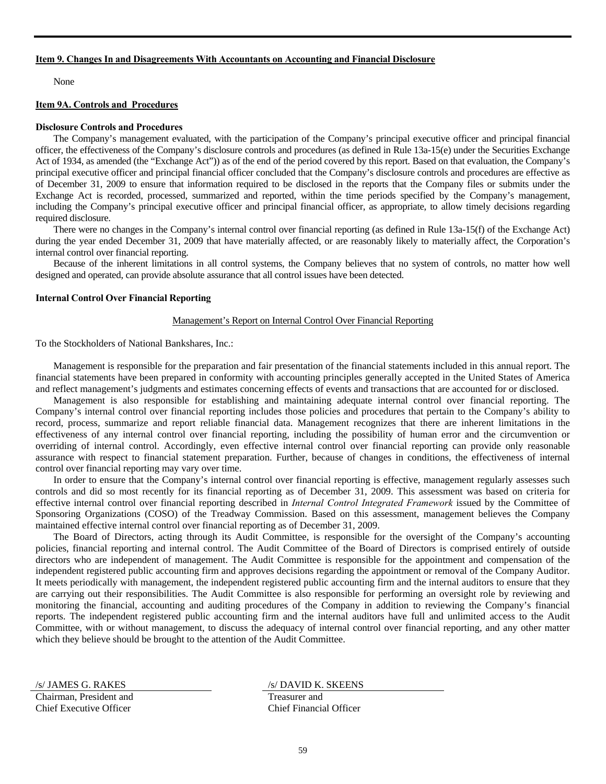### **Item 9. Changes In and Disagreements With Accountants on Accounting and Financial Disclosure**

None

### **Item 9A. Controls and Procedures**

#### **Disclosure Controls and Procedures**

 The Company's management evaluated, with the participation of the Company's principal executive officer and principal financial officer, the effectiveness of the Company's disclosure controls and procedures (as defined in Rule 13a-15(e) under the Securities Exchange Act of 1934, as amended (the "Exchange Act")) as of the end of the period covered by this report. Based on that evaluation, the Company's principal executive officer and principal financial officer concluded that the Company's disclosure controls and procedures are effective as of December 31, 2009 to ensure that information required to be disclosed in the reports that the Company files or submits under the Exchange Act is recorded, processed, summarized and reported, within the time periods specified by the Company's management, including the Company's principal executive officer and principal financial officer, as appropriate, to allow timely decisions regarding required disclosure.

 There were no changes in the Company's internal control over financial reporting (as defined in Rule 13a-15(f) of the Exchange Act) during the year ended December 31, 2009 that have materially affected, or are reasonably likely to materially affect, the Corporation's internal control over financial reporting.

 Because of the inherent limitations in all control systems, the Company believes that no system of controls, no matter how well designed and operated, can provide absolute assurance that all control issues have been detected.

### **Internal Control Over Financial Reporting**

### Management's Report on Internal Control Over Financial Reporting

To the Stockholders of National Bankshares, Inc.:

 Management is responsible for the preparation and fair presentation of the financial statements included in this annual report. The financial statements have been prepared in conformity with accounting principles generally accepted in the United States of America and reflect management's judgments and estimates concerning effects of events and transactions that are accounted for or disclosed.

 Management is also responsible for establishing and maintaining adequate internal control over financial reporting. The Company's internal control over financial reporting includes those policies and procedures that pertain to the Company's ability to record, process, summarize and report reliable financial data. Management recognizes that there are inherent limitations in the effectiveness of any internal control over financial reporting, including the possibility of human error and the circumvention or overriding of internal control. Accordingly, even effective internal control over financial reporting can provide only reasonable assurance with respect to financial statement preparation. Further, because of changes in conditions, the effectiveness of internal control over financial reporting may vary over time.

 In order to ensure that the Company's internal control over financial reporting is effective, management regularly assesses such controls and did so most recently for its financial reporting as of December 31, 2009. This assessment was based on criteria for effective internal control over financial reporting described in *Internal Control Integrated Framework* issued by the Committee of Sponsoring Organizations (COSO) of the Treadway Commission. Based on this assessment, management believes the Company maintained effective internal control over financial reporting as of December 31, 2009.

 The Board of Directors, acting through its Audit Committee, is responsible for the oversight of the Company's accounting policies, financial reporting and internal control. The Audit Committee of the Board of Directors is comprised entirely of outside directors who are independent of management. The Audit Committee is responsible for the appointment and compensation of the independent registered public accounting firm and approves decisions regarding the appointment or removal of the Company Auditor. It meets periodically with management, the independent registered public accounting firm and the internal auditors to ensure that they are carrying out their responsibilities. The Audit Committee is also responsible for performing an oversight role by reviewing and monitoring the financial, accounting and auditing procedures of the Company in addition to reviewing the Company's financial reports. The independent registered public accounting firm and the internal auditors have full and unlimited access to the Audit Committee, with or without management, to discuss the adequacy of internal control over financial reporting, and any other matter which they believe should be brought to the attention of the Audit Committee.

Chairman, President and Chief Executive Officer

/s/ JAMES G. RAKES /s/ DAVID K. SKEENS

 Treasurer and Chief Financial Officer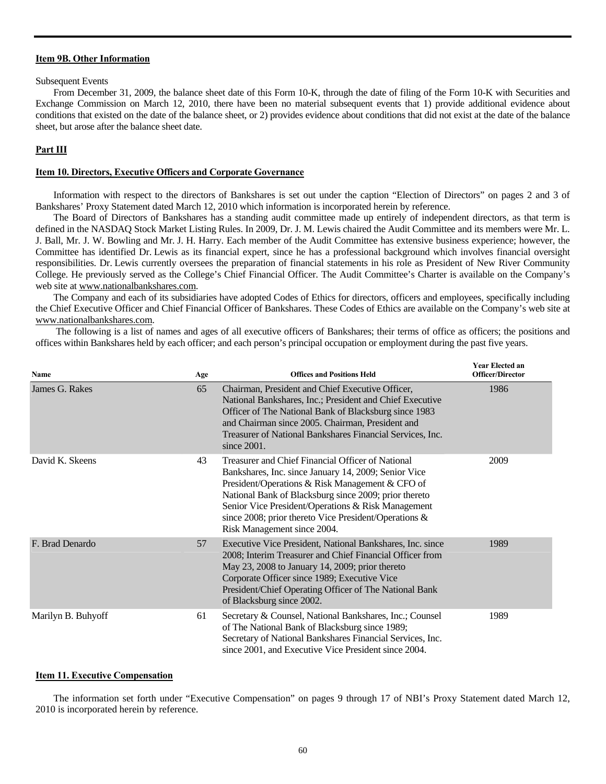# **Item 9B. Other Information**

#### Subsequent Events

 From December 31, 2009, the balance sheet date of this Form 10-K, through the date of filing of the Form 10-K with Securities and Exchange Commission on March 12, 2010, there have been no material subsequent events that 1) provide additional evidence about conditions that existed on the date of the balance sheet, or 2) provides evidence about conditions that did not exist at the date of the balance sheet, but arose after the balance sheet date.

# **Part III**

### **Item 10. Directors, Executive Officers and Corporate Governance**

 Information with respect to the directors of Bankshares is set out under the caption "Election of Directors" on pages 2 and 3 of Bankshares' Proxy Statement dated March 12, 2010 which information is incorporated herein by reference.

 The Board of Directors of Bankshares has a standing audit committee made up entirely of independent directors, as that term is defined in the NASDAQ Stock Market Listing Rules. In 2009, Dr. J. M. Lewis chaired the Audit Committee and its members were Mr. L. J. Ball, Mr. J. W. Bowling and Mr. J. H. Harry. Each member of the Audit Committee has extensive business experience; however, the Committee has identified Dr. Lewis as its financial expert, since he has a professional background which involves financial oversight responsibilities. Dr. Lewis currently oversees the preparation of financial statements in his role as President of New River Community College. He previously served as the College's Chief Financial Officer. The Audit Committee's Charter is available on the Company's web site at www.nationalbankshares.com.

 The Company and each of its subsidiaries have adopted Codes of Ethics for directors, officers and employees, specifically including the Chief Executive Officer and Chief Financial Officer of Bankshares. These Codes of Ethics are available on the Company's web site at www.nationalbankshares.com.

 The following is a list of names and ages of all executive officers of Bankshares; their terms of office as officers; the positions and offices within Bankshares held by each officer; and each person's principal occupation or employment during the past five years.

| Name               | Age | <b>Offices and Positions Held</b>                                                                                                                                                                                                                                                                                                                                   | <b>Year Elected an</b><br>Officer/Director |
|--------------------|-----|---------------------------------------------------------------------------------------------------------------------------------------------------------------------------------------------------------------------------------------------------------------------------------------------------------------------------------------------------------------------|--------------------------------------------|
| James G. Rakes     | 65  | Chairman, President and Chief Executive Officer,<br>National Bankshares, Inc.; President and Chief Executive<br>Officer of The National Bank of Blacksburg since 1983<br>and Chairman since 2005. Chairman, President and<br>Treasurer of National Bankshares Financial Services, Inc.<br>since $2001$ .                                                            | 1986                                       |
| David K. Skeens    | 43  | Treasurer and Chief Financial Officer of National<br>Bankshares, Inc. since January 14, 2009; Senior Vice<br>President/Operations & Risk Management & CFO of<br>National Bank of Blacksburg since 2009; prior thereto<br>Senior Vice President/Operations & Risk Management<br>since 2008; prior thereto Vice President/Operations &<br>Risk Management since 2004. | 2009                                       |
| F. Brad Denardo    | 57  | Executive Vice President, National Bankshares, Inc. since<br>2008; Interim Treasurer and Chief Financial Officer from<br>May 23, 2008 to January 14, 2009; prior thereto<br>Corporate Officer since 1989; Executive Vice<br>President/Chief Operating Officer of The National Bank<br>of Blacksburg since 2002.                                                     | 1989                                       |
| Marilyn B. Buhyoff | 61  | Secretary & Counsel, National Bankshares, Inc.; Counsel<br>of The National Bank of Blacksburg since 1989;<br>Secretary of National Bankshares Financial Services, Inc.<br>since 2001, and Executive Vice President since 2004.                                                                                                                                      | 1989                                       |

### **Item 11. Executive Compensation**

 The information set forth under "Executive Compensation" on pages 9 through 17 of NBI's Proxy Statement dated March 12, 2010 is incorporated herein by reference.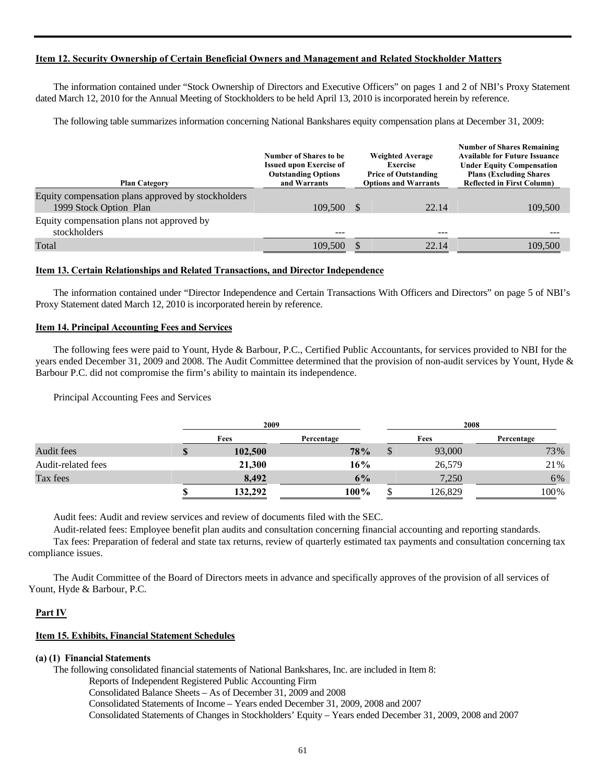### **Item 12. Security Ownership of Certain Beneficial Owners and Management and Related Stockholder Matters**

 The information contained under "Stock Ownership of Directors and Executive Officers" on pages 1 and 2 of NBI's Proxy Statement dated March 12, 2010 for the Annual Meeting of Stockholders to be held April 13, 2010 is incorporated herein by reference.

The following table summarizes information concerning National Bankshares equity compensation plans at December 31, 2009:

| <b>Plan Category</b>                                                         | <b>Number of Shares to be</b><br><b>Issued upon Exercise of</b><br><b>Outstanding Options</b><br>and Warrants | <b>Weighted Average</b><br><b>Exercise</b><br><b>Price of Outstanding</b><br><b>Options and Warrants</b> | <b>Number of Shares Remaining</b><br><b>Available for Future Issuance</b><br><b>Under Equity Compensation</b><br><b>Plans (Excluding Shares)</b><br><b>Reflected in First Column)</b> |
|------------------------------------------------------------------------------|---------------------------------------------------------------------------------------------------------------|----------------------------------------------------------------------------------------------------------|---------------------------------------------------------------------------------------------------------------------------------------------------------------------------------------|
| Equity compensation plans approved by stockholders<br>1999 Stock Option Plan | 109,500                                                                                                       | 22.14                                                                                                    | 109,500                                                                                                                                                                               |
| Equity compensation plans not approved by<br>stockholders                    | ---                                                                                                           | ---                                                                                                      |                                                                                                                                                                                       |
| Total                                                                        | 109,500                                                                                                       | 22.14                                                                                                    | 109,500                                                                                                                                                                               |

### **Item 13. Certain Relationships and Related Transactions, and Director Independence**

 The information contained under "Director Independence and Certain Transactions With Officers and Directors" on page 5 of NBI's Proxy Statement dated March 12, 2010 is incorporated herein by reference.

### **Item 14. Principal Accounting Fees and Services**

 The following fees were paid to Yount, Hyde & Barbour, P.C., Certified Public Accountants, for services provided to NBI for the years ended December 31, 2009 and 2008. The Audit Committee determined that the provision of non-audit services by Yount, Hyde & Barbour P.C. did not compromise the firm's ability to maintain its independence.

Principal Accounting Fees and Services

|                    | 2009    |            |   | 2008    |            |  |  |
|--------------------|---------|------------|---|---------|------------|--|--|
|                    | Fees    | Percentage |   | Fees    | Percentage |  |  |
| Audit fees         | 102,500 | <b>78%</b> | ◡ | 93,000  | 73%        |  |  |
| Audit-related fees | 21,300  | 16%        |   | 26,579  | 21%        |  |  |
| Tax fees           | 8,492   | 6%         |   | 7,250   | 6%         |  |  |
|                    | 132,292 | 100%       |   | 126,829 | 100%       |  |  |

Audit fees: Audit and review services and review of documents filed with the SEC.

Audit-related fees: Employee benefit plan audits and consultation concerning financial accounting and reporting standards.

 Tax fees: Preparation of federal and state tax returns, review of quarterly estimated tax payments and consultation concerning tax compliance issues.

 The Audit Committee of the Board of Directors meets in advance and specifically approves of the provision of all services of Yount, Hyde & Barbour, P.C.

# **Part IV**

### **Item 15. Exhibits, Financial Statement Schedules**

### **(a) (1) Financial Statements**

The following consolidated financial statements of National Bankshares, Inc. are included in Item 8:

Reports of Independent Registered Public Accounting Firm

Consolidated Balance Sheets – As of December 31, 2009 and 2008

Consolidated Statements of Income – Years ended December 31, 2009, 2008 and 2007

Consolidated Statements of Changes in Stockholders' Equity – Years ended December 31, 2009, 2008 and 2007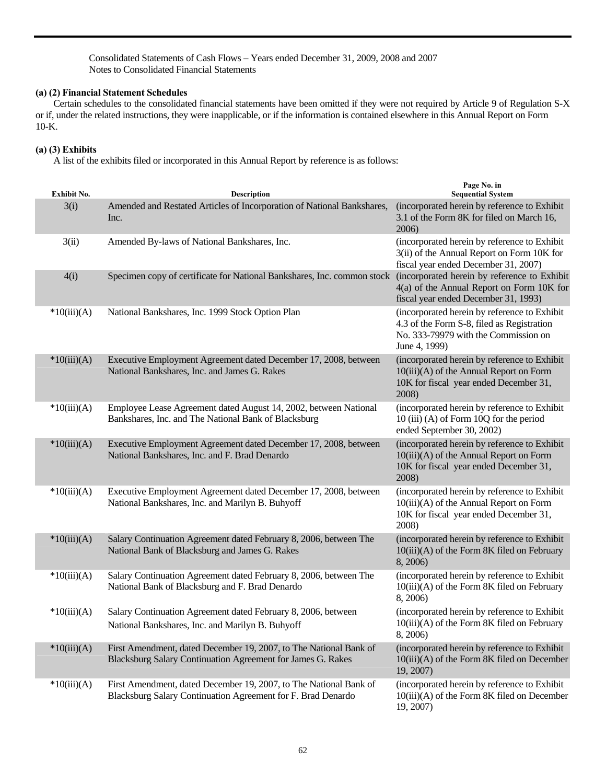Consolidated Statements of Cash Flows – Years ended December 31, 2009, 2008 and 2007 Notes to Consolidated Financial Statements

# **(a) (2) Financial Statement Schedules**

 Certain schedules to the consolidated financial statements have been omitted if they were not required by Article 9 of Regulation S-X or if, under the related instructions, they were inapplicable, or if the information is contained elsewhere in this Annual Report on Form 10-K.

### **(a) (3) Exhibits**

A list of the exhibits filed or incorporated in this Annual Report by reference is as follows:

| Exhibit No.   | Description                                                                                                                       | Page No. in<br><b>Sequential System</b>                                                                                                             |
|---------------|-----------------------------------------------------------------------------------------------------------------------------------|-----------------------------------------------------------------------------------------------------------------------------------------------------|
| 3(i)          | Amended and Restated Articles of Incorporation of National Bankshares,<br>Inc.                                                    | (incorporated herein by reference to Exhibit<br>3.1 of the Form 8K for filed on March 16,<br>2006)                                                  |
| 3(ii)         | Amended By-laws of National Bankshares, Inc.                                                                                      | (incorporated herein by reference to Exhibit<br>3(ii) of the Annual Report on Form 10K for<br>fiscal year ended December 31, 2007)                  |
| 4(i)          | Specimen copy of certificate for National Bankshares, Inc. common stock                                                           | (incorporated herein by reference to Exhibit<br>4(a) of the Annual Report on Form 10K for<br>fiscal year ended December 31, 1993)                   |
| $*10(iii)(A)$ | National Bankshares, Inc. 1999 Stock Option Plan                                                                                  | (incorporated herein by reference to Exhibit<br>4.3 of the Form S-8, filed as Registration<br>No. 333-79979 with the Commission on<br>June 4, 1999) |
| $*10(iii)(A)$ | Executive Employment Agreement dated December 17, 2008, between<br>National Bankshares, Inc. and James G. Rakes                   | (incorporated herein by reference to Exhibit<br>10(iii)(A) of the Annual Report on Form<br>10K for fiscal year ended December 31,<br>2008)          |
| $*10(iii)(A)$ | Employee Lease Agreement dated August 14, 2002, between National<br>Bankshares, Inc. and The National Bank of Blacksburg          | (incorporated herein by reference to Exhibit<br>10 (iii) (A) of Form 10Q for the period<br>ended September 30, 2002)                                |
| $*10(iii)(A)$ | Executive Employment Agreement dated December 17, 2008, between<br>National Bankshares, Inc. and F. Brad Denardo                  | (incorporated herein by reference to Exhibit<br>10(iii)(A) of the Annual Report on Form<br>10K for fiscal year ended December 31,<br>2008)          |
| $*10(iii)(A)$ | Executive Employment Agreement dated December 17, 2008, between<br>National Bankshares, Inc. and Marilyn B. Buhyoff               | (incorporated herein by reference to Exhibit<br>10(iii)(A) of the Annual Report on Form<br>10K for fiscal year ended December 31,<br>2008)          |
| $*10(iii)(A)$ | Salary Continuation Agreement dated February 8, 2006, between The<br>National Bank of Blacksburg and James G. Rakes               | (incorporated herein by reference to Exhibit<br>10(iii)(A) of the Form 8K filed on February<br>8, 2006)                                             |
| $*10(iii)(A)$ | Salary Continuation Agreement dated February 8, 2006, between The<br>National Bank of Blacksburg and F. Brad Denardo              | (incorporated herein by reference to Exhibit<br>10(iii)(A) of the Form 8K filed on February<br>8, 2006)                                             |
| $*10(iii)(A)$ | Salary Continuation Agreement dated February 8, 2006, between<br>National Bankshares, Inc. and Marilyn B. Buhyoff                 | (incorporated herein by reference to Exhibit<br>10(iii)(A) of the Form 8K filed on February<br>8, 2006)                                             |
| $*10(iii)(A)$ | First Amendment, dated December 19, 2007, to The National Bank of<br>Blacksburg Salary Continuation Agreement for James G. Rakes  | (incorporated herein by reference to Exhibit<br>10(iii)(A) of the Form 8K filed on December<br>19, 2007)                                            |
| $*10(iii)(A)$ | First Amendment, dated December 19, 2007, to The National Bank of<br>Blacksburg Salary Continuation Agreement for F. Brad Denardo | (incorporated herein by reference to Exhibit<br>10(iii)(A) of the Form 8K filed on December<br>19, 2007)                                            |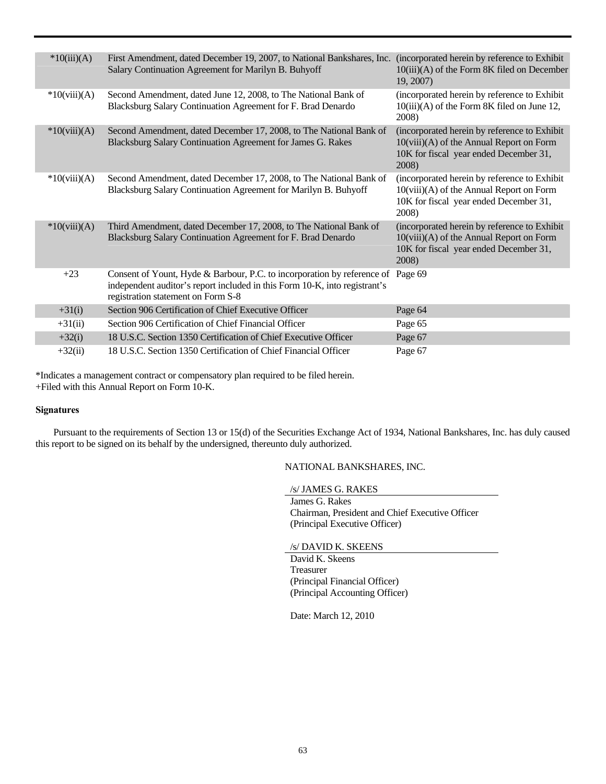| $*10(iii)(A)$  | First Amendment, dated December 19, 2007, to National Bankshares, Inc.<br>Salary Continuation Agreement for Marilyn B. Buhyoff                                                              | (incorporated herein by reference to Exhibit<br>10(iii)(A) of the Form 8K filed on December<br>19, 2007)                                      |
|----------------|---------------------------------------------------------------------------------------------------------------------------------------------------------------------------------------------|-----------------------------------------------------------------------------------------------------------------------------------------------|
| $*10(viii)(A)$ | Second Amendment, dated June 12, 2008, to The National Bank of<br>Blacksburg Salary Continuation Agreement for F. Brad Denardo                                                              | (incorporated herein by reference to Exhibit<br>10(iii)(A) of the Form 8K filed on June 12,<br>2008)                                          |
| $*10(viii)(A)$ | Second Amendment, dated December 17, 2008, to The National Bank of<br>Blacksburg Salary Continuation Agreement for James G. Rakes                                                           | (incorporated herein by reference to Exhibit<br>10(viii)(A) of the Annual Report on Form<br>10K for fiscal year ended December 31,<br>2008)   |
| $*10(viii)(A)$ | Second Amendment, dated December 17, 2008, to The National Bank of<br>Blacksburg Salary Continuation Agreement for Marilyn B. Buhyoff                                                       | (incorporated herein by reference to Exhibit<br>$10(viii)(A)$ of the Annual Report on Form<br>10K for fiscal year ended December 31,<br>2008) |
| $*10(viii)(A)$ | Third Amendment, dated December 17, 2008, to The National Bank of<br>Blacksburg Salary Continuation Agreement for F. Brad Denardo                                                           | (incorporated herein by reference to Exhibit<br>10(viii)(A) of the Annual Report on Form<br>10K for fiscal year ended December 31,<br>2008)   |
| $+23$          | Consent of Yount, Hyde & Barbour, P.C. to incorporation by reference of<br>independent auditor's report included in this Form 10-K, into registrant's<br>registration statement on Form S-8 | Page 69                                                                                                                                       |
| $+31(i)$       | Section 906 Certification of Chief Executive Officer                                                                                                                                        | Page 64                                                                                                                                       |
| $+31(ii)$      | Section 906 Certification of Chief Financial Officer                                                                                                                                        | Page 65                                                                                                                                       |
| $+32(i)$       | 18 U.S.C. Section 1350 Certification of Chief Executive Officer                                                                                                                             | Page 67                                                                                                                                       |
| $+32(ii)$      | 18 U.S.C. Section 1350 Certification of Chief Financial Officer                                                                                                                             | Page 67                                                                                                                                       |

\*Indicates a management contract or compensatory plan required to be filed herein.

+Filed with this Annual Report on Form 10-K.

# **Signatures**

 Pursuant to the requirements of Section 13 or 15(d) of the Securities Exchange Act of 1934, National Bankshares, Inc. has duly caused this report to be signed on its behalf by the undersigned, thereunto duly authorized.

# NATIONAL BANKSHARES, INC.

# /s/ JAMES G. RAKES

James G. Rakes Chairman, President and Chief Executive Officer (Principal Executive Officer)

# /s/ DAVID K. SKEENS

David K. Skeens Treasurer (Principal Financial Officer) (Principal Accounting Officer)

Date: March 12, 2010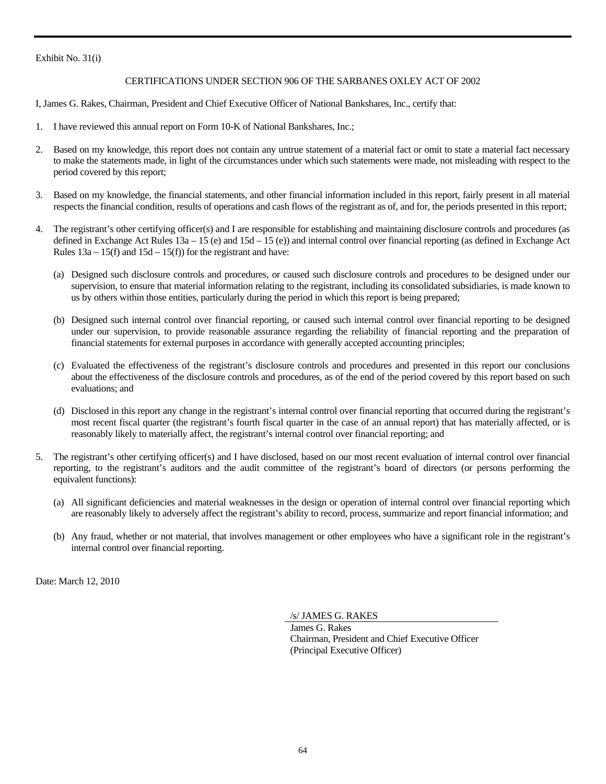### Exhibit No. 31(i)

# CERTIFICATIONS UNDER SECTION 906 OF THE SARBANES OXLEY ACT OF 2002

I, James G. Rakes, Chairman, President and Chief Executive Officer of National Bankshares, Inc., certify that:

- 1. I have reviewed this annual report on Form 10-K of National Bankshares, Inc.;
- 2. Based on my knowledge, this report does not contain any untrue statement of a material fact or omit to state a material fact necessary to make the statements made, in light of the circumstances under which such statements were made, not misleading with respect to the period covered by this report;
- 3. Based on my knowledge, the financial statements, and other financial information included in this report, fairly present in all material respects the financial condition, results of operations and cash flows of the registrant as of, and for, the periods presented in this report;
- 4. The registrant's other certifying officer(s) and I are responsible for establishing and maintaining disclosure controls and procedures (as defined in Exchange Act Rules 13a – 15 (e) and 15d – 15 (e)) and internal control over financial reporting (as defined in Exchange Act Rules  $13a - 15(f)$  and  $15d - 15(f)$  for the registrant and have:
	- (a) Designed such disclosure controls and procedures, or caused such disclosure controls and procedures to be designed under our supervision, to ensure that material information relating to the registrant, including its consolidated subsidiaries, is made known to us by others within those entities, particularly during the period in which this report is being prepared;
	- (b) Designed such internal control over financial reporting, or caused such internal control over financial reporting to be designed under our supervision, to provide reasonable assurance regarding the reliability of financial reporting and the preparation of financial statements for external purposes in accordance with generally accepted accounting principles;
	- (c) Evaluated the effectiveness of the registrant's disclosure controls and procedures and presented in this report our conclusions about the effectiveness of the disclosure controls and procedures, as of the end of the period covered by this report based on such evaluations; and
	- (d) Disclosed in this report any change in the registrant's internal control over financial reporting that occurred during the registrant's most recent fiscal quarter (the registrant's fourth fiscal quarter in the case of an annual report) that has materially affected, or is reasonably likely to materially affect, the registrant's internal control over financial reporting; and
- 5. The registrant's other certifying officer(s) and I have disclosed, based on our most recent evaluation of internal control over financial reporting, to the registrant's auditors and the audit committee of the registrant's board of directors (or persons performing the equivalent functions):
	- (a) All significant deficiencies and material weaknesses in the design or operation of internal control over financial reporting which are reasonably likely to adversely affect the registrant's ability to record, process, summarize and report financial information; and
	- (b) Any fraud, whether or not material, that involves management or other employees who have a significant role in the registrant's internal control over financial reporting.

Date: March 12, 2010

/s/ JAMES G. RAKES

James G. Rakes Chairman, President and Chief Executive Officer (Principal Executive Officer)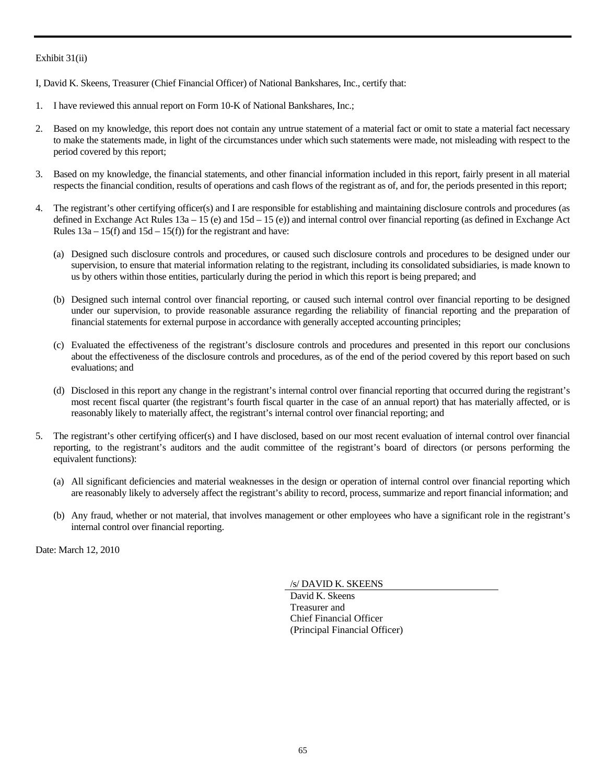### Exhibit 31(ii)

I, David K. Skeens, Treasurer (Chief Financial Officer) of National Bankshares, Inc., certify that:

- 1. I have reviewed this annual report on Form 10-K of National Bankshares, Inc.;
- 2. Based on my knowledge, this report does not contain any untrue statement of a material fact or omit to state a material fact necessary to make the statements made, in light of the circumstances under which such statements were made, not misleading with respect to the period covered by this report;
- 3. Based on my knowledge, the financial statements, and other financial information included in this report, fairly present in all material respects the financial condition, results of operations and cash flows of the registrant as of, and for, the periods presented in this report;
- 4. The registrant's other certifying officer(s) and I are responsible for establishing and maintaining disclosure controls and procedures (as defined in Exchange Act Rules  $13a - 15$  (e) and  $15d - 15$  (e)) and internal control over financial reporting (as defined in Exchange Act Rules  $13a - 15(f)$  and  $15d - 15(f)$  for the registrant and have:
	- (a) Designed such disclosure controls and procedures, or caused such disclosure controls and procedures to be designed under our supervision, to ensure that material information relating to the registrant, including its consolidated subsidiaries, is made known to us by others within those entities, particularly during the period in which this report is being prepared; and
	- (b) Designed such internal control over financial reporting, or caused such internal control over financial reporting to be designed under our supervision, to provide reasonable assurance regarding the reliability of financial reporting and the preparation of financial statements for external purpose in accordance with generally accepted accounting principles;
	- (c) Evaluated the effectiveness of the registrant's disclosure controls and procedures and presented in this report our conclusions about the effectiveness of the disclosure controls and procedures, as of the end of the period covered by this report based on such evaluations; and
	- (d) Disclosed in this report any change in the registrant's internal control over financial reporting that occurred during the registrant's most recent fiscal quarter (the registrant's fourth fiscal quarter in the case of an annual report) that has materially affected, or is reasonably likely to materially affect, the registrant's internal control over financial reporting; and
- 5. The registrant's other certifying officer(s) and I have disclosed, based on our most recent evaluation of internal control over financial reporting, to the registrant's auditors and the audit committee of the registrant's board of directors (or persons performing the equivalent functions):
	- (a) All significant deficiencies and material weaknesses in the design or operation of internal control over financial reporting which are reasonably likely to adversely affect the registrant's ability to record, process, summarize and report financial information; and
	- (b) Any fraud, whether or not material, that involves management or other employees who have a significant role in the registrant's internal control over financial reporting.

Date: March 12, 2010

/s/ DAVID K. SKEENS

David K. Skeens Treasurer and Chief Financial Officer (Principal Financial Officer)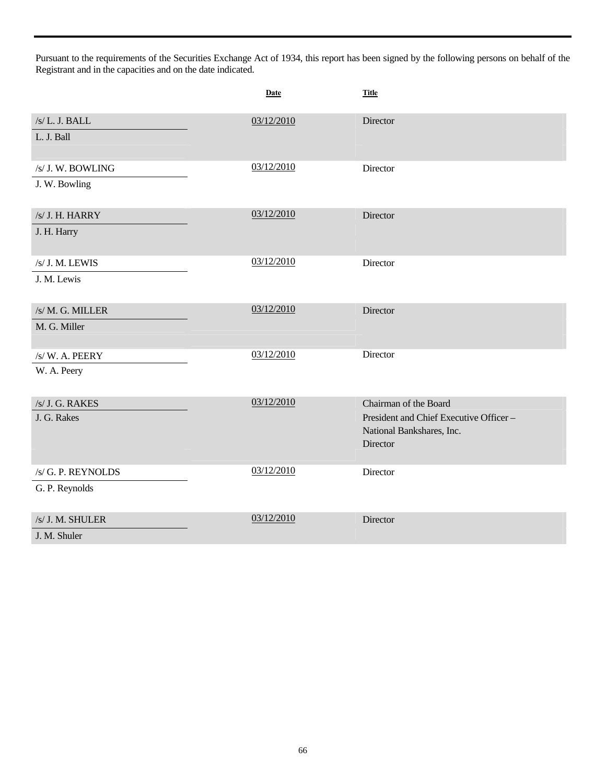Pursuant to the requirements of the Securities Exchange Act of 1934, this report has been signed by the following persons on behalf of the Registrant and in the capacities and on the date indicated.

|                                      | Date       | <b>Title</b>                                                                                              |
|--------------------------------------|------------|-----------------------------------------------------------------------------------------------------------|
| $/s/L$ . J. BALL<br>L. J. Ball       | 03/12/2010 | Director                                                                                                  |
| /s/ J. W. BOWLING<br>J. W. Bowling   | 03/12/2010 | Director                                                                                                  |
| /s/ J. H. HARRY<br>J. H. Harry       | 03/12/2010 | Director                                                                                                  |
| /s/ J. M. LEWIS<br>J. M. Lewis       | 03/12/2010 | Director                                                                                                  |
| /s/ M. G. MILLER<br>M. G. Miller     | 03/12/2010 | Director                                                                                                  |
| /s/W. A. PEERY<br>W. A. Peery        | 03/12/2010 | Director                                                                                                  |
| /s/ J. G. RAKES<br>J. G. Rakes       | 03/12/2010 | Chairman of the Board<br>President and Chief Executive Officer -<br>National Bankshares, Inc.<br>Director |
| /s/ G. P. REYNOLDS<br>G. P. Reynolds | 03/12/2010 | Director                                                                                                  |
| /s/ J. M. SHULER<br>J. M. Shuler     | 03/12/2010 | Director                                                                                                  |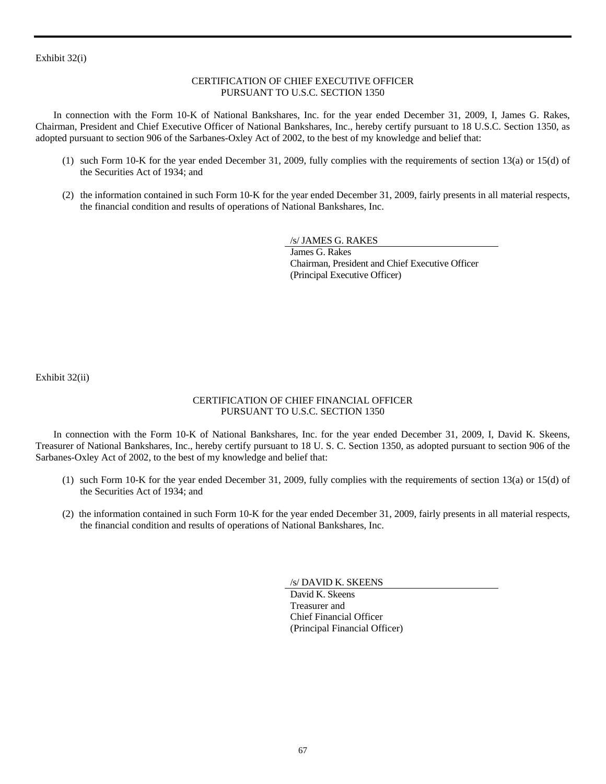### Exhibit 32(i)

### CERTIFICATION OF CHIEF EXECUTIVE OFFICER PURSUANT TO U.S.C. SECTION 1350

 In connection with the Form 10-K of National Bankshares, Inc. for the year ended December 31, 2009, I, James G. Rakes, Chairman, President and Chief Executive Officer of National Bankshares, Inc., hereby certify pursuant to 18 U.S.C. Section 1350, as adopted pursuant to section 906 of the Sarbanes-Oxley Act of 2002, to the best of my knowledge and belief that:

- (1) such Form 10-K for the year ended December 31, 2009, fully complies with the requirements of section 13(a) or 15(d) of the Securities Act of 1934; and
- (2) the information contained in such Form 10-K for the year ended December 31, 2009, fairly presents in all material respects, the financial condition and results of operations of National Bankshares, Inc.

/s/ JAMES G. RAKES

James G. Rakes Chairman, President and Chief Executive Officer (Principal Executive Officer)

Exhibit 32(ii)

# CERTIFICATION OF CHIEF FINANCIAL OFFICER PURSUANT TO U.S.C. SECTION 1350

 In connection with the Form 10-K of National Bankshares, Inc. for the year ended December 31, 2009, I, David K. Skeens, Treasurer of National Bankshares, Inc., hereby certify pursuant to 18 U. S. C. Section 1350, as adopted pursuant to section 906 of the Sarbanes-Oxley Act of 2002, to the best of my knowledge and belief that:

- (1) such Form 10-K for the year ended December 31, 2009, fully complies with the requirements of section 13(a) or 15(d) of the Securities Act of 1934; and
- (2) the information contained in such Form 10-K for the year ended December 31, 2009, fairly presents in all material respects, the financial condition and results of operations of National Bankshares, Inc.

/s/ DAVID K. SKEENS

David K. Skeens Treasurer and Chief Financial Officer (Principal Financial Officer)